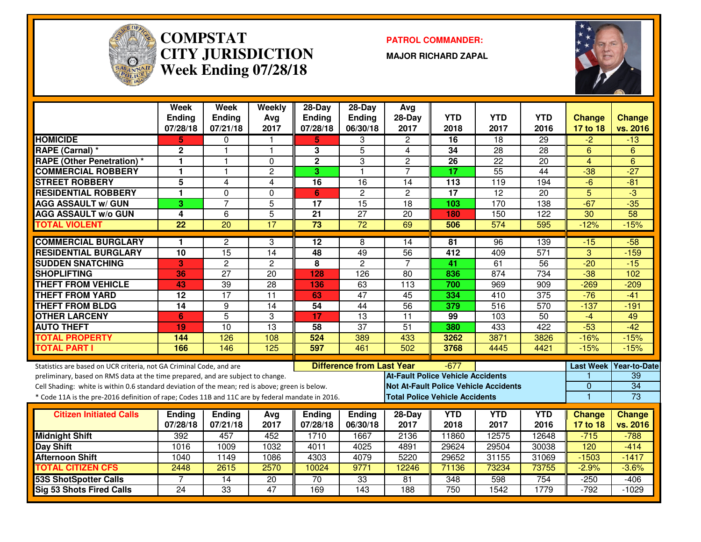

#### **COMPSTAT PATROL COMMANDER: CITY JURISDICTIONWeek Ending 07/28/18**

**MAJOR RICHARD ZAPAL**



|                                                                                                  | Week<br><b>Ending</b><br>07/28/18 | Week<br><b>Ending</b><br>07/21/18 | Weekly<br>Avg<br>2017 | $28-Day$<br><b>Ending</b><br>07/28/18 | $28-Day$<br><b>Ending</b><br>06/30/18 | Avg<br>28-Day<br>2017                    | <b>YTD</b><br>2018 | <b>YTD</b><br>2017                           | <b>YTD</b><br>2016 | <b>Change</b><br>17 to 18 | <b>Change</b><br>vs. 2016 |
|--------------------------------------------------------------------------------------------------|-----------------------------------|-----------------------------------|-----------------------|---------------------------------------|---------------------------------------|------------------------------------------|--------------------|----------------------------------------------|--------------------|---------------------------|---------------------------|
| <b>HOMICIDE</b>                                                                                  | 5                                 | 0                                 | 1                     | 5.                                    | 3                                     | $\overline{2}$                           | $\overline{16}$    | $\overline{18}$                              | 29                 | $-2$                      | $-13$                     |
| RAPE (Carnal) *                                                                                  | $\mathbf{2}$                      | $\mathbf{1}$                      | $\mathbf{1}$          | 3                                     | $\overline{5}$                        | 4                                        | 34                 | $\overline{28}$                              | 28                 | 6                         | 6                         |
| <b>RAPE (Other Penetration) *</b>                                                                | 1                                 | $\mathbf{1}$                      | 0                     | $\mathbf 2$                           | 3                                     | $\overline{c}$                           | 26                 | 22                                           | 20                 | $\overline{4}$            | $6\phantom{1}6$           |
| <b>COMMERCIAL ROBBERY</b>                                                                        | 1                                 | $\mathbf{1}$                      | $\overline{c}$        | 3                                     | $\overline{1}$                        | $\overline{7}$                           | 17                 | $\overline{55}$                              | 44                 | $-38$                     | $-27$                     |
| <b>STREET ROBBERY</b>                                                                            | 5                                 | 4                                 | 4                     | 16                                    | 16                                    | 14                                       | 113                | 119                                          | 194                | $-6$                      | $-81$                     |
| <b>RESIDENTIAL ROBBERY</b>                                                                       | 1                                 | $\mathbf 0$                       | $\Omega$              | 6                                     | $\mathbf{2}$                          | $\overline{2}$                           | $\overline{17}$    | $\overline{12}$                              | 20                 | 5                         | $\overline{3}$            |
| <b>AGG ASSAULT w/ GUN</b>                                                                        | 3                                 | $\overline{7}$                    | $\overline{5}$        | 17                                    | $\overline{15}$                       | $\overline{18}$                          | 103                | 170                                          | 138                | $-67$                     | $-35$                     |
| <b>AGG ASSAULT w/o GUN</b>                                                                       | 4                                 | $\,6\,$                           | $\overline{5}$        | $\overline{21}$                       | $\overline{27}$                       | $\overline{20}$                          | 180                | 150                                          | 122                | 30                        | 58                        |
| <b>TOTAL VIOLENT</b>                                                                             | 22                                | 20                                | $\overline{17}$       | 73                                    | $\overline{72}$                       | 69                                       | 506                | 574                                          | 595                | $-12%$                    | $-15%$                    |
| <b>COMMERCIAL BURGLARY</b>                                                                       | 1                                 | $\overline{2}$                    | 3                     | 12                                    | 8                                     | 14                                       | 81                 | 96                                           | 139                | $-15$                     | $-58$                     |
| <b>RESIDENTIAL BURGLARY</b>                                                                      | $\overline{10}$                   | $\overline{15}$                   | $\overline{14}$       | 48                                    | 49                                    | $\overline{56}$                          | 412                | 409                                          | 571                | 3                         | $-159$                    |
| <b>SUDDEN SNATCHING</b>                                                                          | 3                                 | $\overline{2}$                    | $\overline{c}$        | 8                                     | $\overline{2}$                        | $\overline{7}$                           | 41                 | 61                                           | $\overline{56}$    | $-20$                     | $-15$                     |
| <b>SHOPLIFTING</b>                                                                               | 36                                | $\overline{27}$                   | $\overline{20}$       | 128                                   | 126                                   | 80                                       | 836                | 874                                          | $\overline{734}$   | $-38$                     | 102                       |
| <b>THEFT FROM VEHICLE</b>                                                                        | 43                                | 39                                | $\overline{28}$       | 136                                   | 63                                    | 113                                      | 700                | 969                                          | 909                | $-269$                    | $-209$                    |
| <b>THEFT FROM YARD</b>                                                                           | $\overline{12}$                   | $\overline{17}$                   | $\overline{11}$       | 63                                    | $\overline{47}$                       | 45                                       | 334                | 410                                          | $\overline{375}$   | $-76$                     | $-41$                     |
| <b>THEFT FROM BLDG</b>                                                                           | $\overline{14}$                   | 9                                 | $\overline{14}$       | 54                                    | $\overline{44}$                       | $\overline{56}$                          | 379                | 516                                          | 570                | $-137$                    | $-191$                    |
| <b>OTHER LARCENY</b>                                                                             | 6                                 | $\overline{5}$                    | 3                     | 17                                    | $\overline{13}$                       | $\overline{11}$                          | 99                 | $\overline{103}$                             | $\overline{50}$    | $-4$                      | 49                        |
| <b>AUTO THEFT</b>                                                                                | 19                                | 10                                | 13                    | 58                                    | $\overline{37}$                       | 51                                       | 380                | 433                                          | 422                | $-53$                     | $-42$                     |
| <b>TOTAL PROPERTY</b>                                                                            | 144                               | 126                               | 108                   | 524                                   | 389                                   | 433                                      | 3262               | 3871                                         | 3826               | $-16%$                    | $-15%$                    |
| <b>TOTAL PART I</b>                                                                              | 166                               | 146                               | 125                   | 597                                   | 461                                   | 502                                      | 3768               | 4445                                         | 4421               | $-15%$                    | $-15%$                    |
| Statistics are based on UCR criteria, not GA Criminal Code, and are                              |                                   |                                   |                       |                                       | <b>Difference from Last Year</b>      |                                          | $-677$             |                                              |                    | <b>Last Week</b>          | <b>Year-to-Date</b>       |
| preliminary, based on RMS data at the time prepared, and are subject to change.                  |                                   |                                   |                       |                                       |                                       | <b>At-Fault Police Vehicle Accidents</b> |                    |                                              |                    |                           | 39                        |
| Cell Shading: white is within 0.6 standard deviation of the mean; red is above; green is below.  |                                   |                                   |                       |                                       |                                       |                                          |                    | <b>Not At-Fault Police Vehicle Accidents</b> |                    | $\mathbf 0$               | $\overline{34}$           |
| * Code 11A is the pre-2016 definition of rape; Codes 11B and 11C are by federal mandate in 2016. |                                   |                                   |                       |                                       |                                       | <b>Total Police Vehicle Accidents</b>    |                    |                                              |                    | $\mathbf{1}$              | 73                        |
|                                                                                                  |                                   |                                   |                       |                                       |                                       |                                          |                    |                                              |                    |                           |                           |
| <b>Citizen Initiated Calls</b>                                                                   | <b>Ending</b><br>07/28/18         | <b>Ending</b>                     | Avg<br>2017           | Ending<br>07/28/18                    | <b>Ending</b><br>06/30/18             | 28-Day<br>2017                           | <b>YTD</b><br>2018 | <b>YTD</b><br>2017                           | <b>YTD</b><br>2016 | <b>Change</b>             | <b>Change</b>             |
|                                                                                                  |                                   | 07/21/18                          |                       |                                       |                                       |                                          |                    |                                              |                    | 17 to 18                  | vs. 2016                  |
| <b>Midnight Shift</b>                                                                            | 392                               | 457                               | 452                   | 1710                                  | 1667                                  | 2136                                     | 11860              | 12575                                        | 12648              | $-715$                    | $-788$                    |
| Day Shift                                                                                        | 1016                              | 1009                              | 1032                  | 4011                                  | 4025                                  | 4891                                     | 29624              | 29504                                        | 30038              | 120                       | $-414$                    |
| <b>Afternoon Shift</b>                                                                           | 1040                              | 1149<br>2615                      | 1086                  | 4303                                  | 4079<br>9771                          | 5220                                     | 29652              | 31155                                        | 31069              | $-1503$                   | $-1417$                   |
| <b>TOTAL CITIZEN CFS</b>                                                                         | 2448                              |                                   | 2570                  | 10024                                 |                                       | 12246                                    | 71136              | 73234                                        | 73755              | $-2.9%$                   | $-3.6%$                   |
| <b>53S ShotSpotter Calls</b>                                                                     |                                   | 14                                | $\overline{20}$       | 70                                    | 33                                    | 81                                       | 348                | 598                                          | 754                | $-250$                    | $-406$                    |
| Sig 53 Shots Fired Calls                                                                         | $\overline{24}$                   | 33                                | $\overline{47}$       | 169                                   | 143                                   | 188                                      | 750                | 1542                                         | 1779               | $-792$                    | $-1029$                   |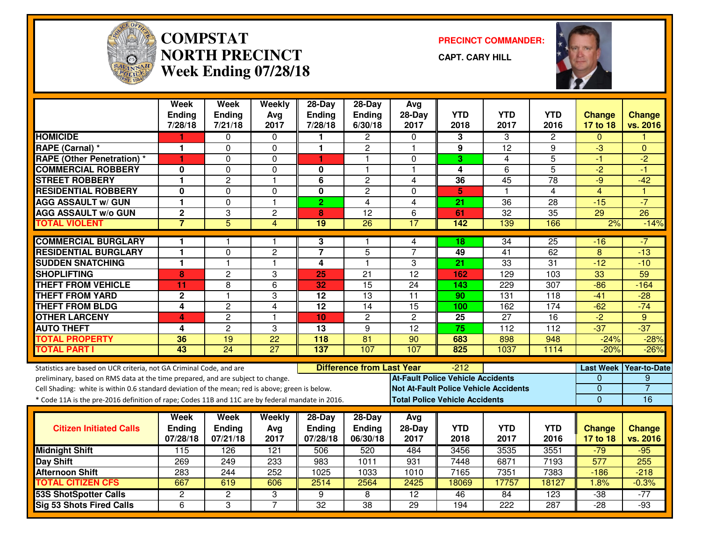

# **COMPSTAT PRECINCT COMMANDER: NORTH PRECINCTWeek Ending 07/28/18**

**CAPT. CARY HILL**



|                                                                                                                                                                                                                                                           | <b>Week</b><br><b>Ending</b><br>7/28/18 | <b>Week</b><br><b>Ending</b><br>7/21/18 | Weekly<br>Avg<br>2017 | $28-Dav$<br><b>Ending</b><br>7/28/18  | $28-Dav$<br>Ending<br>6/30/18    | Avg<br>$28-Day$<br>2017                                                                  | <b>YTD</b><br>2018                    | <b>YTD</b><br>2017 | <b>YTD</b><br>2016 | <b>Change</b><br>17 to 18                         | <b>Change</b><br>vs. 2016                  |
|-----------------------------------------------------------------------------------------------------------------------------------------------------------------------------------------------------------------------------------------------------------|-----------------------------------------|-----------------------------------------|-----------------------|---------------------------------------|----------------------------------|------------------------------------------------------------------------------------------|---------------------------------------|--------------------|--------------------|---------------------------------------------------|--------------------------------------------|
| <b>HOMICIDE</b>                                                                                                                                                                                                                                           | 1                                       | 0                                       | 0                     |                                       | 2                                | $\Omega$                                                                                 | 3                                     | 3                  | 2                  | $\Omega$                                          |                                            |
| <b>RAPE (Carnal) *</b>                                                                                                                                                                                                                                    | 1                                       | $\mathbf{0}$                            | 0                     | $\mathbf{1}$                          | $\overline{c}$                   | $\overline{\mathbf{1}}$                                                                  | 9                                     | $\overline{12}$    | 9                  | $\overline{3}$                                    | $\Omega$                                   |
| <b>RAPE (Other Penetration) *</b>                                                                                                                                                                                                                         | 1                                       | $\Omega$                                | $\Omega$              | 1                                     | 1                                | $\mathbf{0}$                                                                             | 3                                     | 4                  | 5                  | $-1$                                              | $-2$                                       |
| <b>COMMERCIAL ROBBERY</b>                                                                                                                                                                                                                                 | 0                                       | $\mathbf{0}$                            | $\Omega$              | $\bf{0}$                              | 1                                | $\overline{\mathbf{1}}$                                                                  | 4                                     | 6                  | 5                  | $-2$                                              | $-1$                                       |
| <b>STREET ROBBERY</b>                                                                                                                                                                                                                                     | $\mathbf{1}$                            | $\overline{2}$                          | $\mathbf{1}$          | 6                                     | $\overline{c}$                   | 4                                                                                        | 36                                    | 45                 | $\overline{78}$    | -9                                                | $-42$                                      |
| <b>RESIDENTIAL ROBBERY</b>                                                                                                                                                                                                                                | $\mathbf 0$                             | $\mathbf 0$                             | 0                     | $\mathbf 0$                           | $\overline{c}$                   | $\Omega$                                                                                 | 5                                     | $\mathbf{1}$       | 4                  | $\overline{4}$                                    | 4                                          |
| <b>AGG ASSAULT w/ GUN</b>                                                                                                                                                                                                                                 | $\mathbf{1}$                            | $\mathbf 0$                             | $\mathbf{1}$          | $\overline{2}$                        | $\overline{4}$                   | $\overline{4}$                                                                           | $\overline{21}$                       | $\overline{36}$    | $\overline{28}$    | $-15$                                             | $-7$                                       |
| <b>AGG ASSAULT w/o GUN</b>                                                                                                                                                                                                                                | $\mathbf 2$                             | 3                                       | $\overline{c}$        | 8                                     | $\overline{12}$                  | 6                                                                                        | 61                                    | $\overline{32}$    | 35                 | 29                                                | $\overline{26}$                            |
| <b>TOTAL VIOLENT</b>                                                                                                                                                                                                                                      | $\overline{7}$                          | $\overline{5}$                          | $\overline{4}$        | 19                                    | $\overline{26}$                  | 17                                                                                       | 142                                   | 139                | 166                | 2%                                                | $-14%$                                     |
| <b>COMMERCIAL BURGLARY</b>                                                                                                                                                                                                                                | 1                                       |                                         | 1                     | 3                                     | 1                                | 4                                                                                        | 18                                    | $\overline{34}$    | $\overline{25}$    | -16                                               | -7                                         |
| <b>RESIDENTIAL BURGLARY</b>                                                                                                                                                                                                                               | $\mathbf{1}$                            | $\Omega$                                | $\mathbf{2}$          | $\overline{7}$                        | 5                                | $\overline{7}$                                                                           | 49                                    | 41                 | 62                 | 8                                                 | $-13$                                      |
| <b>SUDDEN SNATCHING</b>                                                                                                                                                                                                                                   | $\mathbf{1}$                            | $\mathbf{1}$                            | $\mathbf{1}$          | $\overline{\mathbf{4}}$               | $\mathbf{1}$                     | 3                                                                                        | 21                                    | $\overline{33}$    | $\overline{31}$    | $-12$                                             | $-10$                                      |
| <b>SHOPLIFTING</b>                                                                                                                                                                                                                                        | 8                                       | $\overline{2}$                          | 3                     | $\overline{25}$                       | $\overline{21}$                  | $\overline{12}$                                                                          | 162                                   | 129                | 103                | $\overline{33}$                                   | 59                                         |
| <b>THEFT FROM VEHICLE</b>                                                                                                                                                                                                                                 | 11                                      | 8                                       | 6                     | 32                                    | 15                               | 24                                                                                       | 143                                   | 229                | 307                | $-86$                                             | $-164$                                     |
| <b>THEFT FROM YARD</b>                                                                                                                                                                                                                                    | $\mathbf 2$                             | $\mathbf{1}$                            | 3                     | $\overline{12}$                       | $\overline{13}$                  | $\overline{11}$                                                                          | 90                                    | 131                | $\overline{118}$   | $-41$                                             | $-28$                                      |
| <b>THEFT FROM BLDG</b>                                                                                                                                                                                                                                    | 4                                       | $\overline{2}$                          | $\overline{4}$        | $\overline{12}$                       | $\overline{14}$                  | $\overline{15}$                                                                          | 100                                   | 162                | 174                | $-62$                                             | $-74$                                      |
| <b>OTHER LARCENY</b>                                                                                                                                                                                                                                      | 4                                       | $\overline{c}$                          | $\mathbf{1}$          | 10                                    | $\overline{2}$                   | $\overline{c}$                                                                           | 25                                    | 27                 | 16                 | $-2$                                              | 9 <sup>°</sup>                             |
| <b>AUTO THEFT</b>                                                                                                                                                                                                                                         | 4                                       | $\overline{2}$                          | 3                     | 13                                    | 9                                | $\overline{12}$                                                                          | 75                                    | 112                | 112                | $-37$                                             | $-37$                                      |
| <b>TOTAL PROPERTY</b>                                                                                                                                                                                                                                     | 36                                      | $\overline{19}$                         | $\overline{22}$       | 118                                   | $\overline{81}$                  | $\overline{90}$                                                                          | 683                                   | 898                | 948                | $-24%$                                            | $-28%$                                     |
| <b>TOTAL PART I</b>                                                                                                                                                                                                                                       | 43                                      | 24                                      | $\overline{27}$       | $\overline{137}$                      | 107                              | 107                                                                                      | 825                                   | 1037               | 1114               | $-20%$                                            | $-26%$                                     |
| Statistics are based on UCR criteria, not GA Criminal Code, and are<br>preliminary, based on RMS data at the time prepared, and are subject to change.<br>Cell Shading: white is within 0.6 standard deviation of the mean; red is above; green is below. |                                         |                                         |                       |                                       | <b>Difference from Last Year</b> | <b>At-Fault Police Vehicle Accidents</b><br><b>Not At-Fault Police Vehicle Accidents</b> | -212                                  |                    |                    | <b>Last Week</b><br>$\overline{0}$<br>$\mathbf 0$ | <b>Year-to-Date</b><br>9<br>$\overline{7}$ |
| * Code 11A is the pre-2016 definition of rape; Codes 11B and 11C are by federal mandate in 2016.                                                                                                                                                          |                                         |                                         |                       |                                       |                                  |                                                                                          | <b>Total Police Vehicle Accidents</b> |                    |                    | $\overline{0}$                                    | 16                                         |
| <b>Citizen Initiated Calls</b>                                                                                                                                                                                                                            | Week<br><b>Ending</b><br>07/28/18       | Week<br><b>Ending</b><br>07/21/18       | Weekly<br>Avg<br>2017 | $28-Day$<br><b>Ending</b><br>07/28/18 | $28-Day$<br>Ending<br>06/30/18   | Avg<br>$28-Day$<br>2017                                                                  | <b>YTD</b><br>2018                    | <b>YTD</b><br>2017 | <b>YTD</b><br>2016 | <b>Change</b><br>17 to 18                         | <b>Change</b><br>vs. 2016                  |
| <b>Midnight Shift</b>                                                                                                                                                                                                                                     | 115                                     | 126                                     | 121                   | 506                                   | 520                              | 484                                                                                      | 3456                                  | 3535               | 3551               | $-79$                                             | $-95$                                      |
| <b>Day Shift</b>                                                                                                                                                                                                                                          | 269                                     | 249                                     | 233                   | 983                                   | 1011                             | 931                                                                                      | 7448                                  | 6871               | 7193               | 577                                               | 255                                        |
| <b>Afternoon Shift</b>                                                                                                                                                                                                                                    | 283                                     | 244                                     | 252                   | 1025                                  | 1033                             | 1010                                                                                     | 7165                                  | 7351               | 7383               | $-186$                                            | $-218$                                     |
| <b>TOTAL CITIZEN CFS</b>                                                                                                                                                                                                                                  | 667                                     | 619                                     | 606                   | 2514                                  | 2564                             | 2425                                                                                     | 18069                                 | 17757              | 18127              | 1.8%                                              | $-0.3%$                                    |
| 53S ShotSpotter Calls                                                                                                                                                                                                                                     | 2                                       | $\mathbf{2}$                            | 3                     | 9                                     | 8                                | 12                                                                                       | 46                                    | 84                 | 123                | -38                                               | $-77$                                      |
| Sig 53 Shots Fired Calls                                                                                                                                                                                                                                  | 6                                       | 3                                       | $\overline{7}$        | 32                                    | $\overline{38}$                  | 29                                                                                       | 194                                   | $\overline{222}$   | $\overline{287}$   | $-28$                                             | $-93$                                      |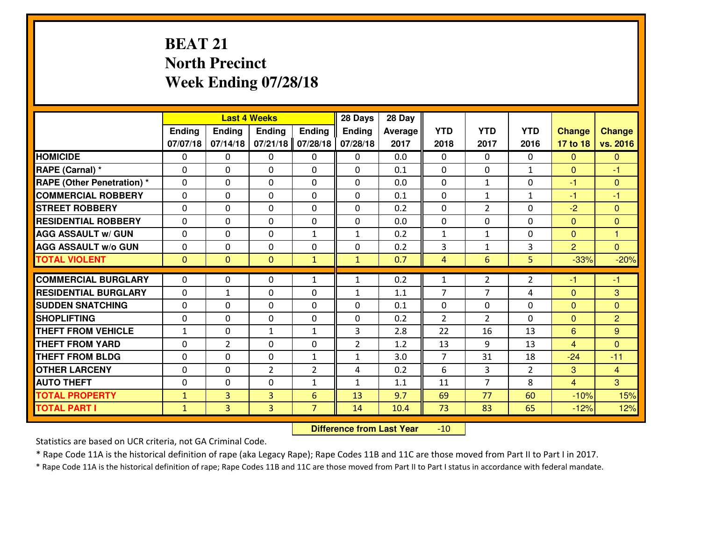## **BEAT 21 North PrecinctWeek Ending 07/28/18**

|                                   |               |                | <b>Last 4 Weeks</b> |                | 28 Days        | 28 Day  |                |                |                |                |                |
|-----------------------------------|---------------|----------------|---------------------|----------------|----------------|---------|----------------|----------------|----------------|----------------|----------------|
|                                   | <b>Ending</b> | <b>Ending</b>  | <b>Ending</b>       | <b>Ending</b>  | <b>Ending</b>  | Average | <b>YTD</b>     | <b>YTD</b>     | <b>YTD</b>     | <b>Change</b>  | <b>Change</b>  |
|                                   | 07/07/18      | 07/14/18       | 07/21/18            | 07/28/18       | 07/28/18       | 2017    | 2018           | 2017           | 2016           | 17 to 18       | vs. 2016       |
| <b>HOMICIDE</b>                   | 0             | 0              | 0                   | 0              | 0              | 0.0     | 0              | $\Omega$       | 0              | $\Omega$       | $\mathbf{0}$   |
| RAPE (Carnal) *                   | $\Omega$      | 0              | $\mathbf 0$         | $\Omega$       | $\Omega$       | 0.1     | $\Omega$       | $\Omega$       | $\mathbf{1}$   | $\Omega$       | $-1$           |
| <b>RAPE (Other Penetration) *</b> | $\Omega$      | $\Omega$       | $\mathbf 0$         | $\Omega$       | $\Omega$       | 0.0     | 0              | $\mathbf{1}$   | 0              | $-1$           | $\Omega$       |
| <b>COMMERCIAL ROBBERY</b>         | 0             | $\Omega$       | $\mathbf 0$         | $\Omega$       | 0              | 0.1     | 0              | $\mathbf{1}$   | $\mathbf{1}$   | $-1$           | $-1$           |
| <b>STREET ROBBERY</b>             | 0             | 0              | $\mathbf 0$         | 0              | 0              | 0.2     | 0              | $\overline{2}$ | 0              | $-2$           | $\mathbf{0}$   |
| <b>RESIDENTIAL ROBBERY</b>        | $\mathbf{0}$  | 0              | $\mathbf{0}$        | 0              | $\Omega$       | 0.0     | $\mathbf{0}$   | 0              | 0              | $\Omega$       | $\mathbf{0}$   |
| <b>AGG ASSAULT W/ GUN</b>         | 0             | 0              | $\mathbf 0$         | $\mathbf{1}$   | $\mathbf{1}$   | 0.2     | $\mathbf{1}$   | $\mathbf{1}$   | 0              | $\mathbf{0}$   | 1              |
| <b>AGG ASSAULT W/o GUN</b>        | 0             | 0              | $\mathbf{0}$        | 0              | 0              | 0.2     | 3              | $\mathbf{1}$   | 3              | 2              | $\overline{0}$ |
| <b>TOTAL VIOLENT</b>              | $\mathbf{0}$  | $\overline{0}$ | $\overline{0}$      | $\mathbf{1}$   | $\mathbf{1}$   | 0.7     | $\overline{4}$ | 6              | 5              | $-33%$         | $-20%$         |
| <b>COMMERCIAL BURGLARY</b>        | $\Omega$      | $\Omega$       | $\mathbf 0$         | $\mathbf{1}$   | $\mathbf{1}$   | 0.2     | $\mathbf{1}$   | $\overline{2}$ | $\overline{2}$ | $-1$           | $-1$           |
| <b>RESIDENTIAL BURGLARY</b>       | 0             | $\mathbf{1}$   | $\mathbf 0$         | 0              | $\mathbf{1}$   | 1.1     | $\overline{7}$ | 7              | 4              | $\mathbf{0}$   | 3              |
| <b>SUDDEN SNATCHING</b>           | 0             | 0              | $\mathbf 0$         | 0              | 0              | 0.1     | 0              | 0              | 0              | $\overline{0}$ | $\overline{0}$ |
| <b>SHOPLIFTING</b>                | 0             | 0              | $\mathbf 0$         | 0              | 0              | 0.2     | $\overline{2}$ | $\overline{2}$ | $\Omega$       | $\mathbf{0}$   | $\overline{2}$ |
| <b>THEFT FROM VEHICLE</b>         | $\mathbf{1}$  | 0              | 1                   | 1              | 3              | 2.8     | 22             | 16             | 13             | 6              | 9              |
| <b>THEFT FROM YARD</b>            | 0             | $\overline{2}$ | $\mathbf 0$         | 0              | $\overline{2}$ | 1.2     | 13             | 9              | 13             | $\overline{4}$ | $\mathbf{0}$   |
| <b>THEFT FROM BLDG</b>            | 0             | 0              | $\mathbf 0$         | $\mathbf{1}$   | $\mathbf{1}$   | 3.0     | $\overline{7}$ | 31             | 18             | $-24$          | $-11$          |
| <b>OTHER LARCENY</b>              | 0             | 0              | $\overline{2}$      | $\overline{2}$ | 4              | 0.2     | 6              | 3              | $\overline{2}$ | 3              | $\overline{4}$ |
| <b>AUTO THEFT</b>                 | 0             | 0              | $\mathbf 0$         | $\mathbf{1}$   | $\mathbf{1}$   | 1.1     | 11             | 7              | 8              | $\overline{4}$ | 3              |
| <b>TOTAL PROPERTY</b>             | $\mathbf{1}$  | 3              | 3                   | 6              | 13             | 9.7     | 69             | 77             | 60             | $-10%$         | 15%            |
| <b>TOTAL PART I</b>               | $\mathbf{1}$  | 3              | $\overline{3}$      | $\overline{7}$ | 14             | 10.4    | 73             | 83             | 65             | $-12%$         | 12%            |
|                                   |               |                |                     |                |                |         |                |                |                |                |                |

 **Difference from Last Year**-10

Statistics are based on UCR criteria, not GA Criminal Code.

\* Rape Code 11A is the historical definition of rape (aka Legacy Rape); Rape Codes 11B and 11C are those moved from Part II to Part I in 2017.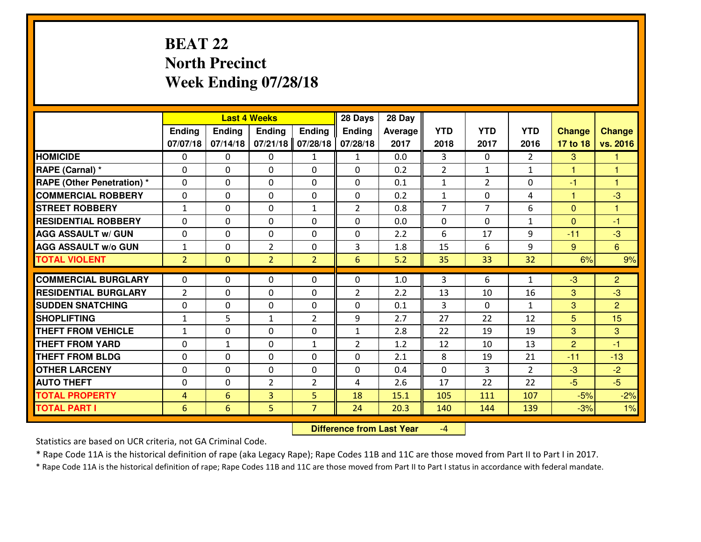## **BEAT 22 North PrecinctWeek Ending 07/28/18**

|                             |                |               | <b>Last 4 Weeks</b> |                | 28 Days          | 28 Day  |                |                |                |                |                         |
|-----------------------------|----------------|---------------|---------------------|----------------|------------------|---------|----------------|----------------|----------------|----------------|-------------------------|
|                             | Ending         | <b>Ending</b> | <b>Ending</b>       | <b>Ending</b>  | Ending           | Average | <b>YTD</b>     | <b>YTD</b>     | <b>YTD</b>     | <b>Change</b>  | <b>Change</b>           |
|                             | 07/07/18       | 07/14/18      | 07/21/18            | 07/28/18       | 07/28/18         | 2017    | 2018           | 2017           | 2016           | 17 to 18       | vs. 2016                |
| <b>HOMICIDE</b>             | $\Omega$       | 0             | 0                   | $\mathbf{1}$   | 1                | 0.0     | 3              | $\Omega$       | $\mathfrak{D}$ | 3              | 1                       |
| RAPE (Carnal) *             | $\mathbf{0}$   | 0             | $\mathbf{0}$        | 0              | $\Omega$         | 0.2     | 2              | $\mathbf{1}$   | $\mathbf{1}$   | 1              | $\overline{1}$          |
| RAPE (Other Penetration) *  | $\Omega$       | 0             | $\mathbf{0}$        | $\Omega$       | $\Omega$         | 0.1     | 1              | 2              | 0              | $-1$           | $\overline{\mathbf{1}}$ |
| <b>COMMERCIAL ROBBERY</b>   | 0              | 0             | 0                   | 0              | $\Omega$         | 0.2     | $\mathbf{1}$   | 0              | 4              | 1              | $-3$                    |
| <b>STREET ROBBERY</b>       | $\mathbf{1}$   | 0             | $\mathbf 0$         | $\mathbf{1}$   | $\overline{2}$   | 0.8     | $\overline{7}$ | $\overline{7}$ | 6              | $\mathbf{0}$   | 1                       |
| <b>RESIDENTIAL ROBBERY</b>  | $\Omega$       | $\Omega$      | $\mathbf 0$         | $\Omega$       | 0                | 0.0     | $\mathbf 0$    | $\Omega$       | $\mathbf{1}$   | $\mathbf{0}$   | $-1$                    |
| <b>AGG ASSAULT w/ GUN</b>   | 0              | 0             | $\mathbf 0$         | 0              | 0                | 2.2     | 6              | 17             | 9              | $-11$          | $-3$                    |
| <b>AGG ASSAULT W/o GUN</b>  | $1\,$          | 0             | $\overline{2}$      | $\mathbf 0$    | 3                | 1.8     | 15             | 6              | 9              | 9 <sup>°</sup> | 6                       |
| <b>TOTAL VIOLENT</b>        | $\overline{2}$ | $\mathbf{0}$  | $\overline{2}$      | $\overline{2}$ | $6 \overline{6}$ | 5.2     | 35             | 33             | 32             | 6%             | 9%                      |
| <b>COMMERCIAL BURGLARY</b>  | $\Omega$       | 0             | $\mathbf{0}$        | $\Omega$       | $\Omega$         | 1.0     | 3              | 6              | $\mathbf{1}$   | $-3$           | $\overline{2}$          |
| <b>RESIDENTIAL BURGLARY</b> | $\overline{2}$ | 0             | $\mathbf 0$         | 0              | $\overline{2}$   | 2.2     | 13             | 10             | 16             | 3              | $-3$                    |
| <b>SUDDEN SNATCHING</b>     | 0              | 0             | 0                   | 0              | 0                | 0.1     | 3              | $\mathbf{0}$   | $\mathbf{1}$   | 3              | $\overline{2}$          |
| <b>SHOPLIFTING</b>          | $\mathbf{1}$   | 5             | 1                   | $\overline{2}$ | 9                | 2.7     | 27             | 22             | 12             | 5              | 15                      |
| <b>THEFT FROM VEHICLE</b>   | $\mathbf{1}$   | 0             | $\mathbf 0$         | 0              | $\mathbf{1}$     | 2.8     | 22             | 19             | 19             | 3              | $\overline{3}$          |
| <b>THEFT FROM YARD</b>      | 0              | $\mathbf{1}$  | $\mathbf 0$         | $\mathbf{1}$   | $\overline{2}$   | 1.2     | 12             | 10             | 13             | $\overline{2}$ | $-1$                    |
| <b>THEFT FROM BLDG</b>      | 0              | 0             | $\mathbf 0$         | 0              | 0                | 2.1     | 8              | 19             | 21             | $-11$          | $-13$                   |
| <b>OTHER LARCENY</b>        | 0              | 0             | $\mathbf 0$         | 0              | 0                | 0.4     | 0              | 3              | $\overline{2}$ | $-3$           | $-2$                    |
| <b>AUTO THEFT</b>           | $\mathbf{0}$   | 0             | $\overline{2}$      | 2              | 4                | 2.6     | 17             | 22             | 22             | $-5$           | $-5$                    |
| <b>TOTAL PROPERTY</b>       | 4              | 6             | 3                   | 5              | 18               | 15.1    | 105            | 111            | 107            | $-5%$          | $-2%$                   |
| <b>TOTAL PART I</b>         | 6              | 6             | 5                   | $\overline{7}$ | 24               | 20.3    | 140            | 144            | 139            | $-3%$          | 1%                      |
|                             |                |               |                     |                |                  |         |                |                |                |                |                         |

 **Difference from Last Year**-4

Statistics are based on UCR criteria, not GA Criminal Code.

\* Rape Code 11A is the historical definition of rape (aka Legacy Rape); Rape Codes 11B and 11C are those moved from Part II to Part I in 2017.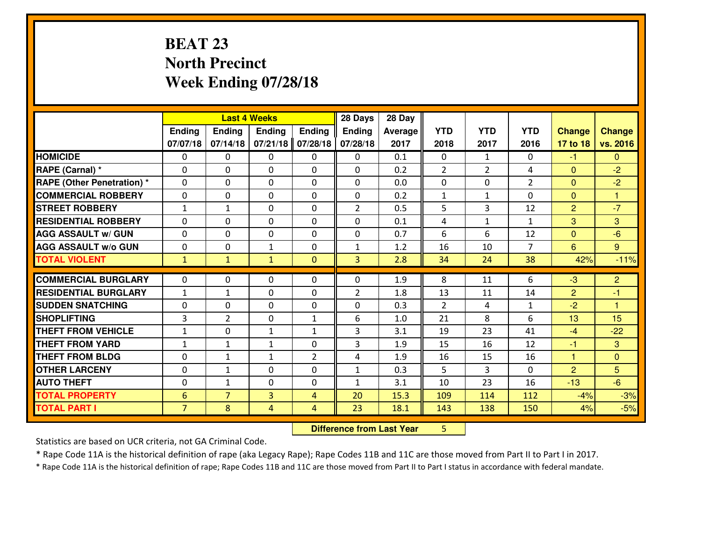## **BEAT 23 North PrecinctWeek Ending 07/28/18**

|                                   |                 |                | <b>Last 4 Weeks</b> |                | 28 Days        | 28 Day  |              |                |                |                |                |
|-----------------------------------|-----------------|----------------|---------------------|----------------|----------------|---------|--------------|----------------|----------------|----------------|----------------|
|                                   | Ending          | <b>Ending</b>  | <b>Ending</b>       | <b>Ending</b>  | Ending         | Average | <b>YTD</b>   | <b>YTD</b>     | <b>YTD</b>     | <b>Change</b>  | <b>Change</b>  |
|                                   | 07/07/18        | 07/14/18       | 07/21/18            | 07/28/18       | 07/28/18       | 2017    | 2018         | 2017           | 2016           | 17 to 18       | vs. 2016       |
| <b>HOMICIDE</b>                   | $\Omega$        | 0              | 0                   | 0              | 0              | 0.1     | 0            | $\mathbf{1}$   | 0              | $-1$           | $\Omega$       |
| RAPE (Carnal) *                   | $\mathbf{0}$    | 0              | $\mathbf{0}$        | 0              | $\Omega$       | 0.2     | 2            | $\overline{2}$ | 4              | $\Omega$       | $-2$           |
| <b>RAPE (Other Penetration) *</b> | $\Omega$        | 0              | $\mathbf{0}$        | $\Omega$       | $\Omega$       | 0.0     | $\mathbf{0}$ | 0              | $\overline{2}$ | $\Omega$       | $-2$           |
| <b>COMMERCIAL ROBBERY</b>         | 0               | 0              | 0                   | 0              | 0              | 0.2     | $\mathbf{1}$ | $\mathbf{1}$   | 0              | $\mathbf{0}$   | 1              |
| <b>STREET ROBBERY</b>             | $\mathbf{1}$    | $\mathbf{1}$   | $\mathbf 0$         | 0              | $\overline{2}$ | 0.5     | 5            | 3              | 12             | $\overline{2}$ | $-7$           |
| <b>RESIDENTIAL ROBBERY</b>        | $\Omega$        | $\Omega$       | $\mathbf 0$         | $\Omega$       | 0              | 0.1     | 4            | $\mathbf{1}$   | $\mathbf{1}$   | 3              | 3              |
| <b>AGG ASSAULT w/ GUN</b>         | $\Omega$        | 0              | $\mathbf 0$         | 0              | 0              | 0.7     | 6            | 6              | 12             | $\mathbf{0}$   | $-6$           |
| <b>AGG ASSAULT W/o GUN</b>        | 0               | 0              | 1                   | $\mathbf 0$    | $\mathbf{1}$   | 1.2     | 16           | 10             | $\overline{7}$ | 6              | 9              |
| <b>TOTAL VIOLENT</b>              | $\mathbf{1}$    | $\mathbf{1}$   | $\mathbf{1}$        | $\mathbf{0}$   | 3              | 2.8     | 34           | 24             | 38             | 42%            | $-11%$         |
| <b>COMMERCIAL BURGLARY</b>        | $\Omega$        | 0              | $\mathbf{0}$        | $\Omega$       | $\Omega$       | 1.9     | 8            | 11             | 6              | $-3$           | $\overline{2}$ |
| <b>RESIDENTIAL BURGLARY</b>       | $\mathbf{1}$    | $\mathbf{1}$   | $\mathbf 0$         | 0              | $\overline{2}$ | 1.8     | 13           | 11             | 14             | 2              | $-1$           |
| <b>SUDDEN SNATCHING</b>           | 0               | 0              | $\mathbf 0$         | 0              | 0              | 0.3     | 2            | 4              | $\mathbf{1}$   | $-2$           | $\overline{1}$ |
| <b>SHOPLIFTING</b>                | 3               | $\overline{2}$ | $\mathbf 0$         | $\mathbf{1}$   | 6              | 1.0     | 21           | 8              | 6              | 13             | 15             |
| <b>THEFT FROM VEHICLE</b>         | $1\,$           | 0              | 1                   | $\mathbf{1}$   | 3              | 3.1     | 19           | 23             | 41             | $-4$           | $-22$          |
| <b>THEFT FROM YARD</b>            | $1\,$           | $\mathbf{1}$   | $\mathbf{1}$        | 0              | 3              | 1.9     | 15           | 16             | 12             | $-1$           | 3              |
| <b>THEFT FROM BLDG</b>            | 0               | $\mathbf{1}$   | 1                   | $\overline{2}$ | 4              | 1.9     | 16           | 15             | 16             | $\mathbf{1}$   | $\overline{0}$ |
| <b>OTHER LARCENY</b>              | 0               | $\mathbf{1}$   | $\mathbf 0$         | 0              | $\mathbf{1}$   | 0.3     | 5            | 3              | 0              | $\overline{2}$ | 5              |
| <b>AUTO THEFT</b>                 | $\mathbf{0}$    | $\mathbf{1}$   | $\mathbf{0}$        | 0              | $\mathbf{1}$   | 3.1     | 10           | 23             | 16             | $-13$          | $-6$           |
| <b>TOTAL PROPERTY</b>             | $6\phantom{1}6$ | $\overline{7}$ | $\overline{3}$      | 4              | 20             | 15.3    | 109          | 114            | 112            | $-4%$          | $-3%$          |
| <b>TOTAL PART I</b>               | $\overline{7}$  | 8              | 4                   | 4              | 23             | 18.1    | 143          | 138            | 150            | 4%             | $-5%$          |

 **Difference from Last Year**<sup>5</sup>

Statistics are based on UCR criteria, not GA Criminal Code.

\* Rape Code 11A is the historical definition of rape (aka Legacy Rape); Rape Codes 11B and 11C are those moved from Part II to Part I in 2017.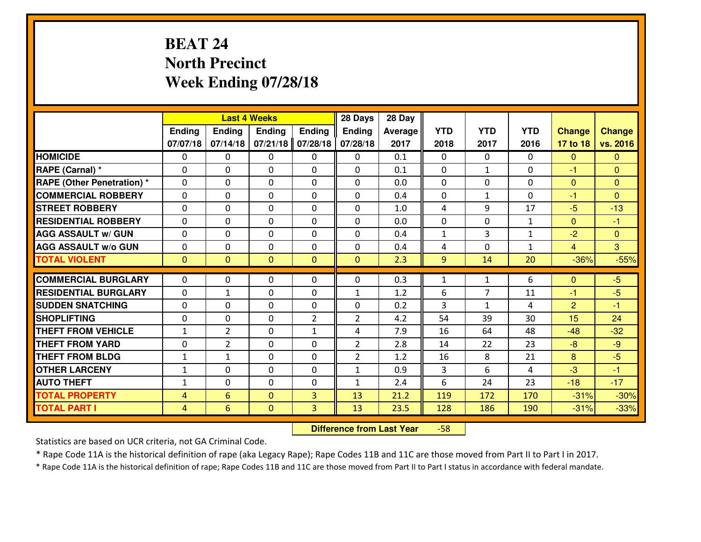## **BEAT 24 North PrecinctWeek Ending 07/28/18**

|                                  |                |                | <b>Last 4 Weeks</b> |                | 28 Days        | 28 Day  |                |              |              |                |                |
|----------------------------------|----------------|----------------|---------------------|----------------|----------------|---------|----------------|--------------|--------------|----------------|----------------|
|                                  | <b>Ending</b>  | <b>Ending</b>  | <b>Endina</b>       | <b>Ending</b>  | <b>Ending</b>  | Average | <b>YTD</b>     | <b>YTD</b>   | <b>YTD</b>   | <b>Change</b>  | <b>Change</b>  |
|                                  | 07/07/18       | 07/14/18       | 07/21/18            | 07/28/18       | 07/28/18       | 2017    | 2018           | 2017         | 2016         | 17 to 18       | vs. 2016       |
| <b>HOMICIDE</b>                  | $\Omega$       | 0              | 0                   | 0              | 0              | 0.1     | 0              | $\Omega$     | 0            | $\Omega$       | $\Omega$       |
| RAPE (Carnal) *                  | $\Omega$       | 0              | $\mathbf{0}$        | 0              | $\Omega$       | 0.1     | $\Omega$       | $\mathbf{1}$ | 0            | -1             | $\Omega$       |
| <b>RAPE (Other Penetration)*</b> | $\Omega$       | $\Omega$       | $\mathbf 0$         | $\Omega$       | $\Omega$       | 0.0     | $\Omega$       | 0            | $\Omega$     | $\Omega$       | $\Omega$       |
| <b>COMMERCIAL ROBBERY</b>        | $\Omega$       | 0              | $\mathbf 0$         | $\Omega$       | 0              | 0.4     | 0              | $\mathbf{1}$ | 0            | $-1$           | $\Omega$       |
| <b>STREET ROBBERY</b>            | $\Omega$       | $\Omega$       | $\mathbf 0$         | $\Omega$       | $\Omega$       | 1.0     | 4              | 9            | 17           | $-5$           | $-13$          |
| <b>RESIDENTIAL ROBBERY</b>       | $\Omega$       | $\Omega$       | $\mathbf 0$         | $\Omega$       | 0              | 0.0     | 0              | $\Omega$     | $\mathbf{1}$ | $\Omega$       | $-1$           |
| <b>AGG ASSAULT w/ GUN</b>        | $\Omega$       | $\Omega$       | $\mathbf 0$         | $\Omega$       | $\Omega$       | 0.4     | $\mathbf 1$    | 3            | $\mathbf{1}$ | $-2$           | $\overline{0}$ |
| <b>AGG ASSAULT w/o GUN</b>       | 0              | 0              | $\mathbf 0$         | $\Omega$       | 0              | 0.4     | 4              | $\Omega$     | $\mathbf{1}$ | $\overline{4}$ | 3              |
| <b>TOTAL VIOLENT</b>             | $\mathbf{0}$   | $\mathbf{0}$   | $\mathbf{0}$        | $\mathbf{0}$   | $\mathbf{0}$   | 2.3     | 9              | 14           | 20           | $-36%$         | $-55%$         |
| <b>COMMERCIAL BURGLARY</b>       | $\Omega$       | 0              | 0                   | $\Omega$       | $\Omega$       | 0.3     | 1              | $\mathbf{1}$ | 6            | $\Omega$       | $-5$           |
| <b>RESIDENTIAL BURGLARY</b>      | 0              | $\mathbf{1}$   | $\mathbf 0$         | 0              | $\mathbf{1}$   | 1.2     | 6              | 7            | 11           | $-1$           | $-5$           |
| <b>SUDDEN SNATCHING</b>          | 0              | 0              | $\mathbf 0$         | 0              | 0              | 0.2     | $\overline{3}$ | $\mathbf{1}$ | 4            | $\overline{2}$ | $-1$           |
| <b>SHOPLIFTING</b>               | 0              | 0              | $\mathbf 0$         | $\overline{2}$ | $\overline{2}$ | 4.2     | 54             | 39           | 30           | 15             | 24             |
| <b>THEFT FROM VEHICLE</b>        | $\mathbf{1}$   | $\overline{2}$ | $\mathbf 0$         | $\mathbf{1}$   | 4              | 7.9     | 16             | 64           | 48           | $-48$          | $-32$          |
| <b>THEFT FROM YARD</b>           | 0              | $\overline{2}$ | $\mathbf 0$         | 0              | $\overline{2}$ | 2.8     | 14             | 22           | 23           | $-8$           | $-9$           |
| <b>THEFT FROM BLDG</b>           | $\mathbf{1}$   | 1              | $\mathbf 0$         | $\mathbf 0$    | $\overline{2}$ | 1.2     | 16             | 8            | 21           | 8              | $-5$           |
| <b>OTHER LARCENY</b>             | $1\,$          | 0              | $\mathbf 0$         | $\mathbf 0$    | $\mathbf{1}$   | 0.9     | 3              | 6            | 4            | $-3$           | $-1$           |
| <b>AUTO THEFT</b>                | $\mathbf{1}$   | 0              | $\mathbf 0$         | 0              | $\mathbf{1}$   | 2.4     | 6              | 24           | 23           | $-18$          | $-17$          |
| <b>TOTAL PROPERTY</b>            | $\overline{4}$ | 6              | $\mathbf{0}$        | 3              | 13             | 21.2    | 119            | 172          | 170          | $-31%$         |                |
|                                  |                |                |                     |                |                |         |                |              |              |                | $-30%$         |
| <b>TOTAL PART I</b>              | 4              | 6              | $\mathbf{0}$        | 3              | 13             | 23.5    | 128            | 186          | 190          | $-31%$         | $-33%$         |

 **Difference from Last Year**-58

Statistics are based on UCR criteria, not GA Criminal Code.

\* Rape Code 11A is the historical definition of rape (aka Legacy Rape); Rape Codes 11B and 11C are those moved from Part II to Part I in 2017.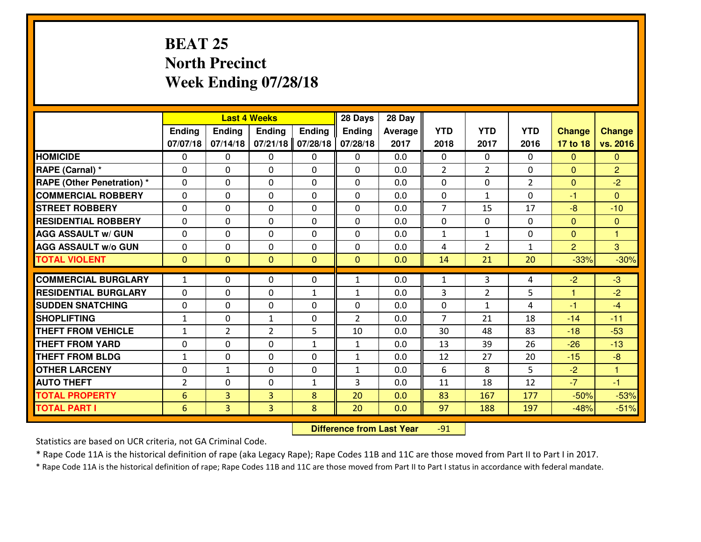## **BEAT 25 North PrecinctWeek Ending 07/28/18**

|                                  |                |                | <b>Last 4 Weeks</b> |               | 28 Days        | 28 Day  |                |                |                |               |                |
|----------------------------------|----------------|----------------|---------------------|---------------|----------------|---------|----------------|----------------|----------------|---------------|----------------|
|                                  | <b>Ending</b>  | <b>Ending</b>  | <b>Endina</b>       | <b>Ending</b> | <b>Ending</b>  | Average | <b>YTD</b>     | <b>YTD</b>     | <b>YTD</b>     | <b>Change</b> | <b>Change</b>  |
|                                  | 07/07/18       | 07/14/18       | 07/21/18            | 07/28/18      | 07/28/18       | 2017    | 2018           | 2017           | 2016           | 17 to 18      | vs. 2016       |
| <b>HOMICIDE</b>                  | $\Omega$       | 0              | 0                   | 0             | 0              | 0.0     | 0              | $\Omega$       | 0              | $\Omega$      | $\mathbf{0}$   |
| RAPE (Carnal) *                  | $\Omega$       | 0              | $\mathbf{0}$        | 0             | $\Omega$       | 0.0     | 2              | $\overline{2}$ | 0              | $\Omega$      | $\overline{2}$ |
| <b>RAPE (Other Penetration)*</b> | $\Omega$       | $\Omega$       | $\mathbf 0$         | $\Omega$      | $\Omega$       | 0.0     | $\Omega$       | 0              | $\overline{2}$ | $\Omega$      | $-2$           |
| <b>COMMERCIAL ROBBERY</b>        | $\Omega$       | 0              | $\mathbf 0$         | $\Omega$      | 0              | 0.0     | 0              | $\mathbf{1}$   | 0              | $-1$          | $\Omega$       |
| <b>STREET ROBBERY</b>            | $\Omega$       | $\Omega$       | $\mathbf 0$         | $\Omega$      | $\Omega$       | 0.0     | $\overline{7}$ | 15             | 17             | $-8$          | $-10$          |
| <b>RESIDENTIAL ROBBERY</b>       | $\Omega$       | $\Omega$       | $\mathbf 0$         | $\Omega$      | 0              | 0.0     | $\mathbf 0$    | $\Omega$       | 0              | $\Omega$      | $\overline{0}$ |
| <b>AGG ASSAULT w/ GUN</b>        | $\Omega$       | $\Omega$       | $\mathbf 0$         | $\Omega$      | $\Omega$       | 0.0     | $\mathbf 1$    | $\mathbf{1}$   | $\Omega$       | $\mathbf{0}$  | $\overline{1}$ |
| <b>AGG ASSAULT w/o GUN</b>       | 0              | 0              | $\mathbf 0$         | $\Omega$      | 0              | 0.0     | 4              | $\overline{2}$ | $\mathbf{1}$   | 2             | 3              |
| <b>TOTAL VIOLENT</b>             | $\mathbf{0}$   | $\mathbf{0}$   | $\mathbf{0}$        | $\mathbf{0}$  | $\mathbf{0}$   | 0.0     | 14             | 21             | 20             | $-33%$        | $-30%$         |
| <b>COMMERCIAL BURGLARY</b>       | $\mathbf{1}$   | 0              | 0                   | 0             | $\mathbf{1}$   | 0.0     | 1              | 3              | 4              | $-2$          | $-3$           |
| <b>RESIDENTIAL BURGLARY</b>      | 0              | 0              | $\mathbf 0$         | $\mathbf{1}$  | $\mathbf{1}$   | 0.0     | 3              | $\overline{2}$ | 5              | $\mathbf{1}$  | $-2$           |
| <b>SUDDEN SNATCHING</b>          | 0              | 0              | $\mathbf 0$         | $\Omega$      | 0              | 0.0     | 0              | $\mathbf{1}$   | 4              | $-1$          | $-4$           |
| <b>SHOPLIFTING</b>               | $\mathbf{1}$   | 0              | $\mathbf{1}$        | 0             | $\overline{2}$ | 0.0     | $\overline{7}$ | 21             | 18             | $-14$         | $-11$          |
| <b>THEFT FROM VEHICLE</b>        | $\mathbf{1}$   | $\overline{2}$ | $\overline{2}$      | 5             | 10             | 0.0     | 30             | 48             | 83             | $-18$         | $-53$          |
| <b>THEFT FROM YARD</b>           | $\mathbf 0$    | 0              | $\mathbf 0$         | $\mathbf{1}$  | $\mathbf{1}$   | 0.0     | 13             | 39             | 26             | $-26$         | $-13$          |
| <b>THEFT FROM BLDG</b>           | $\mathbf{1}$   | 0              | $\mathbf 0$         | 0             | $\mathbf{1}$   | 0.0     | 12             | 27             | 20             | $-15$         | $-8$           |
| <b>OTHER LARCENY</b>             | 0              | $\mathbf{1}$   | $\mathbf 0$         | 0             | $\mathbf{1}$   | 0.0     | 6              | 8              | 5              | $-2$          | $\overline{1}$ |
| <b>AUTO THEFT</b>                | $\overline{2}$ | 0              | $\mathbf 0$         | $\mathbf{1}$  | 3              | 0.0     | 11             | 18             | 12             | $-7$          | $-1$           |
| <b>TOTAL PROPERTY</b>            | 6              | 3              | 3                   | 8             | 20             | 0.0     | 83             | 167            | 177            | $-50%$        |                |
|                                  |                |                |                     |               |                |         |                |                |                |               | $-53%$         |
| <b>TOTAL PART I</b>              | 6              | 3              | 3                   | 8             | 20             | 0.0     | 97             | 188            | 197            | $-48%$        | $-51%$         |

 **Difference from Last Year**-91

Statistics are based on UCR criteria, not GA Criminal Code.

\* Rape Code 11A is the historical definition of rape (aka Legacy Rape); Rape Codes 11B and 11C are those moved from Part II to Part I in 2017.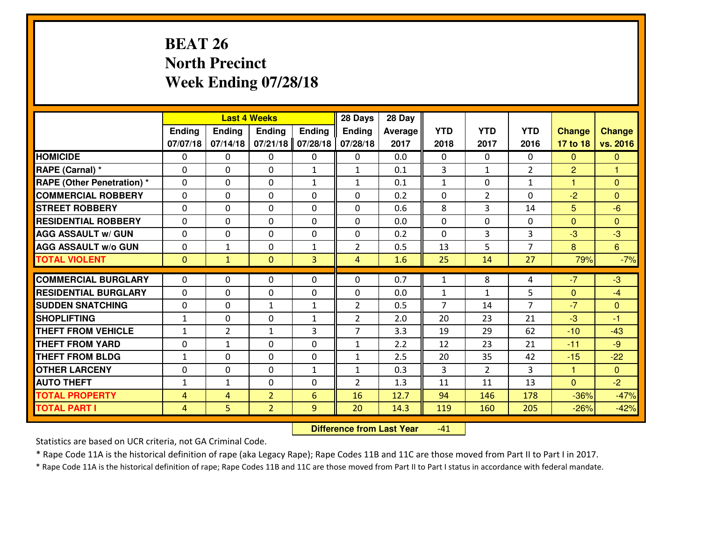## **BEAT 26 North PrecinctWeek Ending 07/28/18**

|                                   |                |                | <b>Last 4 Weeks</b> |               | 28 Days        | 28 Day  |                |                |                |                |                |
|-----------------------------------|----------------|----------------|---------------------|---------------|----------------|---------|----------------|----------------|----------------|----------------|----------------|
|                                   | <b>Ending</b>  | <b>Ending</b>  | <b>Endina</b>       | <b>Ending</b> | <b>Ending</b>  | Average | <b>YTD</b>     | <b>YTD</b>     | <b>YTD</b>     | <b>Change</b>  | <b>Change</b>  |
|                                   | 07/07/18       | 07/14/18       | 07/21/18            | 07/28/18      | 07/28/18       | 2017    | 2018           | 2017           | 2016           | 17 to 18       | vs. 2016       |
| <b>HOMICIDE</b>                   | $\Omega$       | 0              | 0                   | 0             | 0              | 0.0     | 0              | $\Omega$       | 0              | $\Omega$       | $\mathbf{0}$   |
| RAPE (Carnal) *                   | $\Omega$       | $\Omega$       | $\mathbf 0$         | $\mathbf{1}$  | $\mathbf{1}$   | 0.1     | 3              | $\mathbf{1}$   | $\overline{2}$ | 2              | 1              |
| <b>RAPE (Other Penetration) *</b> | 0              | 0              | $\mathbf 0$         | $\mathbf{1}$  | $\mathbf{1}$   | 0.1     | $\mathbf{1}$   | 0              | $\mathbf{1}$   | $\mathbf{1}$   | $\overline{0}$ |
| <b>COMMERCIAL ROBBERY</b>         | 0              | 0              | $\mathbf 0$         | 0             | 0              | 0.2     | 0              | $\overline{2}$ | 0              | $-2$           | $\overline{0}$ |
| <b>STREET ROBBERY</b>             | 0              | 0              | $\mathbf 0$         | 0             | 0              | 0.6     | 8              | $\overline{3}$ | 14             | 5              | $-6$           |
| <b>RESIDENTIAL ROBBERY</b>        | 0              | 0              | $\mathbf 0$         | $\Omega$      | 0              | 0.0     | 0              | $\Omega$       | 0              | $\Omega$       | $\overline{0}$ |
| <b>AGG ASSAULT w/ GUN</b>         | 0              | 0              | $\mathbf 0$         | 0             | 0              | 0.2     | 0              | 3              | 3              | $-3$           | $-3$           |
| <b>AGG ASSAULT W/o GUN</b>        | 0              | 1              | $\mathbf 0$         | 1             | $\overline{2}$ | 0.5     | 13             | 5              | $\overline{7}$ | 8              | 6              |
| <b>TOTAL VIOLENT</b>              | $\mathbf{0}$   | $\mathbf{1}$   | $\mathbf{0}$        | 3             | $\overline{4}$ | 1.6     | 25             | 14             | 27             | 79%            | $-7%$          |
| <b>COMMERCIAL BURGLARY</b>        | $\Omega$       | 0              | 0                   | $\Omega$      | $\Omega$       | 0.7     | $\mathbf{1}$   | 8              | 4              | $-7$           | $-3$           |
| <b>RESIDENTIAL BURGLARY</b>       | $\Omega$       | 0              | $\mathbf 0$         | 0             | 0              | 0.0     | $\mathbf{1}$   | $\mathbf{1}$   | 5              | $\mathbf{0}$   | $-4$           |
| <b>SUDDEN SNATCHING</b>           | 0              | $\Omega$       | 1                   | $\mathbf{1}$  | $\overline{2}$ | 0.5     | $\overline{7}$ | 14             | $\overline{7}$ | $-7$           | $\mathbf{0}$   |
| <b>SHOPLIFTING</b>                | $\mathbf{1}$   | 0              | $\mathbf 0$         | $\mathbf{1}$  | $\overline{2}$ | 2.0     | 20             | 23             | 21             | $-3$           | $-1$           |
| <b>THEFT FROM VEHICLE</b>         | $\mathbf{1}$   | $\overline{2}$ | 1                   | 3             | $\overline{7}$ | 3.3     | 19             | 29             | 62             | $-10$          | $-43$          |
| <b>THEFT FROM YARD</b>            | 0              | 1              | 0                   | 0             | $\mathbf{1}$   | 2.2     | 12             | 23             | 21             | $-11$          | $-9$           |
| <b>THEFT FROM BLDG</b>            | $\mathbf{1}$   | 0              | $\mathbf 0$         | $\Omega$      | $\mathbf{1}$   | 2.5     | 20             | 35             | 42             | $-15$          | $-22$          |
| <b>OTHER LARCENY</b>              | $\mathbf 0$    | 0              | $\mathbf 0$         | $\mathbf{1}$  | $\mathbf{1}$   | 0.3     | $\overline{3}$ | $\overline{2}$ | 3              | $\mathbf{1}$   | $\overline{0}$ |
| <b>AUTO THEFT</b>                 | $\mathbf{1}$   | $\mathbf{1}$   | $\mathbf 0$         | $\Omega$      | $\overline{2}$ | 1.3     | 11             | 11             | 13             | $\overline{0}$ | $-2$           |
| <b>TOTAL PROPERTY</b>             | $\overline{4}$ | $\overline{4}$ | $\overline{2}$      | 6             | 16             | 12.7    | 94             | 146            | 178            | $-36%$         | $-47%$         |
| <b>TOTAL PART I</b>               | $\overline{4}$ | 5              | $\overline{2}$      | 9             | 20             | 14.3    | 119            | 160            | 205            | $-26%$         | $-42%$         |
|                                   |                |                |                     |               |                |         |                |                |                |                |                |

 **Difference from Last Year**-41

Statistics are based on UCR criteria, not GA Criminal Code.

\* Rape Code 11A is the historical definition of rape (aka Legacy Rape); Rape Codes 11B and 11C are those moved from Part II to Part I in 2017.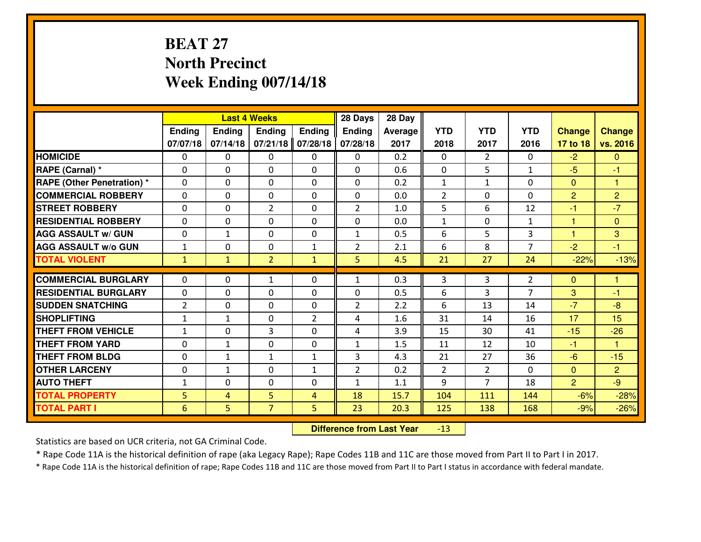## **BEAT 27 North PrecinctWeek Ending 007/14/18**

|                                   |                | <b>Last 4 Weeks</b> |                |                | 28 Days        | 28 Day         |                |                |                |                |                      |
|-----------------------------------|----------------|---------------------|----------------|----------------|----------------|----------------|----------------|----------------|----------------|----------------|----------------------|
|                                   | <b>Ending</b>  | <b>Ending</b>       | <b>Ending</b>  | Ending         | <b>Ending</b>  | <b>Average</b> | <b>YTD</b>     | <b>YTD</b>     | <b>YTD</b>     | <b>Change</b>  | <b>Change</b>        |
|                                   | 07/07/18       | 07/14/18            | 07/21/18       | 07/28/18       | 07/28/18       | 2017           | 2018           | 2017           | 2016           | 17 to 18       | vs. 2016             |
| <b>HOMICIDE</b>                   | $\Omega$       | 0                   | 0              | $\mathbf{0}$   | 0              | 0.2            | $\Omega$       | $\mathcal{L}$  | $\Omega$       | $-2$           | $\Omega$             |
| RAPE (Carnal) *                   | $\Omega$       | $\Omega$            | $\Omega$       | $\Omega$       | $\Omega$       | 0.6            | $\Omega$       | 5              | $\mathbf{1}$   | $-5$           | $-1$                 |
| <b>RAPE (Other Penetration) *</b> | 0              | 0                   | 0              | 0              | 0              | 0.2            | $\mathbf{1}$   | $\mathbf{1}$   | 0              | $\overline{0}$ | $\blacktriangleleft$ |
| <b>COMMERCIAL ROBBERY</b>         | 0              | 0                   | $\mathbf 0$    | 0              | 0              | 0.0            | $\overline{2}$ | 0              | 0              | 2              | $\overline{2}$       |
| <b>STREET ROBBERY</b>             | 0              | 0                   | $\overline{2}$ | 0              | $\overline{2}$ | 1.0            | 5              | 6              | 12             | $-1$           | $-7$                 |
| <b>RESIDENTIAL ROBBERY</b>        | 0              | 0                   | 0              | 0              | 0              | 0.0            | $\mathbf{1}$   | $\Omega$       | $\mathbf{1}$   | $\mathbf{1}$   | $\overline{0}$       |
| <b>AGG ASSAULT W/ GUN</b>         | 0              | $\mathbf{1}$        | 0              | 0              | $\mathbf{1}$   | 0.5            | 6              | 5              | 3              | $\mathbf{1}$   | 3                    |
| <b>AGG ASSAULT W/o GUN</b>        | $\mathbf{1}$   | 0                   | 0              | $\mathbf{1}$   | $\overline{2}$ | 2.1            | 6              | 8              | $\overline{7}$ | $-2$           | $-1$                 |
| <b>TOTAL VIOLENT</b>              | $\mathbf{1}$   | $\mathbf{1}$        | $\overline{2}$ | $\mathbf{1}$   | 5              | 4.5            | 21             | 27             | 24             | $-22%$         | $-13%$               |
| <b>COMMERCIAL BURGLARY</b>        | $\Omega$       |                     |                |                |                | 0.3            |                |                |                |                | 1                    |
|                                   |                | 0                   | $\mathbf{1}$   | 0              | $\mathbf{1}$   |                | 3              | 3              | $\overline{2}$ | $\Omega$       |                      |
| <b>RESIDENTIAL BURGLARY</b>       | $\Omega$       | 0                   | 0              | 0              | 0              | 0.5            | 6              | 3              | $\overline{7}$ | 3              | $-1$                 |
| <b>SUDDEN SNATCHING</b>           | $\overline{2}$ | 0                   | 0              | 0              | $\overline{2}$ | 2.2            | 6              | 13             | 14             | $-7$           | $-8$                 |
| <b>SHOPLIFTING</b>                | $\mathbf{1}$   | $\mathbf{1}$        | 0              | $\overline{2}$ | 4              | 1.6            | 31             | 14             | 16             | 17             | 15                   |
| <b>THEFT FROM VEHICLE</b>         | $\mathbf{1}$   | 0                   | 3              | 0              | 4              | 3.9            | 15             | 30             | 41             | $-15$          | $-26$                |
| <b>THEFT FROM YARD</b>            | $\mathbf 0$    | $\mathbf{1}$        | 0              | 0              | $\mathbf{1}$   | 1.5            | 11             | 12             | 10             | $-1$           | $\overline{1}$       |
| <b>THEFT FROM BLDG</b>            | 0              | $\mathbf{1}$        | $\mathbf{1}$   | $\mathbf{1}$   | 3              | 4.3            | 21             | 27             | 36             | $-6$           | $-15$                |
| <b>OTHER LARCENY</b>              | $\mathbf 0$    | $\mathbf{1}$        | 0              | $\mathbf{1}$   | $\overline{2}$ | 0.2            | $\overline{2}$ | $\overline{2}$ | $\Omega$       | $\overline{0}$ | $\overline{2}$       |
| <b>AUTO THEFT</b>                 | $\mathbf{1}$   | $\Omega$            | 0              | $\Omega$       | $\mathbf{1}$   | 1.1            | 9              | $\overline{7}$ | 18             | $\overline{2}$ | $-9$                 |
| <b>TOTAL PROPERTY</b>             | 5 <sup>1</sup> | $\overline{4}$      | 5              | $\overline{4}$ | 18             | 15.7           | 104            | 111            | 144            | $-6%$          | $-28%$               |
| <b>TOTAL PART I</b>               | 6              | 5                   | $\overline{7}$ | 5              | 23             | 20.3           | 125            | 138            | 168            | $-9%$          | $-26%$               |

 **Difference from Last Year**-13

Statistics are based on UCR criteria, not GA Criminal Code.

\* Rape Code 11A is the historical definition of rape (aka Legacy Rape); Rape Codes 11B and 11C are those moved from Part II to Part I in 2017.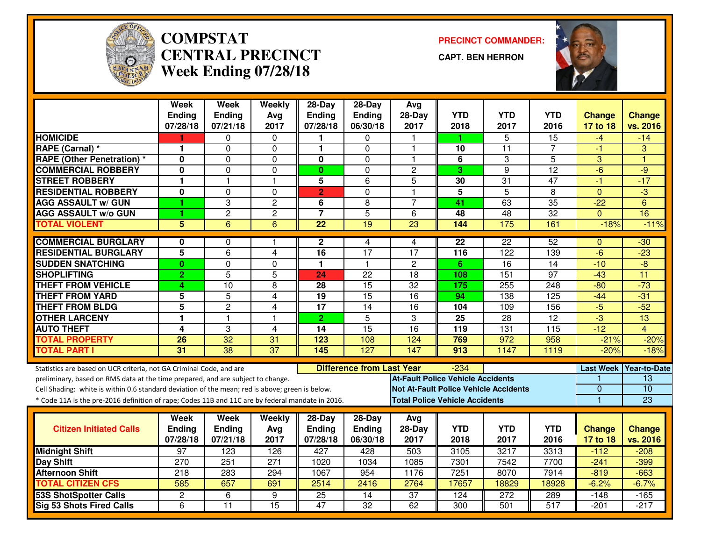

#### **COMPSTAT PRECINCT COMMANDER: CENTRAL PRECINCTWeek Ending 07/28/18**

**CAPT. BEN HERRON**



|                                                                                                  | <b>Week</b><br><b>Ending</b><br>07/28/18 | <b>Week</b><br><b>Ending</b><br>07/21/18 | Weekly<br>Avg<br>2017   | $28$ -Day<br><b>Ending</b><br>07/28/18 | $28-Day$<br><b>Ending</b><br>06/30/18 | Avg<br>$28-Day$<br>2017                  | <b>YTD</b><br>2018      | <b>YTD</b><br>2017                           | <b>YTD</b><br>2016 | <b>Change</b><br>17 to 18 | <b>Change</b><br>vs. 2016 |
|--------------------------------------------------------------------------------------------------|------------------------------------------|------------------------------------------|-------------------------|----------------------------------------|---------------------------------------|------------------------------------------|-------------------------|----------------------------------------------|--------------------|---------------------------|---------------------------|
| <b>HOMICIDE</b>                                                                                  | 1                                        | 0                                        | 0                       | 1                                      | $\Omega$                              | 1                                        | 1.                      | 5                                            | 15                 | -4                        | $-14$                     |
| RAPE (Carnal) *                                                                                  | 1                                        | 0                                        | 0                       | 1                                      | 0                                     | 1                                        | 10                      | 11                                           | 7                  | -1                        | 3                         |
| <b>RAPE (Other Penetration) *</b>                                                                | $\mathbf 0$                              | $\Omega$                                 | $\Omega$                | $\mathbf 0$                            | $\Omega$                              | 1                                        | 6                       | 3                                            | $\overline{5}$     | 3                         | -1                        |
| <b>COMMERCIAL ROBBERY</b>                                                                        | $\mathbf 0$                              | 0                                        | 0                       | $\bf{0}$                               | $\mathbf 0$                           | $\overline{c}$                           | 3                       | 9                                            | 12                 | $-6$                      | $-9$                      |
| <b>STREET ROBBERY</b>                                                                            | $\mathbf{1}$                             | 1                                        | $\mathbf{1}$            | 5                                      | 6                                     | $\overline{5}$                           | 30                      | $\overline{31}$                              | 47                 | $-1$                      | $-17$                     |
| <b>RESIDENTIAL ROBBERY</b>                                                                       | $\mathbf 0$                              | $\Omega$                                 | $\Omega$                | $\overline{2}$                         | $\mathbf 0$                           | $\mathbf{1}$                             | $\overline{\mathbf{5}}$ | 5                                            | 8                  | $\mathbf{0}$              | $\overline{\omega}$       |
| <b>AGG ASSAULT w/ GUN</b>                                                                        | 1                                        | 3                                        | $\overline{c}$          | 6                                      | 8                                     | $\overline{7}$                           | 41                      | 63                                           | $\overline{35}$    | $-22$                     | 6                         |
| <b>AGG ASSAULT w/o GUN</b>                                                                       | 1                                        | $\overline{2}$                           | $\overline{2}$          | $\overline{7}$                         | $\overline{5}$                        | 6                                        | 48                      | 48                                           | $\overline{32}$    | $\Omega$                  | 16                        |
| <b>TOTAL VIOLENT</b>                                                                             | $\overline{5}$                           | $\overline{6}$                           | $\overline{6}$          | $\overline{22}$                        | 19                                    | $\overline{23}$                          | 144                     | 175                                          | 161                | $-18%$                    | $-11%$                    |
| <b>COMMERCIAL BURGLARY</b>                                                                       | 0                                        | $\Omega$                                 | 1                       | $\mathbf{2}$                           | 4                                     | 4                                        | 22                      | 22                                           | 52                 | $\Omega$                  | $-30$                     |
| <b>RESIDENTIAL BURGLARY</b>                                                                      | 5                                        | 6                                        | 4                       | 16                                     | 17                                    | 17                                       | 116                     | 122                                          | 139                | $-6$                      | $-23$                     |
| <b>SUDDEN SNATCHING</b>                                                                          | $\bf{0}$                                 | $\overline{0}$                           | 0                       | $\mathbf{1}$                           | $\mathbf{1}$                          | $\overline{2}$                           | 6                       | $\overline{16}$                              | $\overline{14}$    | $-10$                     | $-8$                      |
| <b>SHOPLIFTING</b>                                                                               | $\overline{2}$                           | $\overline{5}$                           | 5                       | 24                                     | $\overline{22}$                       | 18                                       | 108                     | 151                                          | $\overline{97}$    | $-43$                     | $\overline{11}$           |
| <b>THEFT FROM VEHICLE</b>                                                                        | 4                                        | $\overline{10}$                          | 8                       | $\overline{28}$                        | 15                                    | $\overline{32}$                          | 175                     | 255                                          | $\overline{248}$   | $-80$                     | $-73$                     |
| <b>THEFT FROM YARD</b>                                                                           | 5                                        | 5                                        | 4                       | $\overline{19}$                        | $\overline{15}$                       | 16                                       | 94                      | 138                                          | 125                | $-44$                     | $-31$                     |
| <b>THEFT FROM BLDG</b>                                                                           | 5                                        | $\overline{c}$                           | 4                       | 17                                     | 14                                    | 16                                       | 104                     | 109                                          | 156                | $-5$                      | $-52$                     |
| <b>OTHER LARCENY</b>                                                                             | $\mathbf{1}$                             | $\mathbf{1}$                             | $\overline{\mathbf{1}}$ | $\overline{2}$                         | $\overline{5}$                        | 3                                        | $\overline{25}$         | $\overline{28}$                              | $\overline{12}$    | $-3$                      | 13                        |
| <b>AUTO THEFT</b>                                                                                | 4                                        | 3                                        | $\overline{4}$          | 14                                     | $\overline{15}$                       | $\overline{16}$                          | $\overline{119}$        | 131                                          | $\overline{115}$   | $-12$                     | $\overline{4}$            |
| <b>TOTAL PROPERTY</b>                                                                            | 26                                       | 32                                       | 31                      | 123                                    | 108                                   | 124                                      | 769                     | 972                                          | 958                | $-21%$                    | $-20%$                    |
| <b>TOTAL PART I</b>                                                                              | $\overline{31}$                          | $\overline{38}$                          | $\overline{37}$         | 145                                    | 127                                   | 147                                      | 913                     | 1147                                         | 1119               | $-20%$                    | $-18%$                    |
| Statistics are based on UCR criteria, not GA Criminal Code, and are                              |                                          |                                          |                         |                                        | <b>Difference from Last Year</b>      |                                          | $-234$                  |                                              |                    | <b>Last Week</b>          | <b>Year-to-Date</b>       |
| preliminary, based on RMS data at the time prepared, and are subject to change.                  |                                          |                                          |                         |                                        |                                       | <b>At-Fault Police Vehicle Accidents</b> |                         |                                              |                    |                           | $\overline{13}$           |
| Cell Shading: white is within 0.6 standard deviation of the mean; red is above; green is below.  |                                          |                                          |                         |                                        |                                       |                                          |                         | <b>Not At-Fault Police Vehicle Accidents</b> |                    | $\mathbf{0}$              | 10                        |
| * Code 11A is the pre-2016 definition of rape; Codes 11B and 11C are by federal mandate in 2016. |                                          |                                          |                         |                                        |                                       | <b>Total Police Vehicle Accidents</b>    |                         |                                              |                    | $\blacktriangleleft$      | 23                        |
|                                                                                                  | Week                                     | Week                                     | Weekly                  | $28-Day$                               | 28-Day                                | Avg                                      |                         |                                              |                    |                           |                           |
| <b>Citizen Initiated Calls</b>                                                                   | <b>Ending</b>                            | <b>Ending</b>                            | Avg                     | <b>Ending</b>                          | Ending                                | 28-Day                                   | <b>YTD</b>              | <b>YTD</b>                                   | <b>YTD</b>         | <b>Change</b>             | <b>Change</b>             |
|                                                                                                  | 07/28/18                                 | 07/21/18                                 | 2017                    | 07/28/18                               | 06/30/18                              | 2017                                     | 2018                    | 2017                                         | 2016               | 17 to 18                  | vs. 2016                  |
| <b>Midnight Shift</b>                                                                            | 97                                       | $\overline{123}$                         | 126                     | 427                                    | 428                                   | 503                                      | 3105                    | 3217                                         | 3313               | $-112$                    | $-208$                    |
| Day Shift                                                                                        | $\overline{270}$                         | 251                                      | $\overline{271}$        | 1020                                   | 1034                                  | 1085                                     | 7301                    | 7542                                         | 7700               | $-241$                    | $-399$                    |
| <b>Afternoon Shift</b>                                                                           | 218                                      | 283                                      | 294                     | 1067                                   | 954                                   | 1176                                     | 7251                    | 8070                                         | 7914               | $-819$                    | $-663$                    |
| <b>TOTAL CITIZEN CFS</b>                                                                         | 585                                      | 657                                      | 691                     | 2514                                   | 2416                                  | 2764                                     | 17657                   | 18829                                        | 18928              | $-6.2%$                   | $-6.7%$                   |
| <b>53S ShotSpotter Calls</b>                                                                     | $\overline{c}$                           | $\overline{6}$                           | 9                       | $\overline{25}$                        | $\overline{14}$                       | 37                                       | 124                     | 272                                          | 289                | $-148$                    | $-165$                    |
| <b>Sig 53 Shots Fired Calls</b>                                                                  | 6                                        | $\overline{11}$                          | $\overline{15}$         | $\overline{47}$                        | $\overline{32}$                       | 62                                       | 300                     | 501                                          | $\overline{517}$   | $-201$                    | $-217$                    |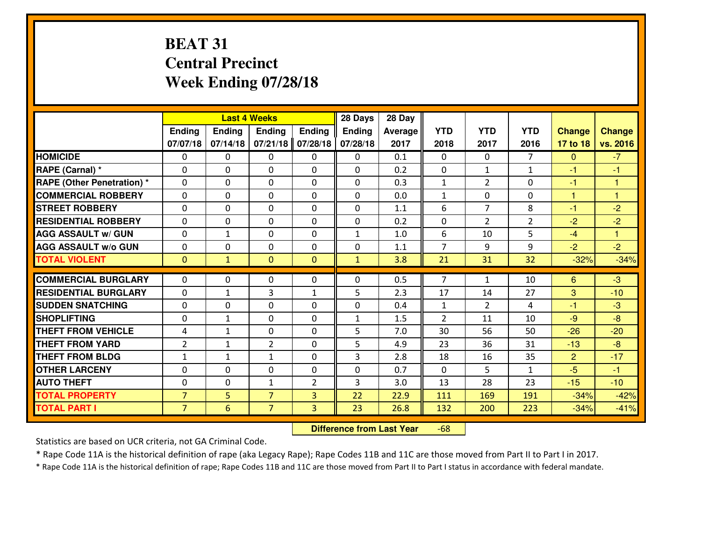### **BEAT 31 Central PrecinctWeek Ending 07/28/18**

|                                   |                |               | <b>Last 4 Weeks</b> |                | 28 Days       | 28 Day  |                |                |                |                |                |
|-----------------------------------|----------------|---------------|---------------------|----------------|---------------|---------|----------------|----------------|----------------|----------------|----------------|
|                                   | <b>Ending</b>  | <b>Ending</b> | <b>Endina</b>       | <b>Ending</b>  | <b>Ending</b> | Average | <b>YTD</b>     | <b>YTD</b>     | <b>YTD</b>     | <b>Change</b>  | <b>Change</b>  |
|                                   | 07/07/18       | 07/14/18      | 07/21/18            | 07/28/18       | 07/28/18      | 2017    | 2018           | 2017           | 2016           | 17 to 18       | vs. 2016       |
| <b>HOMICIDE</b>                   | $\Omega$       | 0             | 0                   | 0              | 0             | 0.1     | 0              | $\Omega$       | $\overline{7}$ | $\Omega$       | $-7$           |
| RAPE (Carnal) *                   | $\Omega$       | $\Omega$      | $\mathbf 0$         | $\Omega$       | $\Omega$      | 0.2     | $\Omega$       | $\mathbf{1}$   | $\mathbf{1}$   | $-1$           | $-1$           |
| <b>RAPE (Other Penetration) *</b> | 0              | 0             | $\mathbf 0$         | 0              | 0             | 0.3     | $\mathbf{1}$   | $\overline{2}$ | 0              | $-1$           | $\overline{1}$ |
| <b>COMMERCIAL ROBBERY</b>         | 0              | 0             | $\mathbf 0$         | 0              | 0             | 0.0     | $\mathbf{1}$   | 0              | 0              | $\mathbf{1}$   | $\overline{1}$ |
| <b>STREET ROBBERY</b>             | 0              | 0             | $\mathbf 0$         | 0              | 0             | 1.1     | 6              | $\overline{7}$ | 8              | $-1$           | $-2$           |
| <b>RESIDENTIAL ROBBERY</b>        | 0              | 0             | $\mathbf 0$         | $\Omega$       | 0             | 0.2     | 0              | $\overline{2}$ | $\overline{2}$ | $-2$           | $-2$           |
| <b>AGG ASSAULT w/ GUN</b>         | 0              | 1             | $\mathbf 0$         | 0              | $\mathbf{1}$  | 1.0     | 6              | 10             | 5              | $-4$           | 1              |
| <b>AGG ASSAULT W/o GUN</b>        | 0              | 0             | $\mathbf 0$         | $\Omega$       | 0             | 1.1     | $\overline{7}$ | 9              | 9              | $-2$           | $-2$           |
| <b>TOTAL VIOLENT</b>              | $\mathbf{0}$   | $\mathbf{1}$  | $\mathbf{0}$        | $\mathbf{0}$   | $\mathbf{1}$  | 3.8     | 21             | 31             | 32             | $-32%$         | $-34%$         |
| <b>COMMERCIAL BURGLARY</b>        | $\Omega$       | 0             | 0                   | 0              | $\Omega$      | 0.5     | $\overline{7}$ | $\mathbf{1}$   | 10             | 6              | $-3$           |
| <b>RESIDENTIAL BURGLARY</b>       | 0              | 1             | 3                   | $\mathbf{1}$   | 5             | 2.3     | 17             | 14             | 27             | 3              | $-10$          |
| <b>SUDDEN SNATCHING</b>           | $\Omega$       | $\Omega$      | $\mathbf 0$         | $\Omega$       | 0             | 0.4     | $\mathbf{1}$   | $\overline{2}$ | 4              | $-1$           | $-3$           |
| <b>SHOPLIFTING</b>                | $\mathbf{0}$   | $\mathbf{1}$  | $\mathbf 0$         | 0              | $\mathbf{1}$  | 1.5     | $\overline{2}$ | 11             | 10             | $-9$           | $-8$           |
| <b>THEFT FROM VEHICLE</b>         | 4              | $\mathbf{1}$  | 0                   | 0              | 5             | 7.0     | 30             | 56             | 50             | $-26$          | $-20$          |
| <b>THEFT FROM YARD</b>            | $\overline{2}$ | 1             | $\overline{2}$      | 0              | 5             | 4.9     | 23             | 36             | 31             | $-13$          | $-8$           |
| <b>THEFT FROM BLDG</b>            | $\mathbf{1}$   | $\mathbf{1}$  | $\mathbf{1}$        | $\Omega$       | 3             | 2.8     | 18             | 16             | 35             | $\overline{2}$ | $-17$          |
| <b>OTHER LARCENY</b>              | $\mathbf 0$    | $\mathbf 0$   | $\mathbf 0$         | $\mathbf 0$    | 0             | 0.7     | $\mathbf 0$    | 5              | $\mathbf{1}$   | $-5$           | $-1$           |
| <b>AUTO THEFT</b>                 | 0              | $\Omega$      | $\mathbf{1}$        | $\overline{2}$ | 3             | 3.0     | 13             | 28             | 23             | $-15$          | $-10$          |
| <b>TOTAL PROPERTY</b>             | $\overline{7}$ | 5             | $\overline{7}$      | 3              | 22            | 22.9    | 111            | 169            | 191            | $-34%$         | $-42%$         |
| <b>TOTAL PART I</b>               | $\overline{7}$ | 6             | $\overline{7}$      | 3              | 23            | 26.8    | 132            | 200            | 223            | $-34%$         | $-41%$         |
|                                   |                |               |                     |                |               |         |                |                |                |                |                |

 **Difference from Last Year**-68

Statistics are based on UCR criteria, not GA Criminal Code.

\* Rape Code 11A is the historical definition of rape (aka Legacy Rape); Rape Codes 11B and 11C are those moved from Part II to Part I in 2017.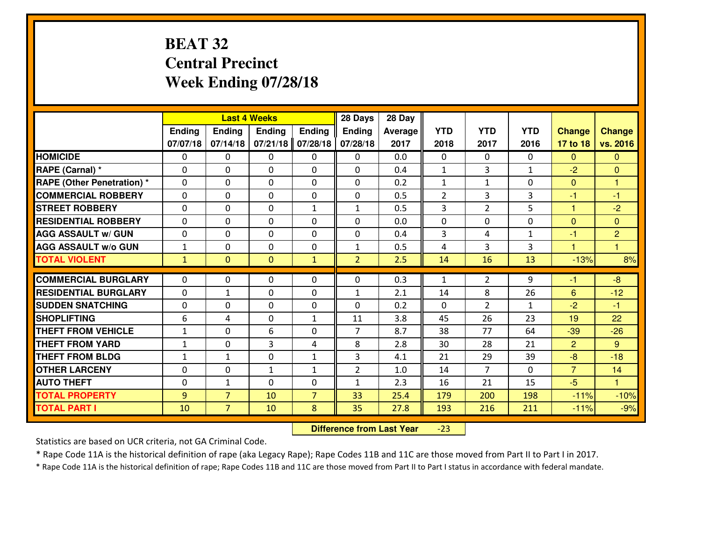### **BEAT 32 Central PrecinctWeek Ending 07/28/18**

|                                   |              |                | <b>Last 4 Weeks</b> |                | 28 Days        | 28 Day         |                |                |              |                      |                |
|-----------------------------------|--------------|----------------|---------------------|----------------|----------------|----------------|----------------|----------------|--------------|----------------------|----------------|
|                                   | Ending       | <b>Ending</b>  | <b>Ending</b>       | Ending         | <b>Ending</b>  | <b>Average</b> | <b>YTD</b>     | <b>YTD</b>     | <b>YTD</b>   | <b>Change</b>        | <b>Change</b>  |
|                                   | 07/07/18     | 07/14/18       | 07/21/18            | 07/28/18       | 07/28/18       | 2017           | 2018           | 2017           | 2016         | 17 to 18             | vs. 2016       |
| <b>HOMICIDE</b>                   | $\Omega$     | 0              | $\Omega$            | $\Omega$       | 0              | 0.0            | $\Omega$       | $\Omega$       | $\Omega$     | $\Omega$             | $\Omega$       |
| RAPE (Carnal) *                   | $\Omega$     | 0              | $\Omega$            | $\Omega$       | $\Omega$       | 0.4            | $\mathbf{1}$   | 3              | $\mathbf{1}$ | $-2$                 | $\Omega$       |
| <b>RAPE (Other Penetration) *</b> | 0            | 0              | $\mathbf 0$         | 0              | 0              | 0.2            | $\mathbf{1}$   | $\mathbf{1}$   | 0            | $\mathbf{0}$         | 1              |
| <b>COMMERCIAL ROBBERY</b>         | 0            | 0              | $\mathbf 0$         | 0              | 0              | 0.5            | $\overline{2}$ | 3              | 3            | $-1$                 | $-1$           |
| <b>STREET ROBBERY</b>             | $\mathbf{0}$ | 0              | $\mathbf 0$         | $\mathbf{1}$   | $\mathbf{1}$   | 0.5            | 3              | $\overline{2}$ | 5            | $\mathbf{1}$         | $-2$           |
| <b>RESIDENTIAL ROBBERY</b>        | $\Omega$     | 0              | $\mathbf 0$         | 0              | 0              | 0.0            | $\mathbf 0$    | $\Omega$       | 0            | $\mathbf{0}$         | $\mathbf{0}$   |
| <b>AGG ASSAULT w/ GUN</b>         | 0            | 0              | 0                   | 0              | 0              | 0.4            | 3              | 4              | $\mathbf{1}$ | $-1$                 | $\overline{2}$ |
| <b>AGG ASSAULT W/o GUN</b>        | $\mathbf{1}$ | 0              | 0                   | 0              | $\mathbf{1}$   | 0.5            | 4              | 3              | 3            | $\blacktriangleleft$ | $\mathbf{1}$   |
| <b>TOTAL VIOLENT</b>              | $\mathbf{1}$ | $\overline{0}$ | $\mathbf{0}$        | $\mathbf{1}$   | $\overline{2}$ | 2.5            | 14             | 16             | 13           | $-13%$               | 8%             |
| <b>COMMERCIAL BURGLARY</b>        | $\Omega$     | 0              | $\mathbf{0}$        | $\mathbf{0}$   | $\Omega$       | 0.3            | $\mathbf{1}$   | $\overline{2}$ | 9            | -1                   | $-8$           |
|                                   |              |                |                     |                |                |                |                |                |              |                      |                |
| <b>RESIDENTIAL BURGLARY</b>       | $\mathbf{0}$ | 1              | 0                   | 0              | $\mathbf{1}$   | 2.1            | 14             | 8              | 26           | 6                    | $-12$          |
| <b>SUDDEN SNATCHING</b>           | $\mathbf{0}$ | 0              | 0                   | 0              | 0              | 0.2            | $\mathbf{0}$   | $\overline{2}$ | $\mathbf{1}$ | $-2$                 | $-1$           |
| <b>SHOPLIFTING</b>                | 6            | 4              | $\mathbf 0$         | $\mathbf{1}$   | 11             | 3.8            | 45             | 26             | 23           | 19                   | 22             |
| <b>THEFT FROM VEHICLE</b>         | $\mathbf{1}$ | 0              | 6                   | 0              | $\overline{7}$ | 8.7            | 38             | 77             | 64           | $-39$                | $-26$          |
| <b>THEFT FROM YARD</b>            | $\mathbf{1}$ | 0              | 3                   | 4              | 8              | 2.8            | 30             | 28             | 21           | $\overline{2}$       | $9^{\circ}$    |
| <b>THEFT FROM BLDG</b>            | $\mathbf{1}$ | 1              | 0                   | $\mathbf{1}$   | 3              | 4.1            | 21             | 29             | 39           | $-8$                 | $-18$          |
| <b>OTHER LARCENY</b>              | 0            | 0              | $\mathbf{1}$        | $\mathbf{1}$   | $\overline{2}$ | 1.0            | 14             | $\overline{7}$ | 0            | $\overline{7}$       | 14             |
| <b>AUTO THEFT</b>                 | 0            | $\mathbf{1}$   | 0                   | 0              | $\mathbf{1}$   | 2.3            | 16             | 21             | 15           | $-5$                 | $\mathbf{1}$   |
| <b>TOTAL PROPERTY</b>             | 9            | $\overline{7}$ | 10                  | $\overline{7}$ | 33             | 25.4           | 179            | 200            | 198          | $-11%$               | $-10%$         |
| <b>TOTAL PART I</b>               | 10           | $\overline{7}$ | 10                  | 8              | 35             | 27.8           | 193            | 216            | 211          | $-11%$               | $-9%$          |

 **Difference from Last Year**-23

Statistics are based on UCR criteria, not GA Criminal Code.

\* Rape Code 11A is the historical definition of rape (aka Legacy Rape); Rape Codes 11B and 11C are those moved from Part II to Part I in 2017.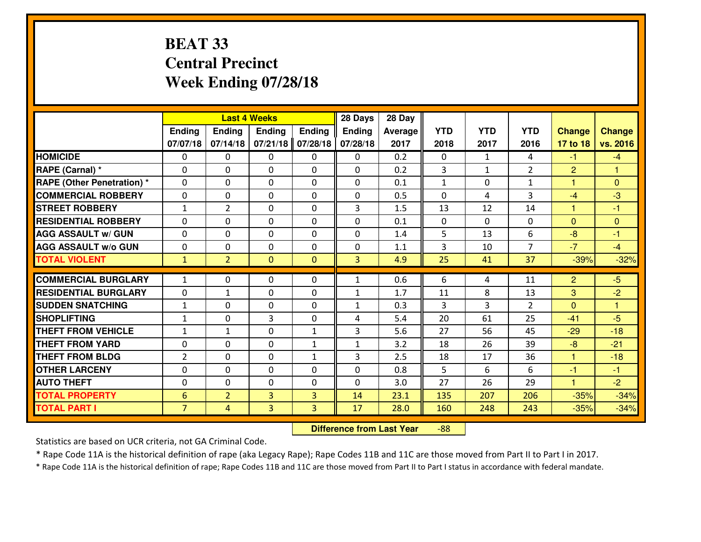#### **BEAT 33 Central PrecinctWeek Ending 07/28/18**

|                                  |                |                | <b>Last 4 Weeks</b> |               | 28 Days        | 28 Day  |              |              |                |                |               |
|----------------------------------|----------------|----------------|---------------------|---------------|----------------|---------|--------------|--------------|----------------|----------------|---------------|
|                                  | Ending         | <b>Ending</b>  | <b>Ending</b>       | <b>Ending</b> | <b>Ending</b>  | Average | <b>YTD</b>   | <b>YTD</b>   | <b>YTD</b>     | <b>Change</b>  | <b>Change</b> |
|                                  | 07/07/18       | 07/14/18       | 07/21/18            | 07/28/18      | 07/28/18       | 2017    | 2018         | 2017         | 2016           | 17 to 18       | vs. 2016      |
| <b>HOMICIDE</b>                  | $\Omega$       | 0              | 0                   | 0             | $\Omega$       | 0.2     | 0            | $\mathbf{1}$ | 4              | $-1$           | $-4$          |
| RAPE (Carnal) *                  | $\Omega$       | 0              | $\Omega$            | $\Omega$      | $\Omega$       | 0.2     | 3            | $\mathbf{1}$ | $\overline{2}$ | $\overline{2}$ | 1             |
| <b>RAPE (Other Penetration)*</b> | 0              | 0              | $\mathbf 0$         | 0             | 0              | 0.1     | $\mathbf{1}$ | 0            | $\mathbf{1}$   | $\mathbf{1}$   | $\mathbf{0}$  |
| <b>COMMERCIAL ROBBERY</b>        | 0              | 0              | $\mathbf 0$         | 0             | 0              | 0.5     | 0            | 4            | 3              | $-4$           | $-3$          |
| <b>STREET ROBBERY</b>            | $\mathbf{1}$   | $\overline{2}$ | $\mathbf 0$         | 0             | 3              | 1.5     | 13           | 12           | 14             | 1              | $-1$          |
| <b>RESIDENTIAL ROBBERY</b>       | $\Omega$       | 0              | $\mathbf 0$         | 0             | 0              | 0.1     | $\mathbf{0}$ | $\Omega$     | 0              | $\Omega$       | $\mathbf{0}$  |
| <b>AGG ASSAULT W/ GUN</b>        | 0              | 0              | $\mathbf 0$         | 0             | 0              | 1.4     | 5            | 13           | 6              | $-8$           | $-1$          |
| <b>AGG ASSAULT W/o GUN</b>       | 0              | 0              | 0                   | 0             | 0              | 1.1     | 3            | 10           | $\overline{7}$ | $-7$           | $-4$          |
| <b>TOTAL VIOLENT</b>             | $\mathbf{1}$   | $\overline{2}$ | $\overline{0}$      | $\mathbf{0}$  | $\overline{3}$ | 4.9     | 25           | 41           | 37             | $-39%$         | $-32%$        |
| <b>COMMERCIAL BURGLARY</b>       | $\mathbf{1}$   | 0              | $\mathbf{0}$        | 0             | $\mathbf{1}$   | 0.6     | 6            | 4            | 11             | 2              | $-5$          |
|                                  |                |                |                     |               |                |         |              |              |                |                |               |
| <b>RESIDENTIAL BURGLARY</b>      | $\mathbf{0}$   | 1              | 0                   | 0             | $\mathbf{1}$   | 1.7     | 11           | 8            | 13             | 3              | $-2$          |
| <b>SUDDEN SNATCHING</b>          | $\mathbf{1}$   | 0              | $\mathbf 0$         | 0             | $\mathbf{1}$   | 0.3     | 3            | 3            | $\overline{2}$ | $\Omega$       | $\mathbf{1}$  |
| <b>SHOPLIFTING</b>               | $\mathbf{1}$   | 0              | 3                   | 0             | 4              | 5.4     | 20           | 61           | 25             | $-41$          | $-5$          |
| <b>THEFT FROM VEHICLE</b>        | $\mathbf{1}$   | 1              | $\mathbf 0$         | $\mathbf{1}$  | 3              | 5.6     | 27           | 56           | 45             | $-29$          | $-18$         |
| <b>THEFT FROM YARD</b>           | 0              | 0              | $\mathbf 0$         | $\mathbf{1}$  | $\mathbf{1}$   | 3.2     | 18           | 26           | 39             | $-8$           | $-21$         |
| <b>THEFT FROM BLDG</b>           | 2              | 0              | $\mathbf 0$         | $\mathbf{1}$  | 3              | 2.5     | 18           | 17           | 36             | $\mathbf{1}$   | $-18$         |
| <b>OTHER LARCENY</b>             | 0              | 0              | $\mathbf 0$         | 0             | 0              | 0.8     | 5            | 6            | 6              | $-1$           | $-1$          |
| <b>AUTO THEFT</b>                | 0              | 0              | $\mathbf 0$         | 0             | 0              | 3.0     | 27           | 26           | 29             | $\mathbf{1}$   | $-2$          |
| <b>TOTAL PROPERTY</b>            | 6              | $\overline{2}$ | 3                   | 3             | 14             | 23.1    | 135          | 207          | 206            | $-35%$         | $-34%$        |
| <b>TOTAL PART I</b>              | $\overline{7}$ | 4              | 3                   | 3             | 17             | 28.0    | 160          | 248          | 243            | $-35%$         | $-34%$        |

 **Difference from Last Year**-88

Statistics are based on UCR criteria, not GA Criminal Code.

\* Rape Code 11A is the historical definition of rape (aka Legacy Rape); Rape Codes 11B and 11C are those moved from Part II to Part I in 2017.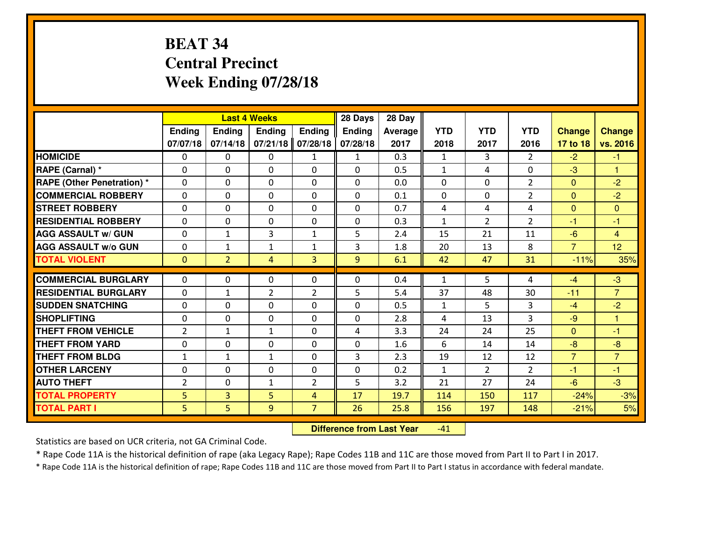### **BEAT 34 Central PrecinctWeek Ending 07/28/18**

|                                  |                |                | <b>Last 4 Weeks</b> |                | 28 Days       | 28 Day  |              |                |                |                |                |
|----------------------------------|----------------|----------------|---------------------|----------------|---------------|---------|--------------|----------------|----------------|----------------|----------------|
|                                  | Ending         | <b>Ending</b>  | <b>Ending</b>       | <b>Ending</b>  | <b>Ending</b> | Average | <b>YTD</b>   | <b>YTD</b>     | <b>YTD</b>     | <b>Change</b>  | <b>Change</b>  |
|                                  | 07/07/18       | 07/14/18       | 07/21/18            | 07/28/18       | 07/28/18      | 2017    | 2018         | 2017           | 2016           | 17 to 18       | vs. 2016       |
| <b>HOMICIDE</b>                  | $\Omega$       | 0              | 0                   | $\mathbf{1}$   | 1             | 0.3     | 1            | 3              | $\mathfrak{D}$ | $-2$           | $-1$           |
| RAPE (Carnal) *                  | $\Omega$       | 0              | $\Omega$            | $\Omega$       | $\Omega$      | 0.5     | $\mathbf{1}$ | 4              | 0              | -3             | 1              |
| <b>RAPE (Other Penetration)*</b> | 0              | 0              | $\mathbf 0$         | 0              | 0             | 0.0     | 0            | 0              | $\overline{2}$ | $\Omega$       | $-2$           |
| <b>COMMERCIAL ROBBERY</b>        | 0              | 0              | $\mathbf 0$         | 0              | 0             | 0.1     | 0            | 0              | $\overline{2}$ | $\mathbf{0}$   | $-2$           |
| <b>STREET ROBBERY</b>            | 0              | 0              | $\mathbf 0$         | 0              | 0             | 0.7     | 4            | 4              | 4              | $\mathbf{0}$   | $\mathbf{0}$   |
| <b>RESIDENTIAL ROBBERY</b>       | 0              | 0              | $\mathbf 0$         | $\mathbf{0}$   | 0             | 0.3     | $\mathbf{1}$ | $\overline{2}$ | $\overline{2}$ | $-1$           | $-1$           |
| <b>AGG ASSAULT W/ GUN</b>        | 0              | $\mathbf{1}$   | 3                   | $\mathbf{1}$   | 5             | 2.4     | 15           | 21             | 11             | $-6$           | $\overline{4}$ |
| <b>AGG ASSAULT W/o GUN</b>       | 0              | 1              | 1                   | 1              | 3             | 1.8     | 20           | 13             | 8              | $\overline{7}$ | 12             |
| <b>TOTAL VIOLENT</b>             | $\mathbf{0}$   | $\overline{2}$ | 4                   | 3              | 9             | 6.1     | 42           | 47             | 31             | $-11%$         | 35%            |
| <b>COMMERCIAL BURGLARY</b>       | $\Omega$       | 0              | $\mathbf{0}$        | 0              | $\Omega$      | 0.4     | $\mathbf{1}$ | 5.             | 4              | $-4$           | $-3$           |
| <b>RESIDENTIAL BURGLARY</b>      | $\mathbf{0}$   | 1              | $\overline{2}$      | $\overline{2}$ | 5             | 5.4     | 37           | 48             | 30             | $-11$          | $\overline{7}$ |
| <b>SUDDEN SNATCHING</b>          | $\mathbf{0}$   | 0              | $\mathbf 0$         | 0              | 0             | 0.5     | $\mathbf{1}$ | 5              | 3              | $-4$           | $-2$           |
| <b>SHOPLIFTING</b>               | 0              | 0              | $\mathbf 0$         | 0              | 0             | 2.8     | 4            | 13             | $\overline{3}$ | $-9$           | 1              |
| <b>THEFT FROM VEHICLE</b>        | $\overline{2}$ | 1              | 1                   | 0              | 4             | 3.3     | 24           | 24             | 25             | $\Omega$       | $-1$           |
| <b>THEFT FROM YARD</b>           | 0              | 0              | $\mathbf 0$         | 0              | 0             | 1.6     | 6            | 14             | 14             | $-8$           | $-8$           |
| <b>THEFT FROM BLDG</b>           | $\mathbf{1}$   | $\mathbf{1}$   | $\mathbf{1}$        | $\mathbf{0}$   | 3             | 2.3     | 19           | 12             | 12             | $\overline{7}$ | $\overline{7}$ |
| <b>OTHER LARCENY</b>             | 0              | 0              | $\mathbf 0$         | 0              | 0             | 0.2     | $\mathbf{1}$ | $\overline{2}$ | $\overline{2}$ | $-1$           | $-1$           |
| <b>AUTO THEFT</b>                | $\overline{2}$ | 0              | $\mathbf{1}$        | $\overline{2}$ | 5             | 3.2     | 21           | 27             | 24             | $-6$           | $-3$           |
| <b>TOTAL PROPERTY</b>            | 5              | 3              | 5                   | $\overline{4}$ | 17            | 19.7    | 114          | 150            | 117            | $-24%$         | $-3%$          |
| <b>TOTAL PART I</b>              | 5              | 5              | 9                   | $\overline{7}$ | 26            | 25.8    | 156          | 197            | 148            | $-21%$         | 5%             |

 **Difference from Last Year**-41

Statistics are based on UCR criteria, not GA Criminal Code.

\* Rape Code 11A is the historical definition of rape (aka Legacy Rape); Rape Codes 11B and 11C are those moved from Part II to Part I in 2017.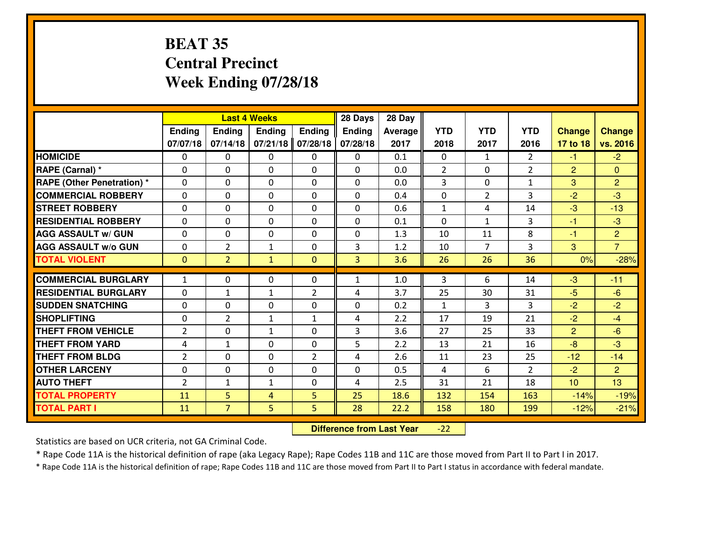#### **BEAT 35 Central PrecinctWeek Ending 07/28/18**

|                                  |                |                | <b>Last 4 Weeks</b> |                     | 28 Days        | 28 Day  |              |                |                |                |                |
|----------------------------------|----------------|----------------|---------------------|---------------------|----------------|---------|--------------|----------------|----------------|----------------|----------------|
|                                  | Ending         | <b>Ending</b>  | <b>Ending</b>       | <b>Ending</b>       | <b>Ending</b>  | Average | <b>YTD</b>   | <b>YTD</b>     | <b>YTD</b>     | <b>Change</b>  | <b>Change</b>  |
|                                  | 07/07/18       | 07/14/18       | 07/21/18            | 07/28/18            | 07/28/18       | 2017    | 2018         | 2017           | 2016           | 17 to 18       | vs. 2016       |
| <b>HOMICIDE</b>                  | $\Omega$       | 0              | 0                   | 0                   | 0              | 0.1     | 0            | $\mathbf{1}$   | $\mathfrak{D}$ | $-1$           | $-2$           |
| RAPE (Carnal) *                  | $\Omega$       | 0              | $\Omega$            | 0                   | $\Omega$       | 0.0     | 2            | $\Omega$       | $\overline{2}$ | $\overline{2}$ | $\Omega$       |
| <b>RAPE (Other Penetration)*</b> | 0              | 0              | $\mathbf 0$         | 0                   | 0              | 0.0     | 3            | 0              | $\mathbf{1}$   | 3              | $\overline{2}$ |
| <b>COMMERCIAL ROBBERY</b>        | 0              | 0              | $\mathbf 0$         | 0                   | 0              | 0.4     | 0            | $\overline{2}$ | 3              | $-2$           | $-3$           |
| <b>STREET ROBBERY</b>            | $\mathbf{0}$   | 0              | $\mathbf 0$         | 0                   | 0              | 0.6     | $\mathbf{1}$ | 4              | 14             | $-3$           | $-13$          |
| <b>RESIDENTIAL ROBBERY</b>       | 0              | 0              | $\mathbf 0$         | $\mathbf{0}$        | 0              | 0.1     | $\mathbf 0$  | $\mathbf{1}$   | 3              | $-1$           | $-3$           |
| <b>AGG ASSAULT W/ GUN</b>        | 0              | 0              | $\mathbf 0$         | 0                   | 0              | 1.3     | 10           | 11             | 8              | $-1$           | $\overline{2}$ |
| <b>AGG ASSAULT W/o GUN</b>       | 0              | $\overline{2}$ | 1                   | $\mathbf{0}$        | 3              | 1.2     | 10           | 7              | 3              | 3              | $\overline{7}$ |
| <b>TOTAL VIOLENT</b>             | $\mathbf{0}$   | $\overline{2}$ | $\mathbf{1}$        | $\mathbf{0}$        | $\overline{3}$ | 3.6     | 26           | 26             | 36             | 0%             | $-28%$         |
| <b>COMMERCIAL BURGLARY</b>       | $\mathbf{1}$   | 0              | $\mathbf{0}$        | 0                   | $\mathbf{1}$   | 1.0     | 3            | 6              | 14             | $-3$           | $-11$          |
| <b>RESIDENTIAL BURGLARY</b>      | $\mathbf{0}$   |                |                     |                     | 4              | 3.7     | 25           | 30             | 31             | $-5$           | $-6$           |
| <b>SUDDEN SNATCHING</b>          | $\mathbf{0}$   | 1<br>0         | 1<br>$\mathbf 0$    | $\overline{2}$<br>0 | 0              | 0.2     | $\mathbf{1}$ | 3              | 3              | $-2$           | $-2$           |
| <b>SHOPLIFTING</b>               | 0              | $\overline{2}$ | 1                   | $\mathbf{1}$        | 4              | 2.2     | 17           | 19             | 21             | $-2$           | $-4$           |
| <b>THEFT FROM VEHICLE</b>        | $\overline{2}$ | 0              | 1                   | 0                   | 3              | 3.6     | 27           | 25             | 33             | $\overline{2}$ | $-6$           |
| <b>THEFT FROM YARD</b>           | 4              | $\mathbf{1}$   | $\mathbf 0$         | 0                   | 5              | 2.2     | 13           | 21             | 16             | $-8$           | $-3$           |
| <b>THEFT FROM BLDG</b>           | 2              | 0              | $\mathbf 0$         | $\overline{2}$      | 4              | 2.6     | 11           | 23             | 25             | $-12$          | $-14$          |
| <b>OTHER LARCENY</b>             | 0              | 0              | $\mathbf 0$         | 0                   | 0              | 0.5     | 4            | 6              | $\overline{2}$ | $-2$           | $\overline{2}$ |
| <b>AUTO THEFT</b>                | $\overline{2}$ | $\mathbf{1}$   | $\mathbf{1}$        | 0                   | 4              | 2.5     | 31           | 21             | 18             | 10             | 13             |
| <b>TOTAL PROPERTY</b>            |                | 5              |                     |                     | 25             |         |              |                |                |                |                |
|                                  | 11             |                | 4                   | 5                   |                | 18.6    | 132          | 154            | 163            | $-14%$         | $-19%$         |
| <b>TOTAL PART I</b>              | 11             | $\overline{7}$ | 5                   | 5                   | 28             | 22.2    | 158          | 180            | 199            | $-12%$         | $-21%$         |

 **Difference from Last Year** $-22$ 

Statistics are based on UCR criteria, not GA Criminal Code.

\* Rape Code 11A is the historical definition of rape (aka Legacy Rape); Rape Codes 11B and 11C are those moved from Part II to Part I in 2017.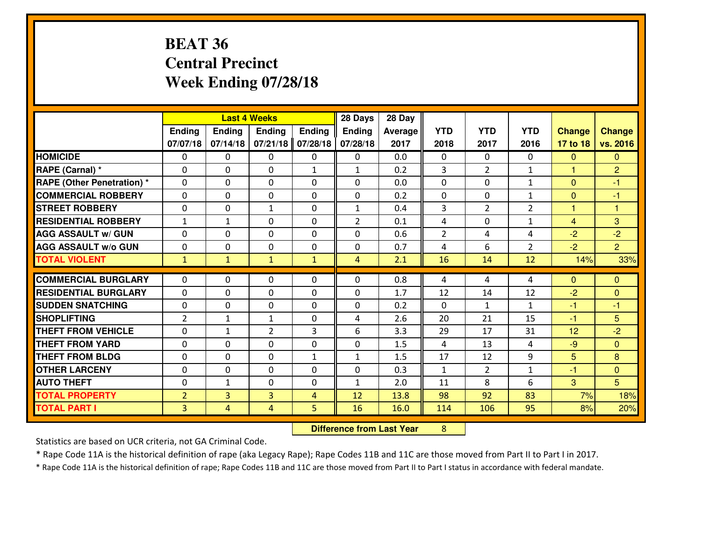#### **BEAT 36 Central PrecinctWeek Ending 07/28/18**

|                                   |                |                | <b>Last 4 Weeks</b> |               | 28 Days        | 28 Day  |                |                |                |                |                      |
|-----------------------------------|----------------|----------------|---------------------|---------------|----------------|---------|----------------|----------------|----------------|----------------|----------------------|
|                                   | Ending         | Ending         | <b>Ending</b>       | <b>Ending</b> | <b>Ending</b>  | Average | <b>YTD</b>     | <b>YTD</b>     | <b>YTD</b>     | <b>Change</b>  | <b>Change</b>        |
|                                   | 07/07/18       | 07/14/18       | 07/21/18            | 07/28/18      | 07/28/18       | 2017    | 2018           | 2017           | 2016           | 17 to 18       | vs. 2016             |
| <b>HOMICIDE</b>                   | $\mathbf{0}$   | 0              | $\mathbf{0}$        | 0             | 0              | 0.0     | 0              | $\Omega$       | 0              | $\Omega$       | $\mathbf{0}$         |
| RAPE (Carnal) *                   | $\Omega$       | 0              | $\mathbf{0}$        | $\mathbf{1}$  | $\mathbf{1}$   | 0.2     | 3              | $\overline{2}$ | $\mathbf{1}$   | 1              | $\overline{2}$       |
| <b>RAPE (Other Penetration) *</b> | $\Omega$       | $\Omega$       | $\mathbf 0$         | $\Omega$      | $\Omega$       | 0.0     | $\Omega$       | 0              | $\mathbf{1}$   | $\Omega$       | $-1$                 |
| <b>COMMERCIAL ROBBERY</b>         | $\Omega$       | $\Omega$       | $\mathbf 0$         | $\Omega$      | 0              | 0.2     | 0              | $\Omega$       | $\mathbf{1}$   | $\mathbf{0}$   | $-1$                 |
| <b>STREET ROBBERY</b>             | 0              | 0              | 1                   | 0             | $\mathbf{1}$   | 0.4     | 3              | $\overline{2}$ | $\overline{2}$ | 1              | $\blacktriangleleft$ |
| <b>RESIDENTIAL ROBBERY</b>        | $\mathbf{1}$   | $\mathbf{1}$   | $\mathbf 0$         | $\Omega$      | $\overline{2}$ | 0.1     | 4              | $\Omega$       | $\mathbf{1}$   | $\overline{4}$ | 3                    |
| <b>AGG ASSAULT w/ GUN</b>         | 0              | 0              | $\mathbf 0$         | 0             | 0              | 0.6     | $\overline{2}$ | 4              | 4              | $-2$           | $-2$                 |
| <b>AGG ASSAULT W/o GUN</b>        | 0              | 0              | $\mathbf 0$         | $\Omega$      | 0              | 0.7     | 4              | 6              | $\overline{2}$ | $-2$           | $\overline{2}$       |
| <b>TOTAL VIOLENT</b>              | $\mathbf{1}$   | $\mathbf{1}$   | $\mathbf{1}$        | $\mathbf{1}$  | $\overline{4}$ | 2.1     | 16             | 14             | 12             | 14%            | 33%                  |
| <b>COMMERCIAL BURGLARY</b>        | $\mathbf{0}$   | 0              | $\mathbf{0}$        | 0             | $\Omega$       | 0.8     | 4              | 4              | 4              | $\Omega$       | $\mathbf{0}$         |
| <b>RESIDENTIAL BURGLARY</b>       | $\Omega$       | 0              | $\mathbf{0}$        | $\Omega$      | 0              | 1.7     | 12             | 14             | 12             | $-2$           | $\mathbf{0}$         |
| <b>SUDDEN SNATCHING</b>           | $\mathbf{0}$   | 0              | 0                   | $\Omega$      | $\Omega$       | 0.2     | $\Omega$       | $\mathbf{1}$   | $\mathbf{1}$   | $-1$           | $-1$                 |
| <b>SHOPLIFTING</b>                | 2              | $\mathbf{1}$   | $\mathbf{1}$        | $\Omega$      | 4              | 2.6     | 20             | 21             | 15             | $-1$           | 5                    |
| <b>THEFT FROM VEHICLE</b>         | 0              | $\mathbf{1}$   | $\overline{2}$      | 3             | 6              | 3.3     | 29             | 17             | 31             | 12             | $-2$                 |
| <b>THEFT FROM YARD</b>            | 0              | 0              | $\mathbf 0$         | 0             | 0              | 1.5     | 4              | 13             | 4              | $-9$           | $\overline{0}$       |
| <b>THEFT FROM BLDG</b>            | $\Omega$       | $\Omega$       | $\mathbf 0$         | $\mathbf{1}$  | $\mathbf{1}$   | 1.5     | 17             | 12             | 9              | 5              | 8                    |
| <b>OTHER LARCENY</b>              | 0              | $\Omega$       | $\mathbf 0$         | $\Omega$      | 0              | 0.3     | $\mathbf{1}$   | $\overline{2}$ | $\mathbf{1}$   | $-1$           | $\overline{0}$       |
| <b>AUTO THEFT</b>                 | 0              | $\mathbf{1}$   | $\mathbf 0$         | 0             | $\mathbf{1}$   | 2.0     | 11             | 8              | 6              | 3              | 5                    |
| <b>TOTAL PROPERTY</b>             | $\overline{2}$ | 3              | $\overline{3}$      | 4             | 12             | 13.8    | 98             | 92             | 83             | 7%             | 18%                  |
| <b>TOTAL PART I</b>               | 3              | $\overline{4}$ | 4                   | 5             | 16             | 16.0    | 114            | 106            | 95             | 8%             | 20%                  |
|                                   |                |                |                     |               |                |         |                |                |                |                |                      |

**Difference from Last Year** 8

Statistics are based on UCR criteria, not GA Criminal Code.

\* Rape Code 11A is the historical definition of rape (aka Legacy Rape); Rape Codes 11B and 11C are those moved from Part II to Part I in 2017.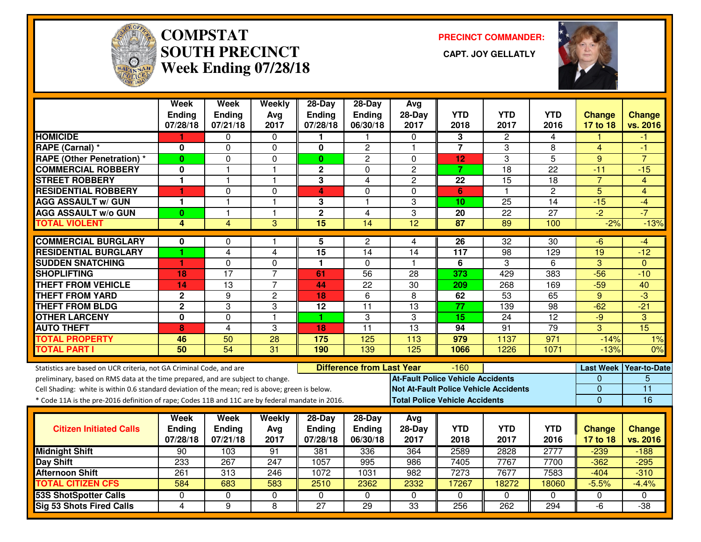

# **COMPSTAT PRECINCT COMMANDER: SOUTH PRECINCT CAPT. JOY GELLATLYWeek Ending 07/28/18**



|                                                                                                  | Week<br><b>Ending</b><br>07/28/18 | Week<br><b>Ending</b><br>07/21/18 | Weekly<br>Avg<br>2017 | 28-Day<br>Ending<br>07/28/18 | $28-Day$<br>Ending<br>06/30/18   | Avg<br>$28-Day$<br>2017                  | <b>YTD</b><br>2018 | <b>YTD</b><br>2017                           | <b>YTD</b><br>2016 | <b>Change</b><br>17 to 18 | <b>Change</b><br>vs. 2016 |
|--------------------------------------------------------------------------------------------------|-----------------------------------|-----------------------------------|-----------------------|------------------------------|----------------------------------|------------------------------------------|--------------------|----------------------------------------------|--------------------|---------------------------|---------------------------|
| <b>HOMICIDE</b>                                                                                  |                                   | 0                                 | $\Omega$              |                              |                                  | $\Omega$                                 | 3                  | 2                                            | 4                  |                           |                           |
| RAPE (Carnal) *                                                                                  | 0                                 | $\Omega$                          | 0                     | 0                            | $\overline{c}$                   | $\overline{1}$                           | $\overline{7}$     | 3                                            | 8                  | 4                         | -1                        |
| <b>RAPE (Other Penetration) *</b>                                                                | $\bf{0}$                          | 0                                 | 0                     | $\mathbf{0}$                 | $\overline{c}$                   | $\Omega$                                 | 12                 | 3                                            | 5                  | 9                         | $\overline{7}$            |
| <b>COMMERCIAL ROBBERY</b>                                                                        | 0                                 | 1                                 | $\mathbf{1}$          | $\mathbf 2$                  | 0                                | 2                                        | $\overline{7}$     | 18                                           | 22                 | $-11$                     | $-15$                     |
| <b>STREET ROBBERY</b>                                                                            | 1                                 | $\overline{1}$                    | $\mathbf{1}$          | 3                            | 4                                | $\overline{2}$                           | 22                 | $\overline{15}$                              | 18                 | $\overline{7}$            | $\overline{4}$            |
| <b>RESIDENTIAL ROBBERY</b>                                                                       | 1                                 | $\Omega$                          | $\Omega$              | 4                            | 0                                | $\Omega$                                 | 6                  | 1                                            | $\overline{c}$     | $\overline{5}$            | 4                         |
| <b>AGG ASSAULT w/ GUN</b>                                                                        | 1                                 | $\overline{1}$                    | $\mathbf{1}$          | 3                            | $\mathbf{1}$                     | 3                                        | 10                 | 25                                           | 14                 | $-15$                     | $-4$                      |
| <b>AGG ASSAULT w/o GUN</b>                                                                       | $\bf{0}$                          | $\mathbf{1}$                      | $\mathbf{1}$          | $\mathbf{2}$                 | $\overline{4}$                   | 3                                        | 20                 | 22                                           | 27                 | $-2$                      | $-7$                      |
| <b>TOTAL VIOLENT</b>                                                                             | 4                                 | $\overline{4}$                    | 3                     | $\overline{15}$              | 14                               | 12                                       | 87                 | 89                                           | 100                | $-2%$                     | $-13%$                    |
| <b>COMMERCIAL BURGLARY</b>                                                                       | 0                                 | 0                                 | 1                     | 5                            | 2                                | 4                                        | 26                 | 32                                           | 30                 | -6                        | -4                        |
| <b>RESIDENTIAL BURGLARY</b>                                                                      |                                   | 4                                 | $\overline{4}$        | 15                           | 14                               | 14                                       | 117                | 98                                           | 129                | 19                        | $-12$                     |
| <b>SUDDEN SNATCHING</b>                                                                          | 1                                 | $\mathbf 0$                       | $\mathbf 0$           | 1                            | $\mathbf{0}$                     | $\overline{\mathbf{1}}$                  | 6                  | 3                                            | 6                  | $\overline{3}$            | $\Omega$                  |
| <b>SHOPLIFTING</b>                                                                               | 18                                | 17                                | $\overline{7}$        | 61                           | 56                               | 28                                       | 373                | 429                                          | 383                | $-56$                     | $-10$                     |
| <b>THEFT FROM VEHICLE</b>                                                                        | 14                                | 13                                | $\overline{7}$        | 44                           | 22                               | 30                                       | 209                | 268                                          | 169                | $-59$                     | 40                        |
| <b>THEFT FROM YARD</b>                                                                           | $\overline{2}$                    | $\overline{9}$                    | $\overline{2}$        | 18                           | 6                                | $\overline{8}$                           | 62                 | 53                                           | 65                 | $\overline{9}$            | $-3$                      |
| <b>THEFT FROM BLDG</b>                                                                           | $\overline{2}$                    | 3                                 | 3                     | 12                           | 11                               | $\overline{13}$                          | 77                 | 139                                          | 98                 | $-62$                     | $-21$                     |
| <b>OTHER LARCENY</b>                                                                             | 0                                 | $\Omega$                          | $\mathbf{1}$          | 1.                           | 3                                | 3                                        | $\overline{15}$    | $\overline{24}$                              | $\overline{12}$    | $-9$                      | 3                         |
| <b>AUTO THEFT</b>                                                                                | 8                                 | 4                                 | 3                     | 18                           | 11                               | $\overline{13}$                          | 94                 | $\overline{91}$                              | 79                 | 3                         | 15                        |
| <b>TOTAL PROPERTY</b>                                                                            | 46                                | 50                                | 28                    | 175                          | 125                              | 113                                      | 979                | 1137                                         | 971                | $-14%$                    | 1%                        |
| <b>TOTAL PART I</b>                                                                              | 50                                | 54                                | $\overline{31}$       | 190                          | 139                              | 125                                      | 1066               | 1226                                         | 1071               | $-13%$                    | 0%                        |
| Statistics are based on UCR criteria, not GA Criminal Code, and are                              |                                   |                                   |                       |                              | <b>Difference from Last Year</b> |                                          | -160               |                                              |                    |                           | Last Week Year-to-Date    |
| preliminary, based on RMS data at the time prepared, and are subject to change.                  |                                   |                                   |                       |                              |                                  | <b>At-Fault Police Vehicle Accidents</b> |                    |                                              |                    | 0                         | 5                         |
| Cell Shading: white is within 0.6 standard deviation of the mean; red is above; green is below.  |                                   |                                   |                       |                              |                                  |                                          |                    | <b>Not At-Fault Police Vehicle Accidents</b> |                    | $\overline{0}$            | $\overline{11}$           |
| * Code 11A is the pre-2016 definition of rape; Codes 11B and 11C are by federal mandate in 2016. |                                   |                                   |                       |                              |                                  | <b>Total Police Vehicle Accidents</b>    |                    |                                              |                    | $\overline{0}$            | 16                        |
|                                                                                                  | Week                              | Week                              | Weekly                | 28-Day                       | $28-Day$                         | Avg                                      |                    |                                              |                    |                           |                           |
| <b>Citizen Initiated Calls</b>                                                                   | <b>Ending</b>                     | <b>Ending</b>                     | Avg                   | <b>Ending</b>                | Ending                           | $28-Day$                                 | <b>YTD</b>         | <b>YTD</b>                                   | <b>YTD</b>         | <b>Change</b>             | <b>Change</b>             |
|                                                                                                  | 07/28/18                          | 07/21/18                          | 2017                  | 07/28/18                     | 06/30/18                         | 2017                                     | 2018               | 2017                                         | 2016               | 17 to 18                  | vs. 2016                  |
| <b>Midnight Shift</b>                                                                            | 90                                | 103                               | 91                    | 381                          | 336                              | 364                                      | 2589               | 2828                                         | 2777               | $-239$                    | $-188$                    |
| <b>Day Shift</b>                                                                                 | 233                               | 267                               | 247                   | 1057                         | 995                              | 986                                      | 7405               | 7767                                         | 7700               | $-362$                    | $-295$                    |
| <b>Afternoon Shift</b>                                                                           | 261                               | 313                               | 246                   | 1072                         | 1031                             | 982                                      | 7273               | 7677                                         | 7583               | $-404$                    | $-310$                    |
| <b>TOTAL CITIZEN CFS</b>                                                                         | 584                               | 683                               | 583                   | 2510                         | 2362                             | 2332                                     | 17267              | 18272                                        | 18060              | $-5.5%$                   | $-4.4%$                   |
| <b>53S ShotSpotter Calls</b>                                                                     | 0                                 | 0                                 | 0                     | $\Omega$                     | 0                                | $\mathbf{0}$                             | 0                  | $\Omega$                                     | $\Omega$           | 0                         | $\Omega$                  |
| <b>Sig 53 Shots Fired Calls</b>                                                                  | $\overline{4}$                    | $\overline{9}$                    | $\overline{8}$        | $\overline{27}$              | $\overline{29}$                  | $\overline{33}$                          | 256                | $\overline{262}$                             | 294                | $-6$                      | $-38$                     |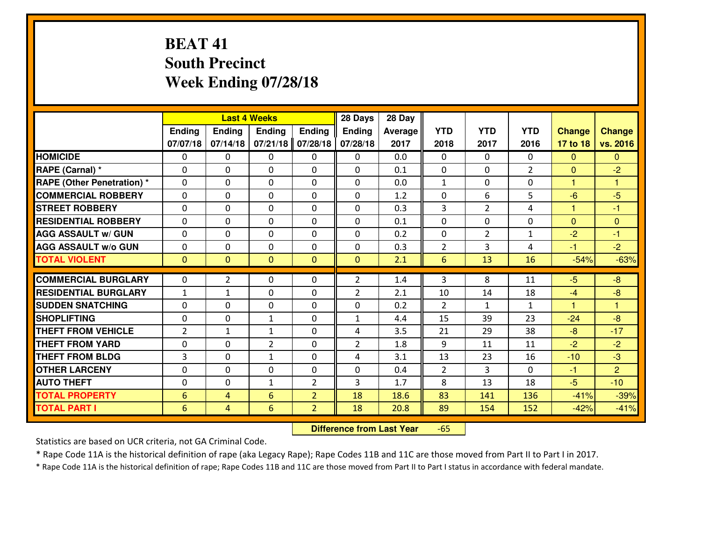## **BEAT 41 South PrecinctWeek Ending 07/28/18**

|                                              |                                    |                     | <b>Last 4 Weeks</b> |                                  | 28 Days        | 28 Day       |                |                |                |                  |                         |
|----------------------------------------------|------------------------------------|---------------------|---------------------|----------------------------------|----------------|--------------|----------------|----------------|----------------|------------------|-------------------------|
|                                              | Ending                             | <b>Ending</b>       | <b>Ending</b>       | <b>Ending</b>                    | Ending         | Average      | <b>YTD</b>     | <b>YTD</b>     | <b>YTD</b>     | <b>Change</b>    | <b>Change</b>           |
|                                              | 07/07/18                           | 07/14/18            | 07/21/18            | 07/28/18                         | 07/28/18       | 2017         | 2018           | 2017           | 2016           | 17 to 18         | vs. 2016                |
| <b>HOMICIDE</b>                              | $\Omega$                           | 0                   | 0                   | 0                                | $\Omega$       | 0.0          | 0              | $\Omega$       | 0              | $\Omega$         | $\Omega$                |
| RAPE (Carnal) *                              | $\mathbf{0}$                       | 0                   | $\mathbf{0}$        | 0                                | $\Omega$       | 0.1          | $\mathbf{0}$   | 0              | $\overline{2}$ | $\Omega$         | $-2$                    |
| RAPE (Other Penetration) *                   | $\Omega$                           | 0                   | $\mathbf{0}$        | $\Omega$                         | $\Omega$       | 0.0          | $\mathbf{1}$   | 0              | 0              | $\mathbf{1}$     | 1                       |
| <b>COMMERCIAL ROBBERY</b>                    | $\mathbf{0}$                       | 0                   | 0                   | 0                                | $\Omega$       | 1.2          | $\mathbf{0}$   | 6              | 5              | $-6$             | $-5$                    |
| <b>STREET ROBBERY</b>                        | 0                                  | 0                   | $\mathbf 0$         | $\Omega$                         | 0              | 0.3          | 3              | $\overline{2}$ | 4              | 1                | $-1$                    |
| <b>RESIDENTIAL ROBBERY</b>                   | $\Omega$                           | $\Omega$            | $\mathbf 0$         | $\Omega$                         | 0              | 0.1          | 0              | $\Omega$       | 0              | $\mathbf{0}$     | $\Omega$                |
| <b>AGG ASSAULT w/ GUN</b>                    | $\Omega$                           | $\Omega$            | $\mathbf 0$         | $\Omega$                         | 0              | 0.2          | 0              | $\overline{2}$ | $\mathbf{1}$   | $-2$             | $-1$                    |
| <b>AGG ASSAULT W/o GUN</b>                   | 0                                  | 0                   | $\mathbf 0$         | $\mathbf 0$                      | 0              | 0.3          | $\overline{2}$ | 3              | 4              | $-1$             | $-2$                    |
| <b>TOTAL VIOLENT</b>                         | $\mathbf{0}$                       | $\overline{0}$      | $\mathbf{O}$        | $\mathbf{0}$                     | $\mathbf{0}$   | 2.1          | 6              | 13             | 16             | $-54%$           | $-63%$                  |
| <b>COMMERCIAL BURGLARY</b>                   | $\Omega$                           | $\overline{2}$      | $\mathbf{0}$        | $\Omega$                         | $\overline{2}$ | 1.4          | 3              | 8              | 11             | $-5$             | $-8$                    |
| <b>RESIDENTIAL BURGLARY</b>                  | $\mathbf{1}$                       | $\mathbf{1}$        | 0                   | 0                                | $\overline{2}$ | 2.1          | 10             | 14             | 18             | $-4$             | $-8$                    |
| <b>SUDDEN SNATCHING</b>                      | 0                                  | 0                   | 0                   | 0                                | 0              | 0.2          | 2              | $\mathbf{1}$   | $\mathbf{1}$   | $\overline{1}$   | $\overline{\mathbf{1}}$ |
| <b>SHOPLIFTING</b>                           | 0                                  |                     |                     |                                  |                |              |                |                |                |                  |                         |
|                                              |                                    |                     |                     |                                  |                |              |                |                |                |                  |                         |
|                                              |                                    | 0                   | 1                   | 0                                | $\mathbf{1}$   | 4.4          | 15             | 39             | 23             | $-24$            | $-8$                    |
| <b>THEFT FROM VEHICLE</b>                    | $\overline{2}$                     | $\mathbf{1}$        | $\mathbf{1}$        | 0                                | 4              | 3.5          | 21             | 29             | 38             | $-8$             | $-17$                   |
| <b>THEFT FROM YARD</b>                       | 0                                  | 0                   | $\overline{2}$      | 0                                | $\overline{2}$ | 1.8          | 9              | 11             | 11             | $-2$             | $-2$                    |
| <b>THEFT FROM BLDG</b>                       | $\overline{3}$                     | 0                   | 1                   | 0                                | 4              | 3.1          | 13             | 23             | 16<br>$\Omega$ | $-10$            | $-3$                    |
| <b>OTHER LARCENY</b>                         | 0                                  | 0                   | $\mathbf 0$         | 0                                | 0              | 0.4          | $\overline{2}$ | 3              |                | $-1$             | $\overline{2}$          |
| <b>AUTO THEFT</b>                            | $\mathbf{0}$                       | 0                   | $\mathbf{1}$        | 2                                | 3              | 1.7          | 8              | 13             | 18             | $-5$             | $-10$                   |
| <b>TOTAL PROPERTY</b><br><b>TOTAL PART I</b> | $6\phantom{1}6$<br>$6\phantom{1}6$ | 4<br>$\overline{4}$ | 6<br>6              | $\overline{2}$<br>$\overline{2}$ | 18<br>18       | 18.6<br>20.8 | 83<br>89       | 141<br>154     | 136<br>152     | $-41%$<br>$-42%$ | $-39%$<br>$-41%$        |

 **Difference from Last Year**-65

Statistics are based on UCR criteria, not GA Criminal Code.

\* Rape Code 11A is the historical definition of rape (aka Legacy Rape); Rape Codes 11B and 11C are those moved from Part II to Part I in 2017.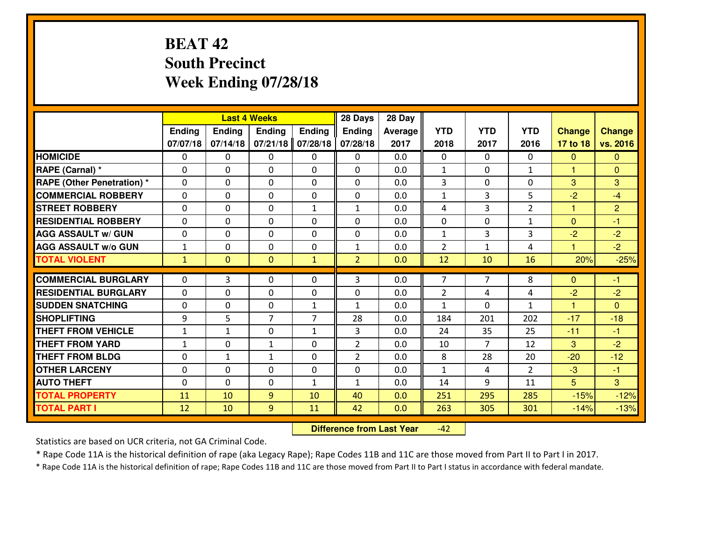## **BEAT 42 South PrecinctWeek Ending 07/28/18**

| Ending<br><b>Ending</b><br>07/07/18<br>07/14/18<br>0<br>0 | <b>Ending</b><br>07/21/18<br>0                                        | <b>Ending</b><br>07/28/18                                                                                       | <b>Ending</b><br>07/28/18                                                                            | Average                                                                                          | <b>YTD</b>                                                         | <b>YTD</b>                                                                                            | <b>YTD</b>                                                                            | <b>Change</b>                                                                  | <b>Change</b>                                                                             |
|-----------------------------------------------------------|-----------------------------------------------------------------------|-----------------------------------------------------------------------------------------------------------------|------------------------------------------------------------------------------------------------------|--------------------------------------------------------------------------------------------------|--------------------------------------------------------------------|-------------------------------------------------------------------------------------------------------|---------------------------------------------------------------------------------------|--------------------------------------------------------------------------------|-------------------------------------------------------------------------------------------|
|                                                           |                                                                       |                                                                                                                 |                                                                                                      |                                                                                                  |                                                                    |                                                                                                       |                                                                                       |                                                                                |                                                                                           |
|                                                           |                                                                       |                                                                                                                 |                                                                                                      | 2017                                                                                             | 2018                                                               | 2017                                                                                                  | 2016                                                                                  | 17 to 18                                                                       | vs. 2016                                                                                  |
|                                                           |                                                                       | 0                                                                                                               | $\Omega$                                                                                             | 0.0                                                                                              | 0                                                                  | $\Omega$                                                                                              | 0                                                                                     | $\Omega$                                                                       | $\Omega$                                                                                  |
|                                                           | $\mathbf{0}$                                                          | 0                                                                                                               | $\Omega$                                                                                             | 0.0                                                                                              | $\mathbf{1}$                                                       | $\mathbf{0}$                                                                                          | $\mathbf{1}$                                                                          | 1                                                                              | $\mathbf{0}$                                                                              |
| 0                                                         | $\mathbf{0}$                                                          | $\Omega$                                                                                                        | $\Omega$                                                                                             | 0.0                                                                                              | 3                                                                  | 0                                                                                                     | 0                                                                                     | 3                                                                              | 3                                                                                         |
| 0                                                         | 0                                                                     | 0                                                                                                               | $\Omega$                                                                                             | 0.0                                                                                              | $\mathbf{1}$                                                       | 3                                                                                                     | 5                                                                                     | $-2$                                                                           | $-4$                                                                                      |
| 0                                                         | $\mathbf 0$                                                           | $\mathbf{1}$                                                                                                    | $\mathbf{1}$                                                                                         | 0.0                                                                                              | 4                                                                  | 3                                                                                                     | $\overline{2}$                                                                        | 1                                                                              | $\overline{2}$                                                                            |
| $\Omega$                                                  | $\mathbf 0$                                                           | $\Omega$                                                                                                        | 0                                                                                                    | 0.0                                                                                              | $\mathbf 0$                                                        | $\Omega$                                                                                              | $\mathbf{1}$                                                                          | $\mathbf{0}$                                                                   | $-1$                                                                                      |
| 0                                                         | $\mathbf 0$                                                           | $\Omega$                                                                                                        | 0                                                                                                    | 0.0                                                                                              | $\mathbf 1$                                                        | 3                                                                                                     | 3                                                                                     | $-2$                                                                           | $-2$                                                                                      |
| 0                                                         | $\mathbf 0$                                                           | $\mathbf 0$                                                                                                     | $\mathbf{1}$                                                                                         | 0.0                                                                                              | 2                                                                  | $\mathbf{1}$                                                                                          | 4                                                                                     | $\mathbf{1}$                                                                   | $-2$                                                                                      |
| $\mathbf{0}$                                              | $\mathbf{O}$                                                          | $\mathbf{1}$                                                                                                    | $\overline{2}$                                                                                       | 0.0                                                                                              | 12                                                                 | 10                                                                                                    | 16                                                                                    | 20%                                                                            | $-25%$                                                                                    |
|                                                           |                                                                       |                                                                                                                 |                                                                                                      |                                                                                                  |                                                                    |                                                                                                       |                                                                                       |                                                                                | $-1$                                                                                      |
|                                                           |                                                                       |                                                                                                                 |                                                                                                      |                                                                                                  |                                                                    |                                                                                                       |                                                                                       |                                                                                | $-2$                                                                                      |
|                                                           |                                                                       |                                                                                                                 |                                                                                                      |                                                                                                  |                                                                    |                                                                                                       |                                                                                       |                                                                                | $\Omega$                                                                                  |
|                                                           |                                                                       |                                                                                                                 |                                                                                                      |                                                                                                  |                                                                    |                                                                                                       |                                                                                       |                                                                                | $-18$                                                                                     |
|                                                           |                                                                       |                                                                                                                 |                                                                                                      |                                                                                                  |                                                                    |                                                                                                       |                                                                                       |                                                                                | $-1$                                                                                      |
|                                                           |                                                                       |                                                                                                                 |                                                                                                      |                                                                                                  |                                                                    |                                                                                                       |                                                                                       |                                                                                | $-2$                                                                                      |
|                                                           |                                                                       |                                                                                                                 |                                                                                                      |                                                                                                  |                                                                    |                                                                                                       |                                                                                       |                                                                                | $-12$                                                                                     |
|                                                           |                                                                       |                                                                                                                 |                                                                                                      |                                                                                                  |                                                                    |                                                                                                       |                                                                                       |                                                                                | $-1$                                                                                      |
|                                                           |                                                                       |                                                                                                                 |                                                                                                      |                                                                                                  |                                                                    |                                                                                                       |                                                                                       |                                                                                | $\mathbf{3}$                                                                              |
|                                                           |                                                                       |                                                                                                                 |                                                                                                      |                                                                                                  |                                                                    |                                                                                                       |                                                                                       |                                                                                | $-12%$                                                                                    |
| 10                                                        | 9                                                                     | 11                                                                                                              | 42                                                                                                   | 0.0                                                                                              | 263                                                                | 305                                                                                                   | 301                                                                                   | $-14%$                                                                         | $-13%$                                                                                    |
|                                                           | 3<br>0<br>0<br>5<br>$\mathbf{1}$<br>0<br>$\mathbf{1}$<br>0<br>0<br>10 | $\mathbf{0}$<br>0<br>$\mathbf 0$<br>$\overline{7}$<br>$\mathbf 0$<br>1<br>1<br>$\mathbf 0$<br>$\mathbf{0}$<br>9 | $\Omega$<br>0<br>$\mathbf{1}$<br>$\overline{7}$<br>$\mathbf{1}$<br>0<br>0<br>0<br>$\mathbf{1}$<br>10 | 3<br>0<br>$\mathbf{1}$<br>28<br>3<br>$\overline{2}$<br>$\overline{2}$<br>0<br>$\mathbf{1}$<br>40 | 0.0<br>0.0<br>0.0<br>0.0<br>0.0<br>0.0<br>0.0<br>0.0<br>0.0<br>0.0 | $\overline{7}$<br>$\overline{2}$<br>$\mathbf{1}$<br>184<br>24<br>10<br>8<br>$\mathbf{1}$<br>14<br>251 | $\overline{7}$<br>4<br>$\Omega$<br>201<br>35<br>$\overline{7}$<br>28<br>4<br>9<br>295 | 8<br>4<br>$\mathbf{1}$<br>202<br>25<br>12<br>20<br>$\overline{2}$<br>11<br>285 | $\Omega$<br>$-2$<br>$\overline{1}$<br>$-17$<br>$-11$<br>3<br>$-20$<br>$-3$<br>5<br>$-15%$ |

 **Difference from Last Year** $-42$  |

Statistics are based on UCR criteria, not GA Criminal Code.

\* Rape Code 11A is the historical definition of rape (aka Legacy Rape); Rape Codes 11B and 11C are those moved from Part II to Part I in 2017.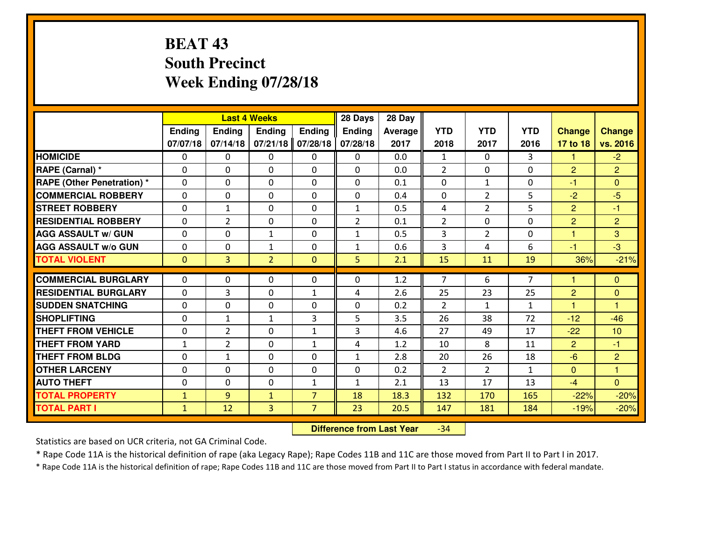## **BEAT 43 South PrecinctWeek Ending 07/28/18**

|                                  |              |                | <b>Last 4 Weeks</b> |                | 28 Days        | 28 Day  |                |                |                |                      |                      |
|----------------------------------|--------------|----------------|---------------------|----------------|----------------|---------|----------------|----------------|----------------|----------------------|----------------------|
|                                  | Ending       | <b>Ending</b>  | <b>Ending</b>       | <b>Ending</b>  | <b>Ending</b>  | Average | <b>YTD</b>     | <b>YTD</b>     | <b>YTD</b>     | <b>Change</b>        | <b>Change</b>        |
|                                  | 07/07/18     | 07/14/18       | 07/21/18            | 07/28/18       | 07/28/18       | 2017    | 2018           | 2017           | 2016           | 17 to 18             | vs. 2016             |
| <b>HOMICIDE</b>                  | $\Omega$     | 0              | 0                   | 0              | $\Omega$       | 0.0     | 1              | $\Omega$       | 3              | 1                    | $-2$                 |
| RAPE (Carnal) *                  | $\Omega$     | 0              | $\Omega$            | $\Omega$       | $\Omega$       | 0.0     | 2              | $\Omega$       | 0              | $\overline{2}$       | $\overline{2}$       |
| <b>RAPE (Other Penetration)*</b> | 0            | 0              | $\mathbf 0$         | 0              | 0              | 0.1     | 0              | $\mathbf{1}$   | 0              | $-1$                 | $\overline{0}$       |
| <b>COMMERCIAL ROBBERY</b>        | 0            | 0              | $\mathbf 0$         | 0              | 0              | 0.4     | 0              | $\overline{2}$ | 5              | $-2$                 | $-5$                 |
| <b>STREET ROBBERY</b>            | 0            | $\mathbf{1}$   | $\mathbf 0$         | 0              | $\mathbf{1}$   | 0.5     | 4              | $\overline{2}$ | 5              | $\overline{2}$       | $-1$                 |
| <b>RESIDENTIAL ROBBERY</b>       | 0            | $\overline{2}$ | $\mathbf 0$         | 0              | $\overline{2}$ | 0.1     | $\overline{2}$ | $\mathbf{0}$   | 0              | $\overline{2}$       | $\overline{2}$       |
| <b>AGG ASSAULT W/ GUN</b>        | 0            | 0              | 1                   | 0              | $\mathbf{1}$   | 0.5     | 3              | $\overline{2}$ | 0              | $\mathbf{1}$         | 3                    |
| <b>AGG ASSAULT W/o GUN</b>       | 0            | 0              | 1                   | $\mathbf{0}$   | $\mathbf{1}$   | 0.6     | 3              | 4              | 6              | $-1$                 | $-3$                 |
| <b>TOTAL VIOLENT</b>             | $\mathbf{0}$ | 3              | $\overline{2}$      | $\mathbf{0}$   | 5              | 2.1     | 15             | 11             | 19             | 36%                  | $-21%$               |
| <b>COMMERCIAL BURGLARY</b>       | $\Omega$     | 0              | $\mathbf{0}$        | 0              | $\Omega$       | 1.2     | $\overline{7}$ | 6              | $\overline{7}$ | $\blacktriangleleft$ | $\mathbf{0}$         |
| <b>RESIDENTIAL BURGLARY</b>      | $\mathbf{0}$ | 3              | 0                   | $\mathbf{1}$   | 4              | 2.6     | 25             | 23             | 25             | $\overline{2}$       | $\mathbf{0}$         |
| <b>SUDDEN SNATCHING</b>          | $\mathbf{0}$ | 0              | $\mathbf 0$         | 0              | 0              | 0.2     | 2              | $\mathbf{1}$   | $\mathbf{1}$   | 1                    | $\blacktriangleleft$ |
| <b>SHOPLIFTING</b>               | 0            | $\mathbf{1}$   | 1                   | 3              | 5              | 3.5     | 26             | 38             | 72             | $-12$                | $-46$                |
| <b>THEFT FROM VEHICLE</b>        | 0            | $\overline{2}$ | $\mathbf 0$         | $\mathbf{1}$   | 3              | 4.6     | 27             | 49             | 17             | $-22$                | 10                   |
| <b>THEFT FROM YARD</b>           | $\mathbf{1}$ | $\overline{2}$ | $\mathbf 0$         | $\mathbf{1}$   | 4              | 1.2     | 10             | 8              | 11             | $\overline{2}$       | $-1$                 |
| <b>THEFT FROM BLDG</b>           | 0            | $\mathbf{1}$   | $\mathbf 0$         | $\mathbf{0}$   | $\mathbf{1}$   | 2.8     | 20             | 26             | 18             | $-6$                 | 2                    |
| <b>OTHER LARCENY</b>             | 0            | 0              | $\mathbf 0$         | $\mathbf 0$    | 0              | 0.2     | $\overline{2}$ | $\overline{2}$ | $\mathbf{1}$   | $\mathbf{0}$         | $\mathbf{1}$         |
| <b>AUTO THEFT</b>                | 0            | 0              | $\mathbf 0$         | $\mathbf{1}$   | $\mathbf{1}$   | 2.1     | 13             | 17             | 13             | $-4$                 | $\overline{0}$       |
| <b>TOTAL PROPERTY</b>            | $\mathbf{1}$ | 9              | $\mathbf{1}$        | $\overline{7}$ | 18             | 18.3    | 132            | 170            | 165            | $-22%$               | $-20%$               |
| <b>TOTAL PART I</b>              | $\mathbf{1}$ | 12             | 3                   | $\overline{7}$ | 23             | 20.5    | 147            | 181            | 184            | $-19%$               | $-20%$               |
|                                  |              |                |                     |                |                |         |                |                |                |                      |                      |

 **Difference from Last Year**-34

Statistics are based on UCR criteria, not GA Criminal Code.

\* Rape Code 11A is the historical definition of rape (aka Legacy Rape); Rape Codes 11B and 11C are those moved from Part II to Part I in 2017.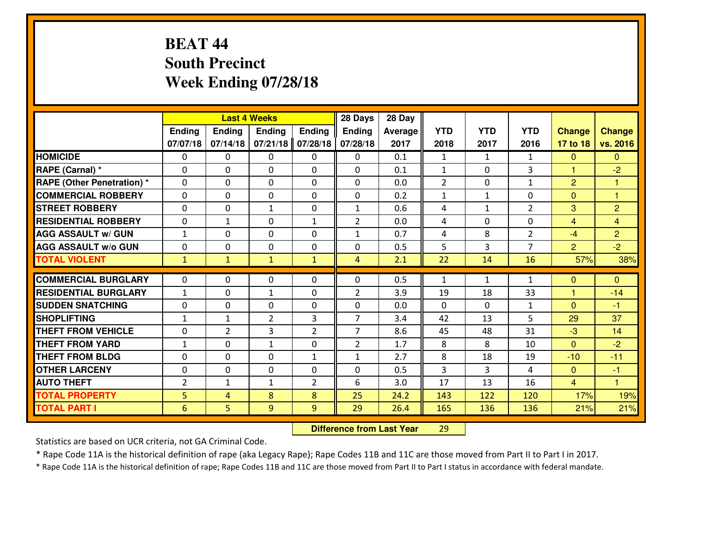## **BEAT 44 South PrecinctWeek Ending 07/28/18**

|                                                                   |                     |                   | <b>Last 4 Weeks</b> |                | 28 Days        | 28 Day      |                |              |                |                       |                |
|-------------------------------------------------------------------|---------------------|-------------------|---------------------|----------------|----------------|-------------|----------------|--------------|----------------|-----------------------|----------------|
|                                                                   | Ending              | <b>Ending</b>     | <b>Ending</b>       | <b>Ending</b>  | Ending         | Average     | <b>YTD</b>     | <b>YTD</b>   | <b>YTD</b>     | <b>Change</b>         | <b>Change</b>  |
|                                                                   | 07/07/18            | 07/14/18          | 07/21/18            | 07/28/18       | 07/28/18       | 2017        | 2018           | 2017         | 2016           | 17 to 18              | vs. 2016       |
| <b>HOMICIDE</b>                                                   | $\Omega$            | 0                 | 0                   | 0              | $\Omega$       | 0.1         | 1              | $\mathbf{1}$ | $\mathbf{1}$   | $\Omega$              | $\Omega$       |
| RAPE (Carnal) *                                                   | $\mathbf{0}$        | 0                 | $\mathbf{0}$        | 0              | $\Omega$       | 0.1         | $\mathbf{1}$   | $\mathbf{0}$ | 3              | $\mathbf{1}$          | $-2$           |
| RAPE (Other Penetration) *                                        | $\Omega$            | 0                 | $\mathbf{0}$        | $\Omega$       | $\Omega$       | 0.0         | $\overline{2}$ | 0            | $\mathbf{1}$   | $\overline{2}$        | 1              |
| <b>COMMERCIAL ROBBERY</b>                                         | $\mathbf{0}$        | 0                 | 0                   | 0              | 0              | 0.2         | $\mathbf{1}$   | $\mathbf{1}$ | 0              | $\mathbf{0}$          | $\overline{1}$ |
| <b>STREET ROBBERY</b>                                             | 0                   | 0                 | 1                   | 0              | $\mathbf{1}$   | 0.6         | 4              | $\mathbf{1}$ | $\overline{2}$ | 3                     | $\overline{2}$ |
| <b>RESIDENTIAL ROBBERY</b>                                        | $\Omega$            | $\mathbf{1}$      | $\mathbf 0$         | $\mathbf{1}$   | $\overline{2}$ | 0.0         | 4              | $\Omega$     | 0              | $\overline{4}$        | $\overline{4}$ |
| <b>AGG ASSAULT w/ GUN</b>                                         | $\mathbf{1}$        | 0                 | $\mathbf 0$         | 0              | $\mathbf{1}$   | 0.7         | 4              | 8            | $\overline{2}$ | $-4$                  | $\overline{2}$ |
| <b>AGG ASSAULT W/o GUN</b>                                        | 0                   | 0                 | $\mathbf 0$         | $\mathbf 0$    | 0              | 0.5         | 5              | 3            | $\overline{7}$ | 2                     | $-2$           |
| <b>TOTAL VIOLENT</b>                                              | $\mathbf{1}$        | $\mathbf{1}$      | $\mathbf{1}$        | $\mathbf{1}$   | $\overline{4}$ | 2.1         | 22             | 14           | 16             | 57%                   | 38%            |
| <b>COMMERCIAL BURGLARY</b>                                        | $\Omega$            | 0                 | $\mathbf{0}$        | $\Omega$       | $\Omega$       | 0.5         | $\mathbf{1}$   | $\mathbf{1}$ | $\mathbf{1}$   | $\Omega$              | $\Omega$       |
| <b>RESIDENTIAL BURGLARY</b>                                       | $\mathbf{1}$        | 0                 | $\mathbf{1}$        | 0              | $\overline{2}$ | 3.9         | 19             | 18           | 33             | $\mathbf{1}$          | $-14$          |
| <b>SUDDEN SNATCHING</b>                                           | 0                   | 0                 | 0                   | 0              | 0              | 0.0         | 0              | $\mathbf{0}$ | $\mathbf{1}$   | $\overline{0}$        | $-1$           |
| <b>SHOPLIFTING</b>                                                | $\mathbf{1}$        | 1                 | $\overline{2}$      | 3              | $\overline{7}$ | 3.4         | 42             | 13           | 5              | 29                    | 37             |
| <b>THEFT FROM VEHICLE</b>                                         | 0                   | $\overline{2}$    | 3                   | $\overline{2}$ | $\overline{7}$ | 8.6         | 45             | 48           | 31             | $-3$                  | 14             |
| <b>THEFT FROM YARD</b>                                            | $1\,$               | 0                 | $\mathbf{1}$        | 0              | $\overline{2}$ | 1.7         | 8              | 8            | 10             | $\overline{0}$        | $-2$           |
| <b>THEFT FROM BLDG</b>                                            | 0                   | 0                 | $\mathbf 0$         | $\mathbf{1}$   | $\mathbf{1}$   | 2.7         | 8              | 18           | 19             | $-10$                 | $-11$          |
| <b>OTHER LARCENY</b>                                              | 0                   | 0                 | $\mathbf 0$         | 0              | 0              | 0.5         | $\overline{3}$ | 3            | 4              | $\mathbf{0}$          | $-1$           |
|                                                                   |                     |                   |                     |                |                |             |                |              |                |                       | $\overline{1}$ |
|                                                                   |                     |                   |                     |                |                |             |                |              |                |                       | 19%            |
|                                                                   | $6\phantom{1}6$     | 5                 | 9                   | 9              | 29             | 26.4        | 165            | 136          | 136            | 21%                   | 21%            |
| <b>AUTO THEFT</b><br><b>TOTAL PROPERTY</b><br><b>TOTAL PART I</b> | $\overline{2}$<br>5 | $\mathbf{1}$<br>4 | $\mathbf{1}$<br>8   | 2<br>8         | 6<br>25        | 3.0<br>24.2 | 17<br>143      | 13<br>122    | 16<br>120      | $\overline{4}$<br>17% |                |

 **Difference from Last Year**<sup>29</sup>

Statistics are based on UCR criteria, not GA Criminal Code.

\* Rape Code 11A is the historical definition of rape (aka Legacy Rape); Rape Codes 11B and 11C are those moved from Part II to Part I in 2017.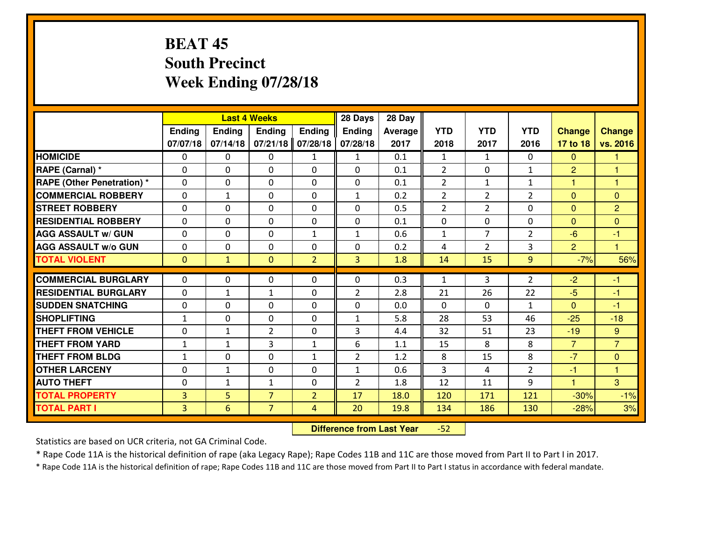### **BEAT 45 South PrecinctWeek Ending 07/28/18**

|                                  |                |               | <b>Last 4 Weeks</b> |                | 28 Days        | 28 Day  |                |                |                |                |                |
|----------------------------------|----------------|---------------|---------------------|----------------|----------------|---------|----------------|----------------|----------------|----------------|----------------|
|                                  | Ending         | <b>Ending</b> | <b>Ending</b>       | <b>Ending</b>  | Ending         | Average | <b>YTD</b>     | <b>YTD</b>     | <b>YTD</b>     | <b>Change</b>  | <b>Change</b>  |
|                                  | 07/07/18       | 07/14/18      | 07/21/18            | 07/28/18       | 07/28/18       | 2017    | 2018           | 2017           | 2016           | 17 to 18       | vs. 2016       |
| <b>HOMICIDE</b>                  | $\Omega$       | 0             | 0                   | $\mathbf{1}$   | 1              | 0.1     | 1              | $\mathbf{1}$   | 0              | $\Omega$       | 1              |
| RAPE (Carnal) *                  | $\Omega$       | 0             | $\Omega$            | $\Omega$       | $\Omega$       | 0.1     | 2              | $\Omega$       | $\mathbf{1}$   | $\overline{2}$ | 1              |
| <b>RAPE (Other Penetration)*</b> | 0              | 0             | $\mathbf 0$         | 0              | 0              | 0.1     | $\overline{2}$ | $\mathbf{1}$   | $\mathbf{1}$   | $\mathbf{1}$   | $\overline{1}$ |
| <b>COMMERCIAL ROBBERY</b>        | 0              | $\mathbf{1}$  | $\mathbf 0$         | 0              | $\mathbf{1}$   | 0.2     | $\overline{2}$ | $\overline{2}$ | $\overline{2}$ | $\mathbf{0}$   | $\overline{0}$ |
| <b>STREET ROBBERY</b>            | 0              | 0             | $\mathbf 0$         | 0              | 0              | 0.5     | $\overline{2}$ | $\overline{2}$ | 0              | $\mathbf{0}$   | $\overline{2}$ |
| <b>RESIDENTIAL ROBBERY</b>       | 0              | 0             | $\mathbf 0$         | $\mathbf{0}$   | 0              | 0.1     | 0              | 0              | 0              | $\Omega$       | $\mathbf{0}$   |
| <b>AGG ASSAULT W/ GUN</b>        | 0              | 0             | $\mathbf 0$         | $\mathbf{1}$   | $\mathbf{1}$   | 0.6     | $\mathbf 1$    | $\overline{7}$ | $\overline{2}$ | $-6$           | $-1$           |
| <b>AGG ASSAULT W/o GUN</b>       | 0              | 0             | 0                   | 0              | 0              | 0.2     | 4              | $\overline{2}$ | 3              | $\overline{2}$ | $\overline{1}$ |
| <b>TOTAL VIOLENT</b>             | $\mathbf{0}$   | $\mathbf{1}$  | $\mathbf{O}$        | $\overline{2}$ | $\overline{3}$ | 1.8     | 14             | 15             | 9              | $-7%$          | 56%            |
| <b>COMMERCIAL BURGLARY</b>       | $\Omega$       | 0             | $\mathbf{0}$        | 0              | $\Omega$       | 0.3     | $\mathbf{1}$   | 3              | $\overline{2}$ | $-2$           | $-1$           |
| <b>RESIDENTIAL BURGLARY</b>      | $\mathbf{0}$   | 1             | 1                   | 0              | $\overline{2}$ | 2.8     | 21             | 26             | 22             | $-5$           | $-1$           |
| <b>SUDDEN SNATCHING</b>          | $\mathbf{0}$   | 0             | $\mathbf 0$         | 0              | 0              | 0.0     | $\mathbf{0}$   | $\mathbf{0}$   | $\mathbf{1}$   | $\Omega$       | $-1$           |
| <b>SHOPLIFTING</b>               | $\mathbf{1}$   | 0             | $\mathbf 0$         | 0              | $\mathbf{1}$   | 5.8     | 28             | 53             | 46             | $-25$          | $-18$          |
| <b>THEFT FROM VEHICLE</b>        | 0              | 1             | $\overline{2}$      | 0              | 3              | 4.4     | 32             | 51             | 23             | $-19$          | 9              |
| <b>THEFT FROM YARD</b>           | $\mathbf{1}$   | 1             | 3                   | $\mathbf{1}$   | 6              | 1.1     | 15             | 8              | 8              | $\overline{7}$ | $\overline{7}$ |
| <b>THEFT FROM BLDG</b>           | $\mathbf{1}$   | 0             | $\mathbf 0$         | $\mathbf{1}$   | $\overline{2}$ | 1.2     | 8              | 15             | 8              | $-7$           | $\mathbf{0}$   |
| <b>OTHER LARCENY</b>             | 0              | $\mathbf{1}$  | $\mathbf 0$         | 0              | $\mathbf{1}$   | 0.6     | 3              | 4              | $\overline{2}$ | $-1$           | $\overline{1}$ |
| <b>AUTO THEFT</b>                | 0              | $\mathbf{1}$  | 1                   | 0              | $\overline{2}$ | 1.8     | 12             | 11             | 9              | $\mathbf{1}$   | 3              |
| <b>TOTAL PROPERTY</b>            | $\overline{3}$ | 5             | $\overline{7}$      | $\overline{2}$ | 17             | 18.0    | 120            | 171            | 121            | $-30%$         | $-1%$          |
| <b>TOTAL PART I</b>              | $\overline{3}$ | 6             | $\overline{7}$      | 4              | 20             | 19.8    | 134            | 186            | 130            | $-28%$         | 3%             |
|                                  |                |               |                     |                |                |         |                |                |                |                |                |

 **Difference from Last Year** $-52$ 

Statistics are based on UCR criteria, not GA Criminal Code.

\* Rape Code 11A is the historical definition of rape (aka Legacy Rape); Rape Codes 11B and 11C are those moved from Part II to Part I in 2017.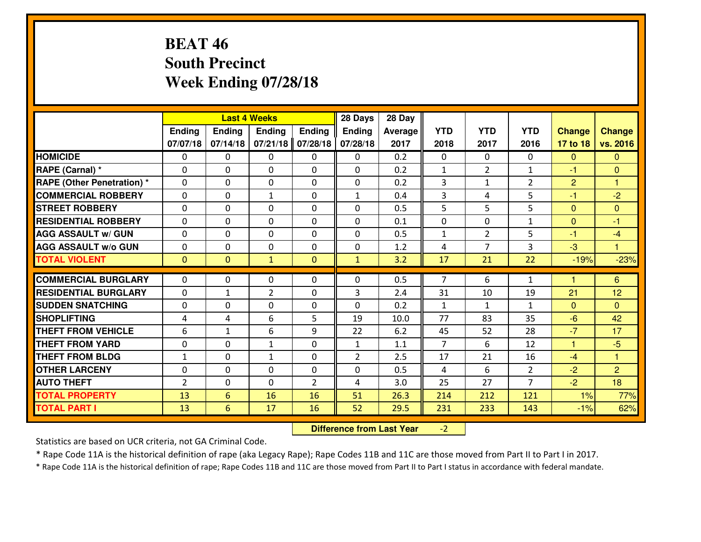## **BEAT 46 South PrecinctWeek Ending 07/28/18**

|                             |              |                | <b>Last 4 Weeks</b> |               | 28 Days        | 28 Day  |                |                |                |                      |                |
|-----------------------------|--------------|----------------|---------------------|---------------|----------------|---------|----------------|----------------|----------------|----------------------|----------------|
|                             | Ending       | <b>Ending</b>  | <b>Ending</b>       | <b>Ending</b> | Ending         | Average | <b>YTD</b>     | <b>YTD</b>     | <b>YTD</b>     | <b>Change</b>        | <b>Change</b>  |
|                             | 07/07/18     | 07/14/18       | 07/21/18            | 07/28/18      | 07/28/18       | 2017    | 2018           | 2017           | 2016           | 17 to 18             | vs. 2016       |
| <b>HOMICIDE</b>             | $\Omega$     | 0              | 0                   | 0             | $\Omega$       | 0.2     | 0              | $\Omega$       | 0              | $\Omega$             | $\Omega$       |
| RAPE (Carnal) *             | $\mathbf{0}$ | 0              | $\mathbf{0}$        | 0             | $\Omega$       | 0.2     | $\mathbf{1}$   | $\overline{2}$ | $\mathbf{1}$   | $-1$                 | $\mathbf{0}$   |
| RAPE (Other Penetration) *  | $\Omega$     | 0              | $\mathbf{0}$        | $\Omega$      | $\Omega$       | 0.2     | 3              | $\mathbf{1}$   | $\overline{2}$ | $\overline{2}$       | $\overline{1}$ |
| <b>COMMERCIAL ROBBERY</b>   | $\mathbf{0}$ | 0              | 1                   | 0             | $\mathbf{1}$   | 0.4     | 3              | 4              | 5              | $-1$                 | $-2$           |
| <b>STREET ROBBERY</b>       | 0            | 0              | $\mathbf 0$         | $\Omega$      | 0              | 0.5     | 5              | 5              | 5              | $\mathbf{0}$         | $\mathbf{0}$   |
| <b>RESIDENTIAL ROBBERY</b>  | $\Omega$     | $\Omega$       | $\mathbf 0$         | $\Omega$      | 0              | 0.1     | 0              | $\Omega$       | $\mathbf{1}$   | $\mathbf{0}$         | $-1$           |
| <b>AGG ASSAULT w/ GUN</b>   | 0            | 0              | $\mathbf 0$         | $\Omega$      | 0              | 0.5     | $\mathbf 1$    | $\overline{2}$ | 5              | $-1$                 | $-4$           |
| <b>AGG ASSAULT W/o GUN</b>  | 0            | 0              | $\mathbf 0$         | $\mathbf 0$   | 0              | 1.2     | 4              | 7              | 3              | $-3$                 | $\mathbf{1}$   |
| <b>TOTAL VIOLENT</b>        | $\mathbf{0}$ | $\overline{0}$ | $\mathbf{1}$        | $\mathbf{0}$  | $\mathbf{1}$   | 3.2     | 17             | 21             | 22             | $-19%$               | $-23%$         |
| <b>COMMERCIAL BURGLARY</b>  | $\Omega$     | 0              | $\mathbf{0}$        | $\Omega$      | $\Omega$       | 0.5     | $\overline{7}$ | 6              | $\mathbf{1}$   | $\blacktriangleleft$ | 6              |
| <b>RESIDENTIAL BURGLARY</b> | 0            | $\mathbf{1}$   | $\overline{2}$      | 0             | 3              | 2.4     | 31             | 10             | 19             | 21                   | 12             |
| <b>SUDDEN SNATCHING</b>     | 0            | 0              | 0                   | 0             | 0              | 0.2     | $\mathbf{1}$   | $\mathbf{1}$   | $\mathbf{1}$   | $\mathbf{0}$         | $\Omega$       |
| <b>SHOPLIFTING</b>          | 4            | 4              | 6                   | 5             | 19             | 10.0    | 77             | 83             | 35             | $-6$                 | 42             |
| <b>THEFT FROM VEHICLE</b>   | 6            | 1              | 6                   | 9             | 22             | 6.2     | 45             | 52             | 28             | $-7$                 | 17             |
| <b>THEFT FROM YARD</b>      | 0            | 0              | 1                   | 0             | $\mathbf{1}$   | 1.1     | $\overline{7}$ | 6              | 12             | $\mathbf{1}$         | $-5$           |
| <b>THEFT FROM BLDG</b>      | $\mathbf{1}$ | 0              | 1                   | 0             | $\overline{2}$ | 2.5     | 17             | 21             | 16             | $-4$                 | 1              |
| <b>OTHER LARCENY</b>        | 0            | 0              | $\mathbf 0$         | 0             | 0              | 0.5     | 4              | 6              | $\overline{2}$ | $-2$                 | $\overline{2}$ |
| <b>AUTO THEFT</b>           | 2            | 0              | $\mathbf{0}$        | 2             | 4              | 3.0     | 25             | 27             | $\overline{7}$ | $-2$                 | 18             |
| <b>TOTAL PROPERTY</b>       | 13           | 6              | 16                  | 16            | 51             | 26.3    | 214            | 212            | 121            | 1%                   | 77%            |
| <b>TOTAL PART I</b>         | 13           | 6              | 17                  | 16            | 52             | 29.5    | 231            | 233            | 143            | $-1%$                | 62%            |
|                             |              |                |                     |               |                |         |                |                |                |                      |                |

 **Difference from Last Year** $-2$  |

Statistics are based on UCR criteria, not GA Criminal Code.

\* Rape Code 11A is the historical definition of rape (aka Legacy Rape); Rape Codes 11B and 11C are those moved from Part II to Part I in 2017.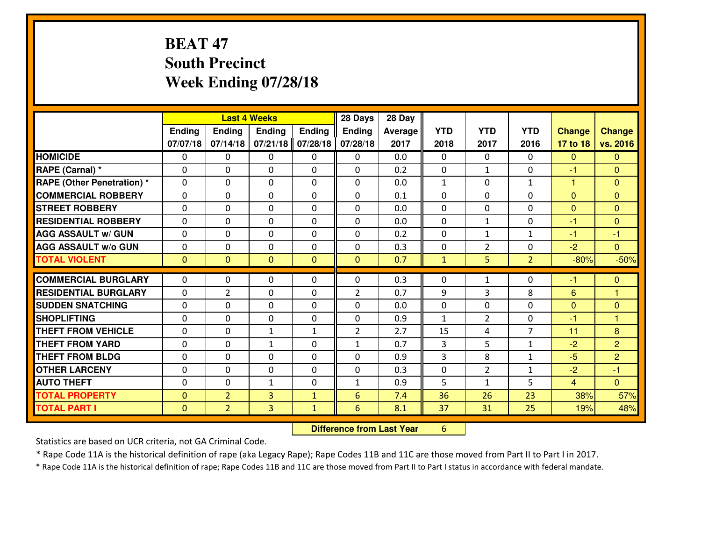## **BEAT 47 South PrecinctWeek Ending 07/28/18**

|                                   |              |                | <b>Last 4 Weeks</b> |               | 28 Days        | 28 Day  |                |                |                |                |                |
|-----------------------------------|--------------|----------------|---------------------|---------------|----------------|---------|----------------|----------------|----------------|----------------|----------------|
|                                   | Ending       | Ending         | <b>Ending</b>       | <b>Ending</b> | <b>Ending</b>  | Average | <b>YTD</b>     | <b>YTD</b>     | <b>YTD</b>     | <b>Change</b>  | <b>Change</b>  |
|                                   | 07/07/18     | 07/14/18       | 07/21/18            | 07/28/18      | 07/28/18       | 2017    | 2018           | 2017           | 2016           | 17 to 18       | vs. 2016       |
| <b>HOMICIDE</b>                   | $\Omega$     | 0              | $\mathbf{0}$        | 0             | 0              | 0.0     | $\Omega$       | $\Omega$       | $\Omega$       | $\mathbf{0}$   | $\Omega$       |
| RAPE (Carnal) *                   | $\Omega$     | 0              | $\mathbf{0}$        | 0             | $\Omega$       | 0.2     | $\Omega$       | $\mathbf{1}$   | $\Omega$       | $-1$           | $\Omega$       |
| <b>RAPE (Other Penetration) *</b> | $\Omega$     | 0              | $\mathbf 0$         | 0             | 0              | 0.0     | $\mathbf{1}$   | 0              | $\mathbf{1}$   | 1              | $\mathbf{0}$   |
| <b>COMMERCIAL ROBBERY</b>         | 0            | 0              | 0                   | 0             | $\Omega$       | 0.1     | $\mathbf{0}$   | 0              | $\Omega$       | $\mathbf{0}$   | $\mathbf{0}$   |
| <b>STREET ROBBERY</b>             | $\Omega$     | 0              | $\mathbf 0$         | 0             | 0              | 0.0     | $\mathbf 0$    | $\mathbf 0$    | 0              | $\overline{0}$ | $\mathbf{0}$   |
| <b>RESIDENTIAL ROBBERY</b>        | 0            | 0              | $\mathbf 0$         | 0             | 0              | 0.0     | $\mathbf 0$    | $\mathbf{1}$   | 0              | $-1$           | $\mathbf{0}$   |
| <b>AGG ASSAULT W/ GUN</b>         | 0            | 0              | $\mathbf 0$         | 0             | 0              | 0.2     | $\mathbf 0$    | $\mathbf{1}$   | $\mathbf{1}$   | $-1$           | $-1$           |
| <b>AGG ASSAULT W/o GUN</b>        | 0            | 0              | $\mathbf 0$         | 0             | 0              | 0.3     | $\mathbf 0$    | $\overline{2}$ | 0              | $-2$           | $\overline{0}$ |
| <b>TOTAL VIOLENT</b>              | $\mathbf{0}$ | $\overline{0}$ | $\mathbf{O}$        | $\mathbf{0}$  | $\mathbf{0}$   | 0.7     | $\mathbf{1}$   | 5              | $\overline{2}$ | $-80%$         | $-50%$         |
| <b>COMMERCIAL BURGLARY</b>        | $\Omega$     | 0              | $\mathbf{0}$        | 0             | $\Omega$       | 0.3     | $\mathbf{0}$   | $\mathbf{1}$   | 0              | $-1$           | $\mathbf{0}$   |
|                                   |              |                |                     |               |                |         |                |                |                |                |                |
| <b>RESIDENTIAL BURGLARY</b>       | $\Omega$     | $\overline{2}$ | $\mathbf 0$         | 0             | $\overline{2}$ | 0.7     | 9              | 3              | 8              | 6              | 1              |
| <b>SUDDEN SNATCHING</b>           | 0            | 0              | $\mathbf{0}$        | $\Omega$      | $\Omega$       | 0.0     | 0              | $\Omega$       | $\Omega$       | $\mathbf{0}$   | $\Omega$       |
| <b>SHOPLIFTING</b>                | $\Omega$     | $\Omega$       | $\Omega$            | $\Omega$      | 0              | 0.9     | $\mathbf{1}$   | $\overline{2}$ | $\Omega$       | $-1$           | 1              |
| <b>THEFT FROM VEHICLE</b>         | $\mathbf{0}$ | 0              | $\mathbf{1}$        | $\mathbf{1}$  | $\overline{2}$ | 2.7     | 15             | 4              | $\overline{7}$ | 11             | 8              |
| <b>THEFT FROM YARD</b>            | $\mathbf{0}$ | 0              | 1                   | 0             | $\mathbf{1}$   | 0.7     | 3              | 5              | 1              | $-2$           | $\overline{2}$ |
| <b>THEFT FROM BLDG</b>            | 0            | $\Omega$       | $\mathbf 0$         | 0             | 0              | 0.9     | $\overline{3}$ | 8              | $\mathbf{1}$   | $-5$           | $\overline{2}$ |
| <b>OTHER LARCENY</b>              | 0            | 0              | $\mathbf 0$         | 0             | 0              | 0.3     | 0              | $\overline{2}$ | $\mathbf{1}$   | $-2$           | $-1$           |
| <b>AUTO THEFT</b>                 | 0            | 0              | 1                   | 0             | $\mathbf{1}$   | 0.9     | 5              | $\mathbf{1}$   | 5              | $\overline{4}$ | $\overline{0}$ |
| <b>TOTAL PROPERTY</b>             | $\mathbf{0}$ | $\overline{2}$ | 3                   | $\mathbf{1}$  | 6              | 7.4     | 36             | 26             | 23             | 38%            | 57%            |
| <b>TOTAL PART I</b>               | $\mathbf{0}$ | $\overline{2}$ | 3                   | $\mathbf{1}$  | 6              | 8.1     | 37             | 31             | 25             | 19%            | 48%            |

 **Difference from Last Year**<sup>6</sup>

Statistics are based on UCR criteria, not GA Criminal Code.

\* Rape Code 11A is the historical definition of rape (aka Legacy Rape); Rape Codes 11B and 11C are those moved from Part II to Part I in 2017.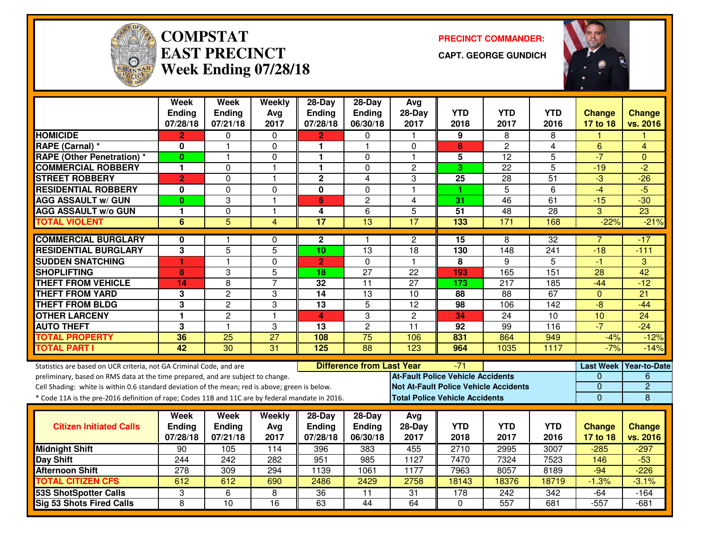

#### **COMPSTATEAST PRECINCTWeek Ending 07/28/18**

**PRECINCT COMMANDER:**

**CAPT. GEORGE GUNDICH**



|                                                                                                  | Week<br><b>Ending</b> | <b>Week</b><br><b>Ending</b> | Weekly<br>Avg  | $28-Day$<br><b>Ending</b> | $28-Dav$<br>Ending               | Avg<br>$28-Day$                              | <b>YTD</b>                               | <b>YTD</b>       | <b>YTD</b>       | Change         | <b>Change</b>          |
|--------------------------------------------------------------------------------------------------|-----------------------|------------------------------|----------------|---------------------------|----------------------------------|----------------------------------------------|------------------------------------------|------------------|------------------|----------------|------------------------|
|                                                                                                  | 07/28/18              | 07/21/18                     | 2017           | 07/28/18                  | 06/30/18                         | 2017                                         | 2018                                     | 2017             | 2016             | 17 to 18       | vs. 2016               |
| <b>HOMICIDE</b>                                                                                  | 2                     | 0                            | $\Omega$       | 2.                        | $\Omega$                         | -1                                           | 9                                        | 8                | 8                |                |                        |
| RAPE (Carnal) *                                                                                  | 0                     | 1                            | $\mathbf 0$    | 1                         | 1                                | $\Omega$                                     | 8                                        | $\overline{c}$   | 4                | 6              | 4                      |
| <b>RAPE (Other Penetration) *</b>                                                                | $\bf{0}$              | 1                            | $\Omega$       | 1                         | $\Omega$                         | $\blacktriangleleft$                         | 5                                        | $\overline{12}$  | $\overline{5}$   | $-7$           | $\Omega$               |
| <b>COMMERCIAL ROBBERY</b>                                                                        | 1                     | 0                            | $\mathbf{1}$   | 1                         | $\Omega$                         | $\mathbf{2}$                                 | 3                                        | 22               | 5                | $-19$          | $-2$                   |
| <b>STREET ROBBERY</b>                                                                            | $\overline{2}$        | 0                            | 1              | $\mathbf 2$               | $\overline{4}$                   | 3                                            | 25                                       | 28               | 51               | $-3$           | $-26$                  |
| <b>RESIDENTIAL ROBBERY</b>                                                                       | 0                     | $\overline{0}$               | $\mathbf 0$    | $\overline{\mathbf{0}}$   | $\mathbf 0$                      | $\overline{1}$                               | 1                                        | $\overline{5}$   | 6                | $-4$           | $-5$                   |
| <b>AGG ASSAULT w/ GUN</b>                                                                        | $\bf{0}$              | 3                            | $\mathbf{1}$   | 6                         | $\overline{c}$                   | $\overline{4}$                               | 31                                       | 46               | 61               | $-15$          | $-30$                  |
| <b>AGG ASSAULT W/o GUN</b>                                                                       | $\mathbf{1}$          | $\overline{0}$               | $\mathbf{1}$   | 4                         | $\overline{6}$                   | 5                                            | $\overline{51}$                          | $\overline{48}$  | $\overline{28}$  | 3              | $\overline{23}$        |
| <b>TOTAL VIOLENT</b>                                                                             | 6                     | $\overline{5}$               | $\overline{4}$ | 17                        | $\overline{13}$                  | $\overline{17}$                              | 133                                      | 171              | 168              | $-22%$         | $-21%$                 |
| <b>COMMERCIAL BURGLARY</b>                                                                       | 0                     | 1                            | 0              | $\mathbf{2}$              | 1                                | $\mathbf{2}$                                 | 15                                       | 8                | 32               | 7              | -17                    |
| <b>RESIDENTIAL BURGLARY</b>                                                                      | 3                     | $\overline{5}$               | $\overline{5}$ | 10                        | $\overline{13}$                  | 18                                           | 130                                      | $\overline{148}$ | $\overline{241}$ | $-18$          | $-111$                 |
| <b>SUDDEN SNATCHING</b>                                                                          | 1                     | $\overline{\mathbf{1}}$      | $\mathbf 0$    | $\overline{2}$            | $\Omega$                         | $\overline{1}$                               | 8                                        | 9                | 5                | $-1$           | 3                      |
| <b>SHOPLIFTING</b>                                                                               | 8                     | 3                            | 5              | 18                        | $\overline{27}$                  | 22                                           | 193                                      | 165              | 151              | 28             | 42                     |
| <b>THEFT FROM VEHICLE</b>                                                                        | 14                    | $\overline{8}$               | $\overline{7}$ | 32                        | $\overline{11}$                  | $\overline{27}$                              | 173                                      | $\overline{217}$ | 185              | $-44$          | $-12$                  |
| <b>THEFT FROM YARD</b>                                                                           | 3                     | $\overline{2}$               | 3              | 14                        | 13                               | 10                                           | 88                                       | 88               | 67               | $\mathbf{0}$   | $\overline{21}$        |
| <b>THEFT FROM BLDG</b>                                                                           | 3                     | $\overline{2}$               | 3              | $\overline{13}$           | 5                                | $\overline{12}$                              | 98                                       | 106              | 142              | $-8$           | $-44$                  |
| <b>OTHER LARCENY</b>                                                                             | 1                     | $\overline{c}$               | $\mathbf{1}$   | 4                         | 3                                | $\overline{2}$                               | 34                                       | 24               | 10               | 10             | $\overline{24}$        |
| <b>AUTO THEFT</b>                                                                                | 3                     | 1                            | 3              | 13                        | $\overline{c}$                   | $\overline{11}$                              | 92                                       | 99               | 116              | $-7$           | $-24$                  |
| <b>TOTAL PROPERTY</b>                                                                            | 36                    | 25                           | 27             | 108                       | $\overline{75}$                  | 106                                          | 831                                      | 864              | 949              | $-4%$          | $-12%$                 |
| <b>TOTAL PART I</b>                                                                              | 42                    | $\overline{30}$              | 31             | 125                       | $\overline{88}$                  | 123                                          | 964                                      | 1035             | 1117             | $-7%$          | $-14%$                 |
| Statistics are based on UCR criteria, not GA Criminal Code, and are                              |                       |                              |                |                           | <b>Difference from Last Year</b> |                                              | -71                                      |                  |                  |                | Last Week Year-to-Date |
| preliminary, based on RMS data at the time prepared, and are subject to change.                  |                       |                              |                |                           |                                  |                                              | <b>At-Fault Police Vehicle Accidents</b> |                  |                  | 0              | 6                      |
| Cell Shading: white is within 0.6 standard deviation of the mean; red is above; green is below.  |                       |                              |                |                           |                                  | <b>Not At-Fault Police Vehicle Accidents</b> |                                          |                  |                  | $\overline{0}$ | $\overline{2}$         |
| * Code 11A is the pre-2016 definition of rape; Codes 11B and 11C are by federal mandate in 2016. |                       |                              |                |                           |                                  |                                              | <b>Total Police Vehicle Accidents</b>    |                  |                  | $\Omega$       | 8                      |
|                                                                                                  | Week                  | Week                         | Weekly         | 28-Day                    | $28-Day$                         | Avg                                          |                                          |                  |                  |                |                        |
| <b>Citizen Initiated Calls</b>                                                                   | Ending                | <b>Ending</b>                | Avg            | <b>Ending</b>             | <b>Ending</b>                    | $28-Day$                                     | <b>YTD</b>                               | <b>YTD</b>       | <b>YTD</b>       | <b>Change</b>  | <b>Change</b>          |
|                                                                                                  | 07/28/18              | 07/21/18                     | 2017           | 07/28/18                  | 06/30/18                         | 2017                                         | 2018                                     | 2017             | 2016             | 17 to 18       | vs. 2016               |
| <b>Midnight Shift</b>                                                                            | 90                    | 105                          | 114            | 396                       | 383                              | 455                                          | 2710                                     | 2995             | 3007             | $-285$         | $-297$                 |
| <b>Day Shift</b>                                                                                 | 244                   | $\overline{242}$             | 282            | 951                       | $\overline{985}$                 | 1127                                         | 7470                                     | 7324             | 7523             | 146            | $-53$                  |
| <b>Afternoon Shift</b>                                                                           | 278                   | 309                          | 294            | 1139                      | 1061                             | 1177                                         | 7963                                     | 8057             | 8189             | $-94$          | $-226$                 |
| <b>TOTAL CITIZEN CFS</b>                                                                         | 612                   | 612                          | 690            | 2486                      | 2429                             | 2758                                         | 18143                                    | 18376            | 18719            | $-1.3%$        | $-3.1%$                |
| <b>53S ShotSpotter Calls</b>                                                                     | 3                     | 6                            | 8              | 36                        | 11                               | $\overline{31}$                              | 178                                      | $\overline{242}$ | 342              | $-64$          | $-164$                 |
| Sig 53 Shots Fired Calls                                                                         | 8                     | 10                           | 16             | 63                        | 44                               | 64                                           | $\mathbf 0$                              | 557              | 681              | $-557$         | $-681$                 |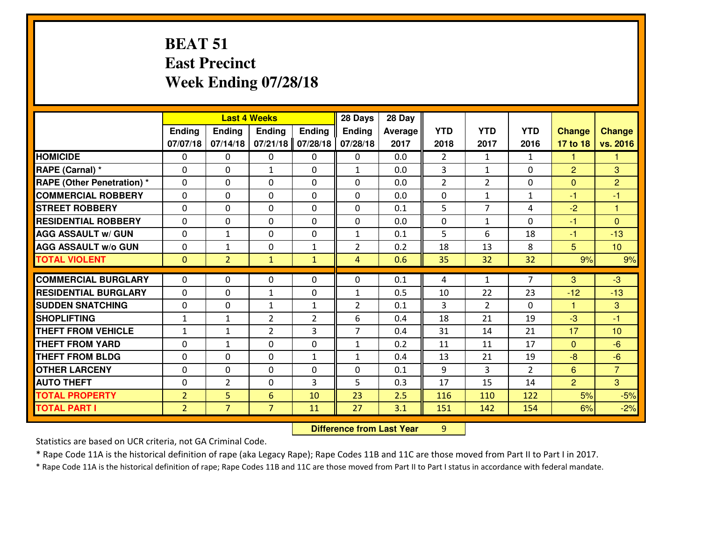#### **BEAT 51 East PrecinctWeek Ending 07/28/18**

|                                              |                                  | <b>Last 4 Weeks</b> |                     |                | 28 Days        | 28 Day     |                |                |                |                      |                 |
|----------------------------------------------|----------------------------------|---------------------|---------------------|----------------|----------------|------------|----------------|----------------|----------------|----------------------|-----------------|
|                                              | Ending                           | Ending              | <b>Ending</b>       | Ending         | <b>Ending</b>  | Average    | <b>YTD</b>     | <b>YTD</b>     | <b>YTD</b>     | <b>Change</b>        | <b>Change</b>   |
|                                              | 07/07/18                         | 07/14/18            | 07/21/18            | 07/28/18       | 07/28/18       | 2017       | 2018           | 2017           | 2016           | 17 to 18             | vs. 2016        |
| <b>HOMICIDE</b>                              | $\mathbf 0$                      | 0                   | 0                   | 0              | $\mathbf{0}$   | 0.0        | $\overline{2}$ | $\mathbf{1}$   | $\mathbf{1}$   | 1                    | 1.              |
| RAPE (Carnal) *                              | $\Omega$                         | 0                   | $\mathbf{1}$        | 0              | $\mathbf{1}$   | 0.0        | 3              | $\mathbf{1}$   | $\Omega$       | 2                    | 3               |
| <b>RAPE (Other Penetration) *</b>            | $\Omega$                         | 0                   | $\Omega$            | $\Omega$       | 0              | 0.0        | $\overline{2}$ | $\overline{2}$ | $\Omega$       | $\mathbf{0}$         | $\overline{2}$  |
| <b>COMMERCIAL ROBBERY</b>                    | $\mathbf{0}$                     | 0                   | $\mathbf 0$         | 0              | $\Omega$       | 0.0        | 0              | $\mathbf{1}$   | $\mathbf{1}$   | $-1$                 | $-1$            |
| <b>STREET ROBBERY</b>                        | $\mathbf 0$                      | 0                   | $\mathbf 0$         | 0              | 0              | 0.1        | 5              | $\overline{7}$ | 4              | $-2$                 | $\mathbf{1}$    |
| <b>RESIDENTIAL ROBBERY</b>                   | $\mathbf{0}$                     | 0                   | $\mathbf 0$         | 0              | $\Omega$       | 0.0        | $\Omega$       | $\mathbf{1}$   | 0              | $-1$                 | $\mathbf{0}$    |
| <b>AGG ASSAULT w/ GUN</b>                    | $\mathbf 0$                      | $\mathbf{1}$        | $\mathbf 0$         | 0              | $\mathbf{1}$   | 0.1        | 5              | 6              | 18             | $-1$                 | $-13$           |
| <b>AGG ASSAULT W/o GUN</b>                   | $\mathbf 0$                      | $\mathbf{1}$        | $\mathbf 0$         | $\mathbf{1}$   | $\overline{2}$ | 0.2        | 18             | 13             | 8              | $5\phantom{.}$       | 10 <sup>°</sup> |
| <b>TOTAL VIOLENT</b>                         | $\overline{0}$                   | $\overline{2}$      | $\mathbf{1}$        | $\mathbf{1}$   | 4              | 0.6        | 35             | 32             | 32             | 9%                   | 9%              |
| <b>COMMERCIAL BURGLARY</b>                   | $\Omega$                         | 0                   | $\mathbf{0}$        | $\Omega$       | 0              | 0.1        | 4              | $\mathbf{1}$   | $\overline{7}$ | 3                    | $-3$            |
| <b>RESIDENTIAL BURGLARY</b>                  | $\mathbf{0}$                     | 0                   | $\mathbf{1}$        | 0              | $\mathbf{1}$   | 0.5        | 10             | 22             | 23             | $-12$                | $-13$           |
| <b>SUDDEN SNATCHING</b>                      | $\mathbf{0}$                     | 0                   | $\mathbf{1}$        | $\mathbf{1}$   | $\overline{2}$ | 0.1        | 3              | $\overline{2}$ | $\Omega$       | $\blacktriangleleft$ | 3               |
| <b>SHOPLIFTING</b>                           | $\mathbf{1}$                     | $\mathbf{1}$        | $\overline{2}$      | $\overline{2}$ | 6              | 0.4        | 18             | 21             | 19             | $-3$                 | $-1$            |
|                                              |                                  |                     |                     |                |                |            |                |                |                |                      |                 |
|                                              |                                  |                     |                     |                |                |            |                |                |                |                      |                 |
| <b>THEFT FROM VEHICLE</b>                    | 1                                | 1                   | $\overline{2}$      | 3              | $\overline{7}$ | 0.4        | 31             | 14             | 21             | 17                   | 10 <sup>°</sup> |
| <b>THEFT FROM YARD</b>                       | $\mathbf 0$                      | $\mathbf{1}$        | $\mathbf 0$         | 0              | $\mathbf{1}$   | 0.2        | 11             | 11             | 17             | $\mathbf{0}$         | $-6$            |
| <b>THEFT FROM BLDG</b>                       | $\mathbf 0$                      | 0                   | $\mathbf 0$         | $\mathbf{1}$   | $\mathbf{1}$   | 0.4        | 13             | 21             | 19             | $-8$                 | $-6$            |
| <b>OTHER LARCENY</b>                         | $\mathbf 0$                      | 0                   | $\mathbf 0$         | 0              | 0              | 0.1        | 9              | 3              | $\overline{2}$ | 6                    | $\overline{7}$  |
| <b>AUTO THEFT</b>                            | $\mathbf{0}$                     | $\overline{2}$      | $\mathbf{0}$        | 3              | 5              | 0.3        | 17             | 15             | 14             | $\overline{2}$       | $\overline{3}$  |
| <b>TOTAL PROPERTY</b><br><b>TOTAL PART I</b> | $\overline{2}$<br>2 <sup>1</sup> | 5<br>$\overline{7}$ | 6<br>$\overline{7}$ | 10<br>11       | 23<br>27       | 2.5<br>3.1 | 116<br>151     | 110<br>142     | 122<br>154     | 5%<br>6%             | $-5%$<br>$-2%$  |

 **Difference from Last Year**<sup>9</sup>

Statistics are based on UCR criteria, not GA Criminal Code.

\* Rape Code 11A is the historical definition of rape (aka Legacy Rape); Rape Codes 11B and 11C are those moved from Part II to Part I in 2017.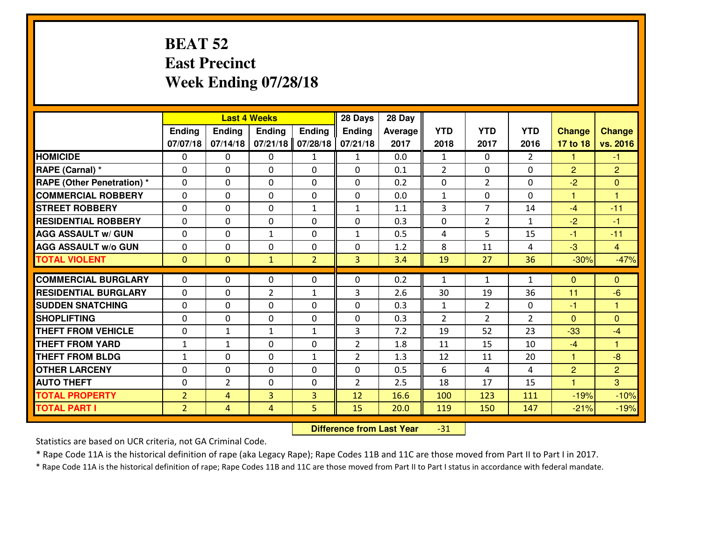#### **BEAT 52 East PrecinctWeek Ending 07/28/18**

|                                   | <b>Last 4 Weeks</b> |                |                |                | 28 Days        | 28 Day  |                |                |                |                |                |
|-----------------------------------|---------------------|----------------|----------------|----------------|----------------|---------|----------------|----------------|----------------|----------------|----------------|
|                                   | Ending              | Ending         | <b>Ending</b>  | Ending         | <b>Ending</b>  | Average | <b>YTD</b>     | <b>YTD</b>     | <b>YTD</b>     | <b>Change</b>  | <b>Change</b>  |
|                                   | 07/07/18            | 07/14/18       | 07/21/18       | 07/28/18       | 07/21/18       | 2017    | 2018           | 2017           | 2016           | 17 to 18       | vs. 2016       |
| <b>HOMICIDE</b>                   | $\Omega$            | 0              | $\Omega$       | 1              | $\mathbf{1}$   | 0.0     | $\mathbf{1}$   | 0              | $\overline{2}$ | 1              | $-1$           |
| RAPE (Carnal) *                   | $\Omega$            | 0              | $\Omega$       | $\Omega$       | 0              | 0.1     | $\overline{2}$ | $\Omega$       | $\Omega$       | $\overline{2}$ | $\overline{2}$ |
| <b>RAPE (Other Penetration) *</b> | $\mathbf 0$         | 0              | $\mathbf 0$    | 0              | $\Omega$       | 0.2     | 0              | $\overline{2}$ | 0              | $-2$           | $\overline{0}$ |
| <b>COMMERCIAL ROBBERY</b>         | $\mathbf 0$         | 0              | $\mathbf 0$    | 0              | 0              | 0.0     | $\mathbf{1}$   | 0              | 0              | $\mathbf{1}$   | $\mathbf{1}$   |
| <b>STREET ROBBERY</b>             | $\mathbf 0$         | 0              | $\mathbf 0$    | $\mathbf{1}$   | $\mathbf{1}$   | 1.1     | 3              | $\overline{7}$ | 14             | $-4$           | $-11$          |
| <b>RESIDENTIAL ROBBERY</b>        | $\mathbf 0$         | 0              | $\mathbf 0$    | 0              | 0              | 0.3     | $\mathbf 0$    | $\overline{2}$ | $\mathbf{1}$   | $-2$           | $-1$           |
| <b>AGG ASSAULT W/ GUN</b>         | $\mathbf 0$         | 0              | $\mathbf{1}$   | 0              | $\mathbf{1}$   | 0.5     | 4              | 5              | 15             | $-1$           | $-11$          |
| <b>AGG ASSAULT W/o GUN</b>        | $\mathbf 0$         | 0              | 0              | 0              | 0              | 1.2     | 8              | 11             | 4              | $-3$           | $\overline{4}$ |
| <b>TOTAL VIOLENT</b>              | $\overline{0}$      | $\mathbf{O}$   | $\mathbf{1}$   | $\overline{2}$ | $\overline{3}$ | 3.4     | 19             | 27             | 36             | $-30%$         | $-47%$         |
|                                   |                     |                |                |                |                |         |                |                |                |                |                |
| <b>COMMERCIAL BURGLARY</b>        | $\Omega$            | 0              | $\mathbf{0}$   | $\Omega$       | 0              | 0.2     | $\mathbf{1}$   | $\mathbf{1}$   | $\mathbf{1}$   | $\mathbf{0}$   | $\mathbf{0}$   |
| <b>RESIDENTIAL BURGLARY</b>       | $\mathbf{0}$        | 0              | $\overline{2}$ | $\mathbf{1}$   | 3              | 2.6     | 30             | 19             | 36             | 11             | $-6$           |
| <b>SUDDEN SNATCHING</b>           | $\mathbf 0$         | 0              | $\mathbf 0$    | 0              | 0              | 0.3     | $\mathbf{1}$   | $\overline{2}$ | 0              | $-1$           | $\mathbf{1}$   |
| <b>SHOPLIFTING</b>                | $\mathbf 0$         | 0              | $\mathbf 0$    | 0              | 0              | 0.3     | $\overline{2}$ | $\overline{2}$ | $\overline{2}$ | $\Omega$       | $\overline{0}$ |
| <b>THEFT FROM VEHICLE</b>         | $\mathbf 0$         | $\mathbf{1}$   | $\mathbf{1}$   | $\mathbf{1}$   | 3              | 7.2     | 19             | 52             | 23             | $-33$          | $-4$           |
| <b>THEFT FROM YARD</b>            | $\mathbf{1}$        | 1              | $\mathbf 0$    | $\mathbf 0$    | $\overline{2}$ | 1.8     | 11             | 15             | 10             | $-4$           | $\mathbf{1}$   |
| <b>THEFT FROM BLDG</b>            | $\mathbf{1}$        | 0              | $\mathbf 0$    | $\mathbf{1}$   | $\overline{2}$ | 1.3     | 12             | 11             | 20             | $\mathbf{1}$   | $-8$           |
| <b>OTHER LARCENY</b>              | $\mathbf 0$         | 0              | $\mathbf 0$    | 0              | 0              | 0.5     | 6              | 4              | 4              | $\overline{2}$ | $\overline{2}$ |
| <b>AUTO THEFT</b>                 | $\mathbf 0$         | $\overline{2}$ | $\mathbf 0$    | 0              | $\overline{2}$ | 2.5     | 18             | 17             | 15             | $\mathbf{1}$   | 3              |
| <b>TOTAL PROPERTY</b>             | $\overline{2}$      | $\overline{4}$ | $\overline{3}$ | 3              | 12             | 16.6    | 100            | 123            | 111            | $-19%$         | $-10%$         |
| <b>TOTAL PART I</b>               | $\overline{2}$      | $\overline{4}$ | 4              | 5              | 15             | 20.0    | 119            | 150            | 147            | $-21%$         | $-19%$         |

 **Difference from Last Year**-31

Statistics are based on UCR criteria, not GA Criminal Code.

\* Rape Code 11A is the historical definition of rape (aka Legacy Rape); Rape Codes 11B and 11C are those moved from Part II to Part I in 2017.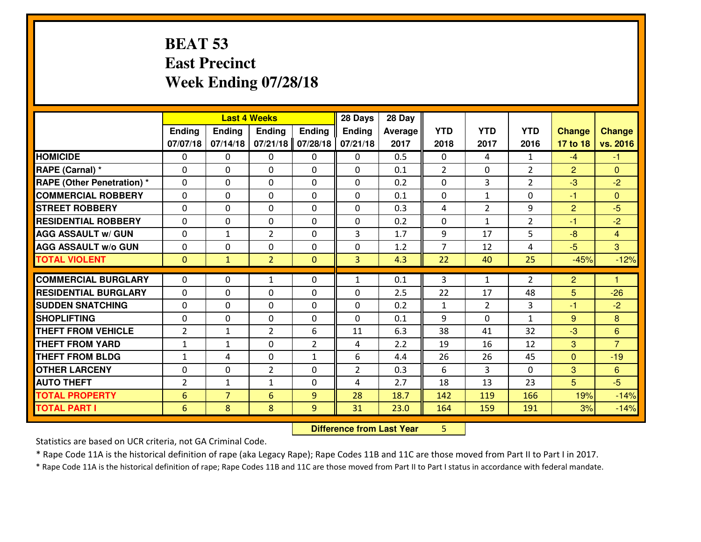#### **BEAT 53 East PrecinctWeek Ending 07/28/18**

|                                   |                | <b>Last 4 Weeks</b> |                |                | 28 Days        | 28 Day         |                |                |                |                |                 |
|-----------------------------------|----------------|---------------------|----------------|----------------|----------------|----------------|----------------|----------------|----------------|----------------|-----------------|
|                                   | Ending         | Ending              | <b>Ending</b>  | Ending         | Ending         | <b>Average</b> | <b>YTD</b>     | <b>YTD</b>     | <b>YTD</b>     | <b>Change</b>  | <b>Change</b>   |
|                                   | 07/07/18       | 07/14/18            | 07/21/18       | 07/28/18       | 07/21/18       | 2017           | 2018           | 2017           | 2016           | 17 to 18       | vs. 2016        |
| <b>HOMICIDE</b>                   | $\Omega$       | 0                   | $\Omega$       | 0              | $\Omega$       | 0.5            | $\Omega$       | 4              | $\mathbf{1}$   | $-4$           | $-1$            |
| RAPE (Carnal) *                   | $\Omega$       | 0                   | $\mathbf{0}$   | $\Omega$       | 0              | 0.1            | $\overline{2}$ | 0              | $\overline{2}$ | 2              | $\mathbf{0}$    |
| <b>RAPE (Other Penetration) *</b> | $\Omega$       | 0                   | $\Omega$       | $\Omega$       | 0              | 0.2            | $\Omega$       | 3              | $\overline{2}$ | $-3$           | $-2$            |
| <b>COMMERCIAL ROBBERY</b>         | $\mathbf 0$    | 0                   | $\mathbf{0}$   | $\Omega$       | 0              | 0.1            | $\mathbf{0}$   | $\mathbf{1}$   | 0              | $-1$           | $\mathbf{0}$    |
| <b>STREET ROBBERY</b>             | $\Omega$       | 0                   | $\mathbf 0$    | 0              | $\Omega$       | 0.3            | 4              | $\overline{2}$ | 9              | $\overline{2}$ | $-5$            |
| <b>RESIDENTIAL ROBBERY</b>        | $\mathbf{0}$   | 0                   | $\mathbf 0$    | 0              | $\Omega$       | 0.2            | $\mathbf 0$    | $\mathbf{1}$   | $\overline{2}$ | $-1$           | $-2$            |
| <b>AGG ASSAULT w/ GUN</b>         | $\mathbf 0$    | $\mathbf{1}$        | $\overline{2}$ | 0              | 3              | 1.7            | 9              | 17             | 5              | $-8$           | $\overline{4}$  |
| <b>AGG ASSAULT W/o GUN</b>        | $\mathbf 0$    | 0                   | $\mathbf 0$    | 0              | 0              | 1.2            | $\overline{7}$ | 12             | 4              | $-5$           | 3               |
| <b>TOTAL VIOLENT</b>              | $\overline{0}$ | $\mathbf{1}$        | $\overline{2}$ | $\mathbf{0}$   | $\overline{3}$ | 4.3            | 22             | 40             | 25             | $-45%$         | $-12%$          |
| <b>COMMERCIAL BURGLARY</b>        | $\Omega$       | 0                   | $\mathbf{1}$   | $\Omega$       | $\mathbf{1}$   | 0.1            | 3              | $\mathbf{1}$   | $\overline{2}$ | $\overline{2}$ | 1.              |
| <b>RESIDENTIAL BURGLARY</b>       | $\mathbf 0$    | 0                   | 0              | 0              | 0              | 2.5            | 22             | 17             | 48             | 5              | $-26$           |
| <b>SUDDEN SNATCHING</b>           | $\mathbf 0$    | 0                   | $\mathbf 0$    | 0              | 0              | 0.2            | $\mathbf{1}$   | $\overline{2}$ | 3              | -1             | $-2$            |
| <b>SHOPLIFTING</b>                | $\mathbf 0$    | 0                   | $\mathbf 0$    | 0              | $\Omega$       | 0.1            | 9              | $\Omega$       | $\mathbf{1}$   | 9              | 8               |
| <b>THEFT FROM VEHICLE</b>         | $\overline{2}$ | 1                   | $\overline{2}$ | 6              | 11             | 6.3            | 38             | 41             | 32             | $-3$           | $6\overline{6}$ |
| <b>THEFT FROM YARD</b>            | $\mathbf{1}$   | $\mathbf{1}$        | $\mathbf 0$    | $\overline{2}$ | 4              | 2.2            | 19             | 16             | 12             | 3              | $\overline{7}$  |
| <b>THEFT FROM BLDG</b>            | $\mathbf{1}$   | 4                   | $\mathbf 0$    | $\mathbf{1}$   | 6              | 4.4            | 26             | 26             | 45             | $\mathbf{0}$   | $-19$           |
| <b>OTHER LARCENY</b>              | $\mathbf 0$    | 0                   | $\overline{2}$ | 0              | $\overline{2}$ | 0.3            | 6              | 3              | 0              | 3              | 6               |
| <b>AUTO THEFT</b>                 | $\overline{2}$ | $\mathbf{1}$        | 1              | 0              | 4              | 2.7            | 18             | 13             | 23             | 5              | $-5$            |
| <b>TOTAL PROPERTY</b>             | 6              | $\overline{7}$      | 6              | 9              | 28             | 18.7           | 142            | 119            | 166            | 19%            | $-14%$          |
| <b>TOTAL PART I</b>               | 6              | 8                   | 8              | 9              | 31             | 23.0           | 164            | 159            | 191            | 3%             | $-14%$          |
|                                   |                |                     |                |                |                |                |                |                |                |                |                 |

 **Difference from Last Year**<sup>5</sup>

Statistics are based on UCR criteria, not GA Criminal Code.

\* Rape Code 11A is the historical definition of rape (aka Legacy Rape); Rape Codes 11B and 11C are those moved from Part II to Part I in 2017.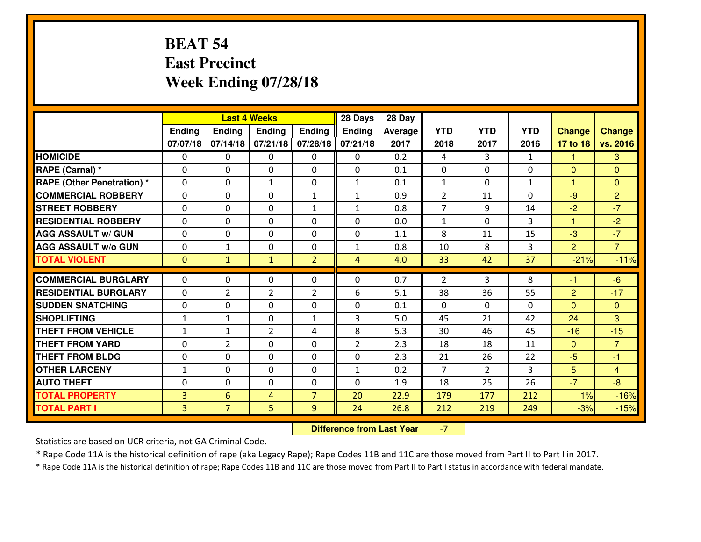#### **BEAT 54 East PrecinctWeek Ending 07/28/18**

|                                  |                |                | <b>Last 4 Weeks</b> |                | 28 Days        | 28 Day         |                |                |              |                |                |
|----------------------------------|----------------|----------------|---------------------|----------------|----------------|----------------|----------------|----------------|--------------|----------------|----------------|
|                                  | Ending         | <b>Ending</b>  | <b>Ending</b>       | Ending         | <b>Ending</b>  | <b>Average</b> | <b>YTD</b>     | <b>YTD</b>     | <b>YTD</b>   | <b>Change</b>  | <b>Change</b>  |
|                                  | 07/07/18       | 07/14/18       | 07/21/18            | 07/28/18       | 07/21/18       | 2017           | 2018           | 2017           | 2016         | 17 to 18       | vs. 2016       |
| <b>HOMICIDE</b>                  | $\Omega$       | 0              | $\Omega$            | $\Omega$       | 0              | 0.2            | 4              | 3              | $\mathbf{1}$ | 1              | 3              |
| RAPE (Carnal) *                  | $\Omega$       | 0              | $\mathbf{0}$        | $\Omega$       | $\Omega$       | 0.1            | $\Omega$       | $\Omega$       | $\Omega$     | $\Omega$       | $\Omega$       |
| <b>RAPE (Other Penetration)*</b> | 0              | 0              | $\mathbf{1}$        | 0              | $\mathbf{1}$   | 0.1            | $\mathbf{1}$   | $\Omega$       | $\mathbf{1}$ | 1              | $\overline{0}$ |
| <b>COMMERCIAL ROBBERY</b>        | 0              | 0              | $\mathbf 0$         | $\mathbf{1}$   | $\mathbf{1}$   | 0.9            | $\overline{2}$ | 11             | 0            | $-9$           | $\overline{2}$ |
| <b>STREET ROBBERY</b>            | $\mathbf{0}$   | 0              | $\mathbf 0$         | $\mathbf{1}$   | $\mathbf{1}$   | 0.8            | $\overline{7}$ | 9              | 14           | $-2$           | $-7$           |
| <b>RESIDENTIAL ROBBERY</b>       | $\Omega$       | 0              | $\mathbf 0$         | 0              | 0              | 0.0            | $\mathbf{1}$   | $\Omega$       | 3            | $\mathbf{1}$   | $-2$           |
| <b>AGG ASSAULT w/ GUN</b>        | 0              | 0              | 0                   | 0              | 0              | 1.1            | 8              | 11             | 15           | $-3$           | $-7$           |
| <b>AGG ASSAULT W/o GUN</b>       | 0              | 1              | 0                   | 0              | $\mathbf{1}$   | 0.8            | 10             | 8              | 3            | $\overline{2}$ | $\overline{7}$ |
| <b>TOTAL VIOLENT</b>             | $\mathbf{0}$   | $\mathbf{1}$   | $\mathbf{1}$        | $\overline{2}$ | $\overline{4}$ | 4.0            | 33             | 42             | 37           | $-21%$         | $-11%$         |
| <b>COMMERCIAL BURGLARY</b>       | $\Omega$       | 0              | $\mathbf{0}$        | $\mathbf{0}$   | $\Omega$       | 0.7            | 2              | 3              | 8            | -1             | $-6$           |
| <b>RESIDENTIAL BURGLARY</b>      | $\mathbf{0}$   | $\overline{2}$ | $\overline{2}$      | 2              | 6              | 5.1            | 38             | 36             | 55           | $\overline{2}$ | $-17$          |
| <b>SUDDEN SNATCHING</b>          | $\mathbf{0}$   | 0              | $\mathbf 0$         | 0              | 0              | 0.1            | $\mathbf{0}$   | $\Omega$       | 0            | $\Omega$       | $\mathbf{0}$   |
| <b>SHOPLIFTING</b>               | $\mathbf{1}$   | $\mathbf{1}$   | $\mathbf 0$         | $\mathbf{1}$   | 3              | 5.0            | 45             | 21             | 42           | 24             | 3              |
| <b>THEFT FROM VEHICLE</b>        | $\mathbf{1}$   | 1              | $\overline{2}$      | 4              | 8              | 5.3            | 30             | 46             | 45           | $-16$          | $-15$          |
| <b>THEFT FROM YARD</b>           | 0              | $\overline{2}$ | 0                   | 0              | $\overline{2}$ | 2.3            | 18             | 18             | 11           | $\mathbf{0}$   | $\overline{7}$ |
| <b>THEFT FROM BLDG</b>           | 0              | 0              | 0                   | 0              | 0              | 2.3            | 21             | 26             | 22           | $-5$           | $-1$           |
| <b>OTHER LARCENY</b>             | $1\,$          | 0              | 0                   | 0              | $\mathbf{1}$   | 0.2            | $\overline{7}$ | $\overline{2}$ | 3            | $5\phantom{.}$ | $\overline{4}$ |
| <b>AUTO THEFT</b>                | 0              | 0              | $\mathbf 0$         | 0              | 0              | 1.9            | 18             | 25             | 26           | $-7$           | $-8$           |
| <b>TOTAL PROPERTY</b>            | $\overline{3}$ | 6              | 4                   | $\overline{7}$ | 20             | 22.9           | 179            | 177            | 212          | 1%             | $-16%$         |
| <b>TOTAL PART I</b>              | $\overline{3}$ | $\overline{7}$ | 5                   | 9              | 24             | 26.8           | 212            | 219            | 249          | $-3%$          | $-15%$         |
|                                  |                |                |                     |                |                |                |                |                |              |                |                |

 **Difference from Last Year**-7

Statistics are based on UCR criteria, not GA Criminal Code.

\* Rape Code 11A is the historical definition of rape (aka Legacy Rape); Rape Codes 11B and 11C are those moved from Part II to Part I in 2017.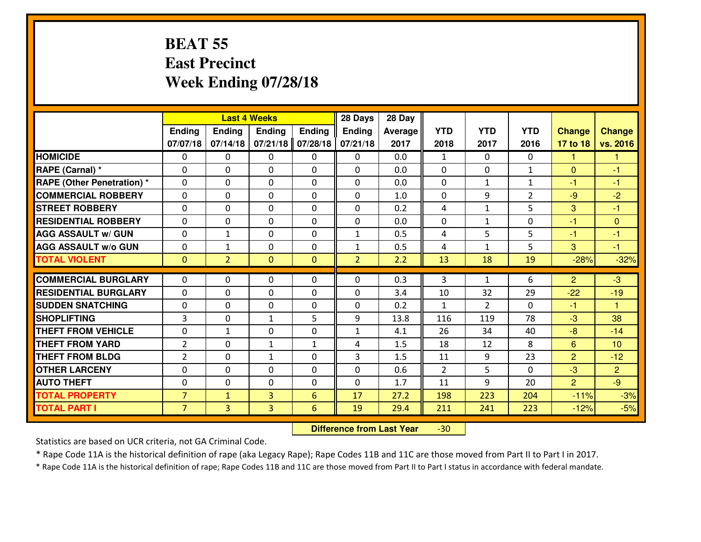#### **BEAT 55 East PrecinctWeek Ending 07/28/18**

|                                   |                |                | <b>Last 4 Weeks</b> |              | 28 Days        | 28 Day  |                |                |                |                |                |
|-----------------------------------|----------------|----------------|---------------------|--------------|----------------|---------|----------------|----------------|----------------|----------------|----------------|
|                                   | <b>Ending</b>  | <b>Ending</b>  | <b>Ending</b>       | Endina       | <b>Ending</b>  | Average | <b>YTD</b>     | <b>YTD</b>     | <b>YTD</b>     | <b>Change</b>  | <b>Change</b>  |
|                                   | 07/07/18       | 07/14/18       | 07/21/18            | 07/28/18     | 07/21/18       | 2017    | 2018           | 2017           | 2016           | 17 to 18       | vs. 2016       |
| <b>HOMICIDE</b>                   | $\mathbf{0}$   | 0              | $\mathbf{0}$        | 0            | 0              | 0.0     | 1              | $\Omega$       | 0              |                | 1              |
| RAPE (Carnal) *                   | $\Omega$       | 0              | 0                   | 0            | 0              | 0.0     | $\mathbf{0}$   | $\mathbf{0}$   | $\mathbf{1}$   | $\Omega$       | $-1$           |
| <b>RAPE (Other Penetration) *</b> | 0              | 0              | $\mathbf 0$         | 0            | 0              | 0.0     | 0              | $\mathbf{1}$   | $\mathbf{1}$   | $-1$           | $-1$           |
| <b>COMMERCIAL ROBBERY</b>         | 0              | 0              | $\mathbf 0$         | 0            | 0              | 1.0     | $\mathbf{0}$   | 9              | $\overline{2}$ | $-9$           | $-2$           |
| <b>STREET ROBBERY</b>             | 0              | 0              | $\mathbf 0$         | 0            | 0              | 0.2     | 4              | $\mathbf{1}$   | 5              | 3              | $-1$           |
| <b>RESIDENTIAL ROBBERY</b>        | $\Omega$       | $\Omega$       | $\mathbf 0$         | $\Omega$     | 0              | 0.0     | $\Omega$       | $\mathbf{1}$   | 0              | $-1$           | $\overline{0}$ |
| <b>AGG ASSAULT w/ GUN</b>         | $\mathbf 0$    | $\mathbf{1}$   | $\mathbf 0$         | 0            | $\mathbf{1}$   | 0.5     | 4              | 5              | 5              | $-1$           | $-1$           |
| <b>AGG ASSAULT w/o GUN</b>        | 0              | $\mathbf{1}$   | $\mathbf 0$         | $\Omega$     | 1              | 0.5     | 4              | $\mathbf{1}$   | 5              | 3              | $-1$           |
| <b>TOTAL VIOLENT</b>              | $\mathbf{0}$   | $\overline{2}$ | $\mathbf{0}$        | $\mathbf{0}$ | $\overline{2}$ | 2.2     | 13             | 18             | 19             | $-28%$         | $-32%$         |
| <b>COMMERCIAL BURGLARY</b>        |                |                |                     |              |                |         |                |                |                |                |                |
|                                   | $\Omega$       | 0              | 0                   | 0            | $\Omega$       | 0.3     | 3              | $\mathbf{1}$   | 6              | 2              | $-3$           |
| <b>RESIDENTIAL BURGLARY</b>       | 0              | 0              | $\mathbf 0$         | 0            | 0              | 3.4     | 10             | 32             | 29             | $-22$          | $-19$          |
| <b>SUDDEN SNATCHING</b>           | $\mathbf{0}$   | 0              | 0                   | 0            | $\Omega$       | 0.2     | $\mathbf{1}$   | $\overline{2}$ | 0              | $-1$           | $\overline{1}$ |
| <b>SHOPLIFTING</b>                | 3              | 0              | 1                   | 5            | 9              | 13.8    | 116            | 119            | 78             | $-3$           | 38             |
| <b>THEFT FROM VEHICLE</b>         | 0              | $\mathbf{1}$   | $\mathbf 0$         | 0            | $\mathbf{1}$   | 4.1     | 26             | 34             | 40             | $-8$           | $-14$          |
| <b>THEFT FROM YARD</b>            | $\overline{2}$ | 0              | $\mathbf{1}$        | $\mathbf{1}$ | 4              | 1.5     | 18             | 12             | 8              | 6              | 10             |
| <b>THEFT FROM BLDG</b>            | $\overline{2}$ | 0              | 1                   | 0            | 3              | 1.5     | 11             | 9              | 23             | $\overline{2}$ | $-12$          |
| <b>OTHER LARCENY</b>              | $\mathbf 0$    | 0              | 0                   | 0            | 0              | 0.6     | $\overline{2}$ | 5              | $\Omega$       | $-3$           | $\overline{2}$ |
| <b>AUTO THEFT</b>                 | $\mathbf{0}$   | 0              | $\mathbf{0}$        | $\Omega$     | 0              | 1.7     | 11             | 9              | 20             | 2              | $-9$           |
| <b>TOTAL PROPERTY</b>             | $\overline{7}$ | $\mathbf{1}$   | 3                   | 6            | 17             | 27.2    | 198            | 223            | 204            | $-11%$         | $-3%$          |
| <b>TOTAL PART I</b>               | $\overline{7}$ | 3 <sup>1</sup> | $\overline{3}$      | 6            | 19             | 29.4    | 211            | 241            | 223            | $-12%$         | $-5%$          |

 **Difference from Last Year**-30

Statistics are based on UCR criteria, not GA Criminal Code.

\* Rape Code 11A is the historical definition of rape (aka Legacy Rape); Rape Codes 11B and 11C are those moved from Part II to Part I in 2017.